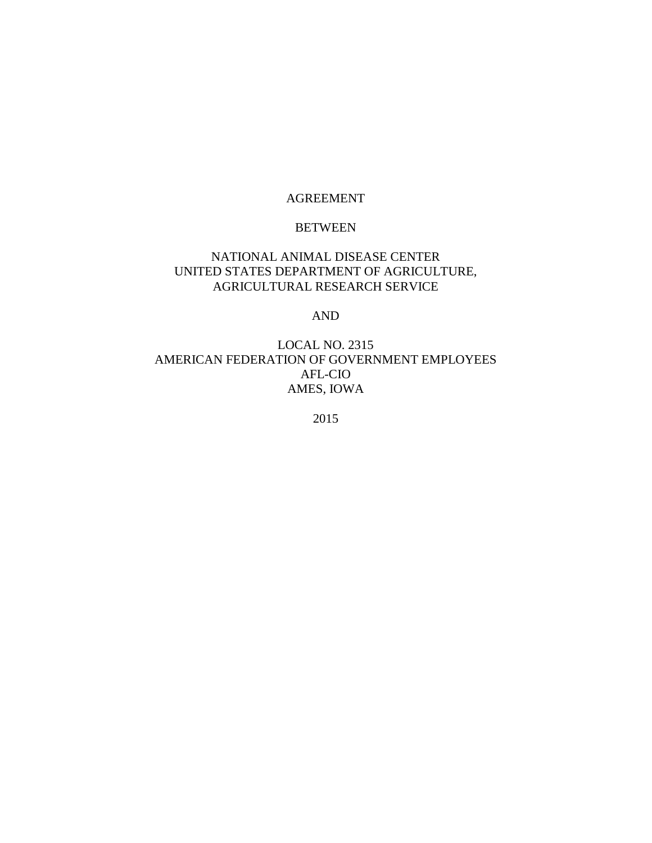#### AGREEMENT

#### BETWEEN

### NATIONAL ANIMAL DISEASE CENTER UNITED STATES DEPARTMENT OF AGRICULTURE, AGRICULTURAL RESEARCH SERVICE

AND

### LOCAL NO. 2315 AMERICAN FEDERATION OF GOVERNMENT EMPLOYEES AFL-CIO AMES, IOWA

2015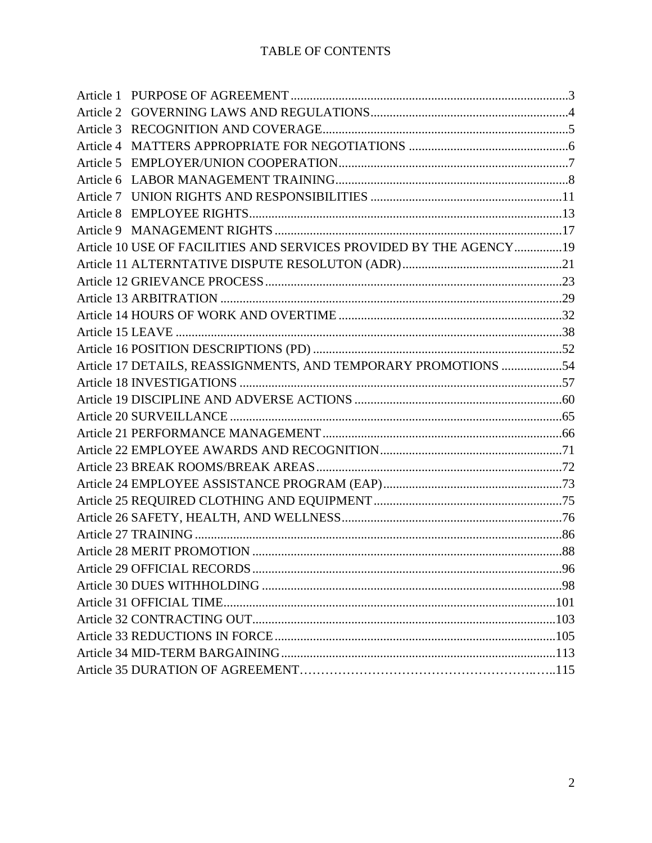| Article 1 |                                                                    |  |
|-----------|--------------------------------------------------------------------|--|
|           |                                                                    |  |
|           |                                                                    |  |
|           |                                                                    |  |
|           |                                                                    |  |
|           |                                                                    |  |
|           |                                                                    |  |
|           |                                                                    |  |
|           |                                                                    |  |
|           | Article 10 USE OF FACILITIES AND SERVICES PROVIDED BY THE AGENCY19 |  |
|           |                                                                    |  |
|           |                                                                    |  |
|           |                                                                    |  |
|           |                                                                    |  |
|           |                                                                    |  |
|           |                                                                    |  |
|           | Article 17 DETAILS, REASSIGNMENTS, AND TEMPORARY PROMOTIONS 54     |  |
|           |                                                                    |  |
|           |                                                                    |  |
|           |                                                                    |  |
|           |                                                                    |  |
|           |                                                                    |  |
|           |                                                                    |  |
|           |                                                                    |  |
|           |                                                                    |  |
|           |                                                                    |  |
|           |                                                                    |  |
|           |                                                                    |  |
|           |                                                                    |  |
|           |                                                                    |  |
|           |                                                                    |  |
|           |                                                                    |  |
|           |                                                                    |  |
|           |                                                                    |  |
|           |                                                                    |  |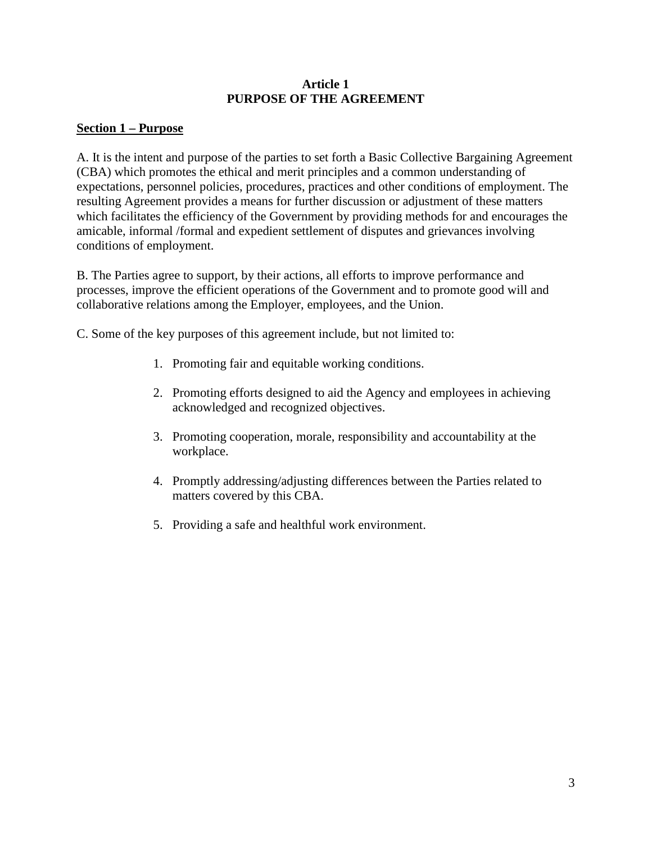### **Article 1 PURPOSE OF THE AGREEMENT**

## **Section 1 – Purpose**

A. It is the intent and purpose of the parties to set forth a Basic Collective Bargaining Agreement (CBA) which promotes the ethical and merit principles and a common understanding of expectations, personnel policies, procedures, practices and other conditions of employment. The resulting Agreement provides a means for further discussion or adjustment of these matters which facilitates the efficiency of the Government by providing methods for and encourages the amicable, informal /formal and expedient settlement of disputes and grievances involving conditions of employment.

B. The Parties agree to support, by their actions, all efforts to improve performance and processes, improve the efficient operations of the Government and to promote good will and collaborative relations among the Employer, employees, and the Union.

C. Some of the key purposes of this agreement include, but not limited to:

- 1. Promoting fair and equitable working conditions.
- 2. Promoting efforts designed to aid the Agency and employees in achieving acknowledged and recognized objectives.
- 3. Promoting cooperation, morale, responsibility and accountability at the workplace.
- 4. Promptly addressing/adjusting differences between the Parties related to matters covered by this CBA.
- 5. Providing a safe and healthful work environment.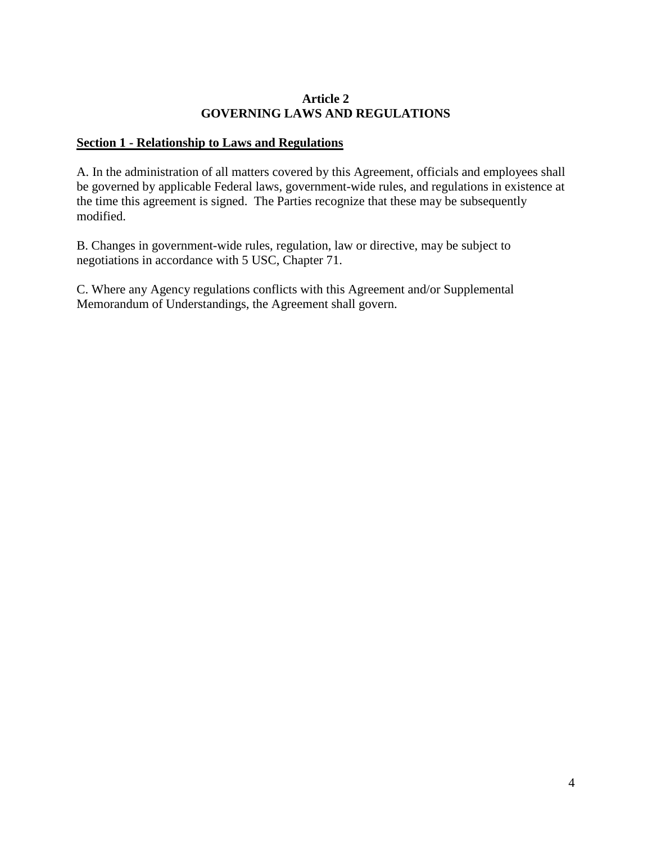### **Article 2 GOVERNING LAWS AND REGULATIONS**

### **Section 1 - Relationship to Laws and Regulations**

A. In the administration of all matters covered by this Agreement, officials and employees shall be governed by applicable Federal laws, government-wide rules, and regulations in existence at the time this agreement is signed. The Parties recognize that these may be subsequently modified.

B. Changes in government-wide rules, regulation, law or directive, may be subject to negotiations in accordance with 5 USC, Chapter 71.

C. Where any Agency regulations conflicts with this Agreement and/or Supplemental Memorandum of Understandings, the Agreement shall govern.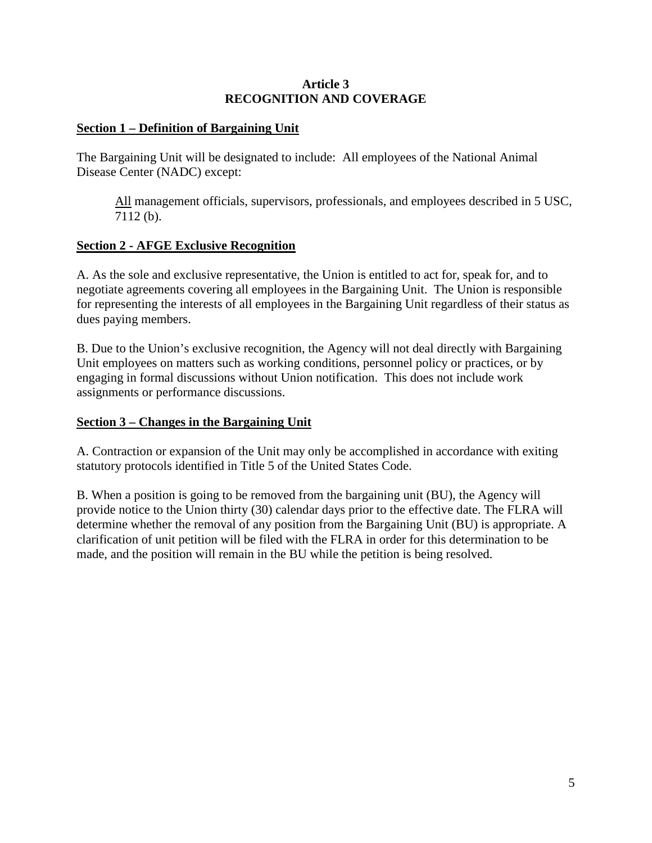### **Article 3 RECOGNITION AND COVERAGE**

### **Section 1 – Definition of Bargaining Unit**

The Bargaining Unit will be designated to include: All employees of the National Animal Disease Center (NADC) except:

All management officials, supervisors, professionals, and employees described in 5 USC, 7112 (b).

### **Section 2 - AFGE Exclusive Recognition**

A. As the sole and exclusive representative, the Union is entitled to act for, speak for, and to negotiate agreements covering all employees in the Bargaining Unit. The Union is responsible for representing the interests of all employees in the Bargaining Unit regardless of their status as dues paying members.

B. Due to the Union's exclusive recognition, the Agency will not deal directly with Bargaining Unit employees on matters such as working conditions, personnel policy or practices, or by engaging in formal discussions without Union notification. This does not include work assignments or performance discussions.

### **Section 3 – Changes in the Bargaining Unit**

A. Contraction or expansion of the Unit may only be accomplished in accordance with exiting statutory protocols identified in Title 5 of the United States Code.

B. When a position is going to be removed from the bargaining unit (BU), the Agency will provide notice to the Union thirty (30) calendar days prior to the effective date. The FLRA will determine whether the removal of any position from the Bargaining Unit (BU) is appropriate. A clarification of unit petition will be filed with the FLRA in order for this determination to be made, and the position will remain in the BU while the petition is being resolved.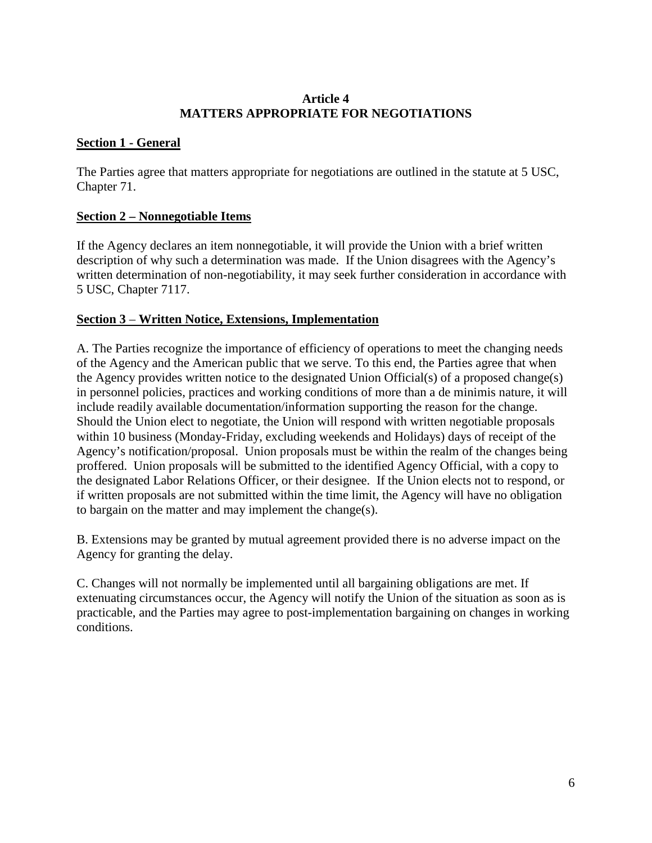### **Article 4 MATTERS APPROPRIATE FOR NEGOTIATIONS**

# **Section 1 - General**

The Parties agree that matters appropriate for negotiations are outlined in the statute at 5 USC, Chapter 71.

# **Section 2 – Nonnegotiable Items**

If the Agency declares an item nonnegotiable, it will provide the Union with a brief written description of why such a determination was made. If the Union disagrees with the Agency's written determination of non-negotiability, it may seek further consideration in accordance with 5 USC, Chapter 7117.

### **Section 3** – **Written Notice, Extensions, Implementation**

A. The Parties recognize the importance of efficiency of operations to meet the changing needs of the Agency and the American public that we serve. To this end, the Parties agree that when the Agency provides written notice to the designated Union Official(s) of a proposed change(s) in personnel policies, practices and working conditions of more than a de minimis nature, it will include readily available documentation/information supporting the reason for the change. Should the Union elect to negotiate, the Union will respond with written negotiable proposals within 10 business (Monday-Friday, excluding weekends and Holidays) days of receipt of the Agency's notification/proposal. Union proposals must be within the realm of the changes being proffered. Union proposals will be submitted to the identified Agency Official, with a copy to the designated Labor Relations Officer, or their designee. If the Union elects not to respond, or if written proposals are not submitted within the time limit, the Agency will have no obligation to bargain on the matter and may implement the change(s).

B. Extensions may be granted by mutual agreement provided there is no adverse impact on the Agency for granting the delay.

C. Changes will not normally be implemented until all bargaining obligations are met. If extenuating circumstances occur, the Agency will notify the Union of the situation as soon as is practicable, and the Parties may agree to post-implementation bargaining on changes in working conditions.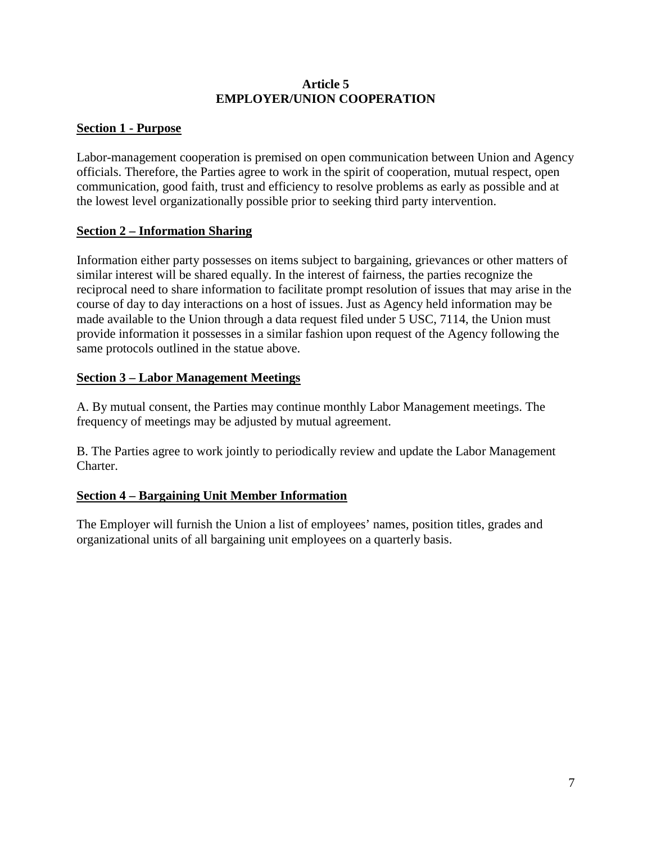### **Article 5 EMPLOYER/UNION COOPERATION**

## **Section 1 - Purpose**

Labor-management cooperation is premised on open communication between Union and Agency officials. Therefore, the Parties agree to work in the spirit of cooperation, mutual respect, open communication, good faith, trust and efficiency to resolve problems as early as possible and at the lowest level organizationally possible prior to seeking third party intervention.

### **Section 2 – Information Sharing**

Information either party possesses on items subject to bargaining, grievances or other matters of similar interest will be shared equally. In the interest of fairness, the parties recognize the reciprocal need to share information to facilitate prompt resolution of issues that may arise in the course of day to day interactions on a host of issues. Just as Agency held information may be made available to the Union through a data request filed under 5 USC, 7114, the Union must provide information it possesses in a similar fashion upon request of the Agency following the same protocols outlined in the statue above.

# **Section 3 – Labor Management Meetings**

A. By mutual consent, the Parties may continue monthly Labor Management meetings. The frequency of meetings may be adjusted by mutual agreement.

B. The Parties agree to work jointly to periodically review and update the Labor Management Charter.

# **Section 4 – Bargaining Unit Member Information**

The Employer will furnish the Union a list of employees' names, position titles, grades and organizational units of all bargaining unit employees on a quarterly basis.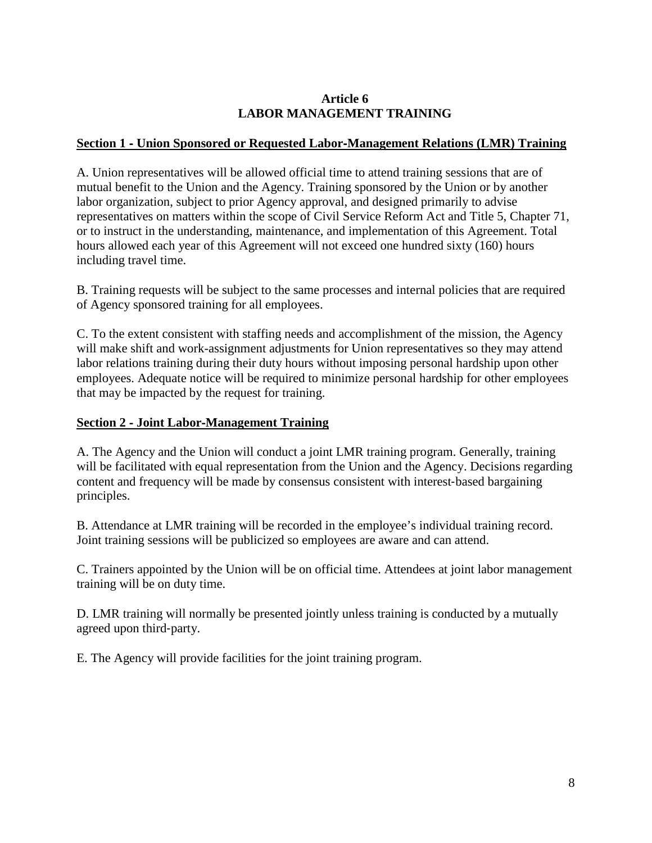# **Article 6 LABOR MANAGEMENT TRAINING**

### **Section 1** ‐ **Union Sponsored or Requested Labor**‐**Management Relations (LMR) Training**

A. Union representatives will be allowed official time to attend training sessions that are of mutual benefit to the Union and the Agency. Training sponsored by the Union or by another labor organization, subject to prior Agency approval, and designed primarily to advise representatives on matters within the scope of Civil Service Reform Act and Title 5, Chapter 71, or to instruct in the understanding, maintenance, and implementation of this Agreement. Total hours allowed each year of this Agreement will not exceed one hundred sixty (160) hours including travel time.

B. Training requests will be subject to the same processes and internal policies that are required of Agency sponsored training for all employees.

C. To the extent consistent with staffing needs and accomplishment of the mission, the Agency will make shift and work-assignment adjustments for Union representatives so they may attend labor relations training during their duty hours without imposing personal hardship upon other employees. Adequate notice will be required to minimize personal hardship for other employees that may be impacted by the request for training.

### **Section 2** ‐ **Joint Labor**‐**Management Training**

A. The Agency and the Union will conduct a joint LMR training program. Generally, training will be facilitated with equal representation from the Union and the Agency. Decisions regarding content and frequency will be made by consensus consistent with interest-based bargaining principles.

B. Attendance at LMR training will be recorded in the employee's individual training record. Joint training sessions will be publicized so employees are aware and can attend.

C. Trainers appointed by the Union will be on official time. Attendees at joint labor management training will be on duty time.

D. LMR training will normally be presented jointly unless training is conducted by a mutually agreed upon third‐party.

E. The Agency will provide facilities for the joint training program.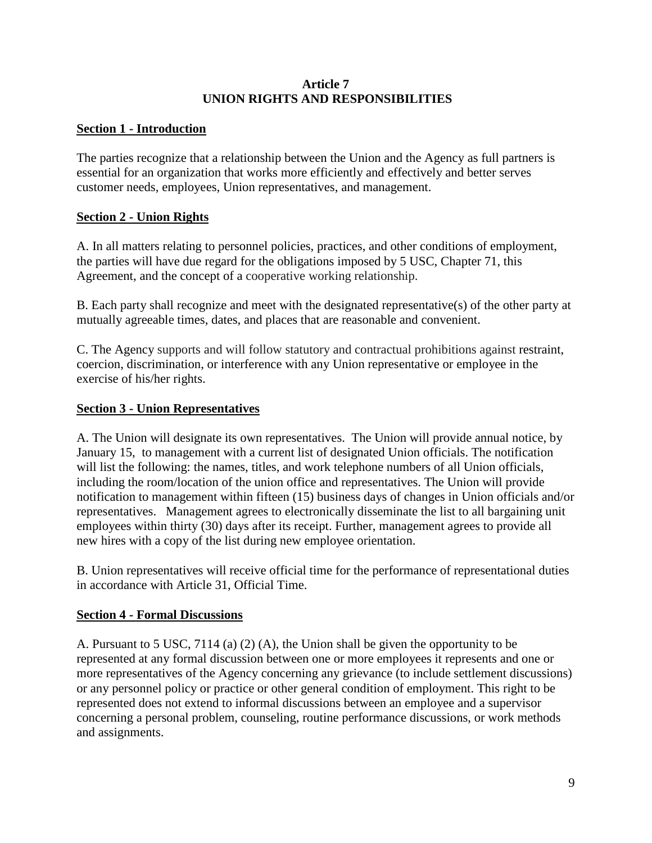### **Article 7 UNION RIGHTS AND RESPONSIBILITIES**

## **Section 1 - Introduction**

The parties recognize that a relationship between the Union and the Agency as full partners is essential for an organization that works more efficiently and effectively and better serves customer needs, employees, Union representatives, and management.

# **Section 2 - Union Rights**

A. In all matters relating to personnel policies, practices, and other conditions of employment, the parties will have due regard for the obligations imposed by 5 USC, Chapter 71, this Agreement, and the concept of a cooperative working relationship.

B. Each party shall recognize and meet with the designated representative(s) of the other party at mutually agreeable times, dates, and places that are reasonable and convenient.

C. The Agency supports and will follow statutory and contractual prohibitions against restraint, coercion, discrimination, or interference with any Union representative or employee in the exercise of his/her rights.

# **Section 3 - Union Representatives**

A. The Union will designate its own representatives. The Union will provide annual notice, by January 15, to management with a current list of designated Union officials. The notification will list the following: the names, titles, and work telephone numbers of all Union officials, including the room/location of the union office and representatives. The Union will provide notification to management within fifteen (15) business days of changes in Union officials and/or representatives. Management agrees to electronically disseminate the list to all bargaining unit employees within thirty (30) days after its receipt. Further, management agrees to provide all new hires with a copy of the list during new employee orientation.

B. Union representatives will receive official time for the performance of representational duties in accordance with Article 31, Official Time.

# **Section 4 - Formal Discussions**

A. Pursuant to 5 USC, 7114 (a) (2) (A), the Union shall be given the opportunity to be represented at any formal discussion between one or more employees it represents and one or more representatives of the Agency concerning any grievance (to include settlement discussions) or any personnel policy or practice or other general condition of employment. This right to be represented does not extend to informal discussions between an employee and a supervisor concerning a personal problem, counseling, routine performance discussions, or work methods and assignments.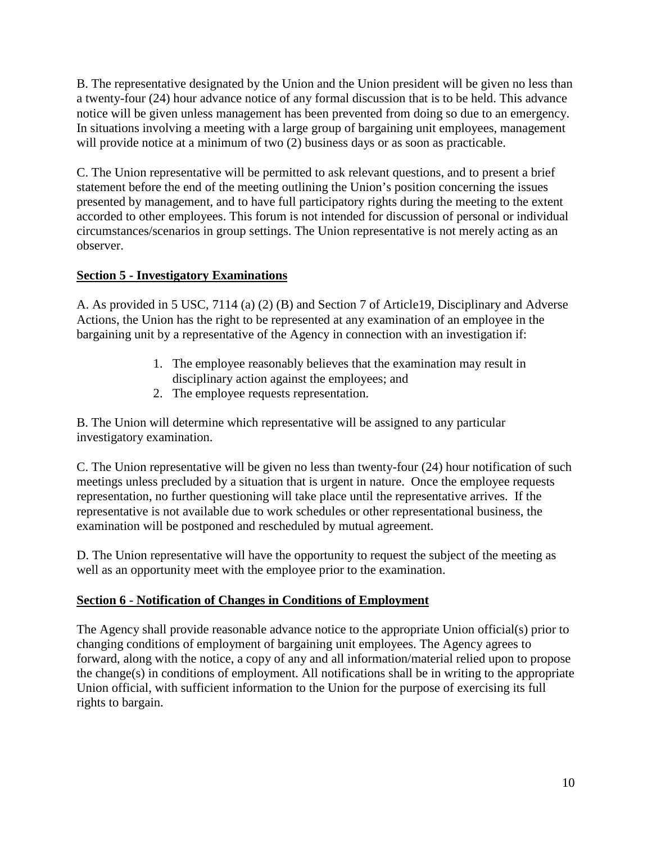B. The representative designated by the Union and the Union president will be given no less than a twenty-four (24) hour advance notice of any formal discussion that is to be held. This advance notice will be given unless management has been prevented from doing so due to an emergency. In situations involving a meeting with a large group of bargaining unit employees, management will provide notice at a minimum of two  $(2)$  business days or as soon as practicable.

C. The Union representative will be permitted to ask relevant questions, and to present a brief statement before the end of the meeting outlining the Union's position concerning the issues presented by management, and to have full participatory rights during the meeting to the extent accorded to other employees. This forum is not intended for discussion of personal or individual circumstances/scenarios in group settings. The Union representative is not merely acting as an observer.

# **Section 5 - Investigatory Examinations**

A. As provided in 5 USC, 7114 (a) (2) (B) and Section 7 of Article19, Disciplinary and Adverse Actions, the Union has the right to be represented at any examination of an employee in the bargaining unit by a representative of the Agency in connection with an investigation if:

- 1. The employee reasonably believes that the examination may result in disciplinary action against the employees; and
- 2. The employee requests representation.

B. The Union will determine which representative will be assigned to any particular investigatory examination.

C. The Union representative will be given no less than twenty-four (24) hour notification of such meetings unless precluded by a situation that is urgent in nature. Once the employee requests representation, no further questioning will take place until the representative arrives. If the representative is not available due to work schedules or other representational business, the examination will be postponed and rescheduled by mutual agreement.

D. The Union representative will have the opportunity to request the subject of the meeting as well as an opportunity meet with the employee prior to the examination.

# **Section 6 - Notification of Changes in Conditions of Employment**

The Agency shall provide reasonable advance notice to the appropriate Union official(s) prior to changing conditions of employment of bargaining unit employees. The Agency agrees to forward, along with the notice, a copy of any and all information/material relied upon to propose the change(s) in conditions of employment. All notifications shall be in writing to the appropriate Union official, with sufficient information to the Union for the purpose of exercising its full rights to bargain.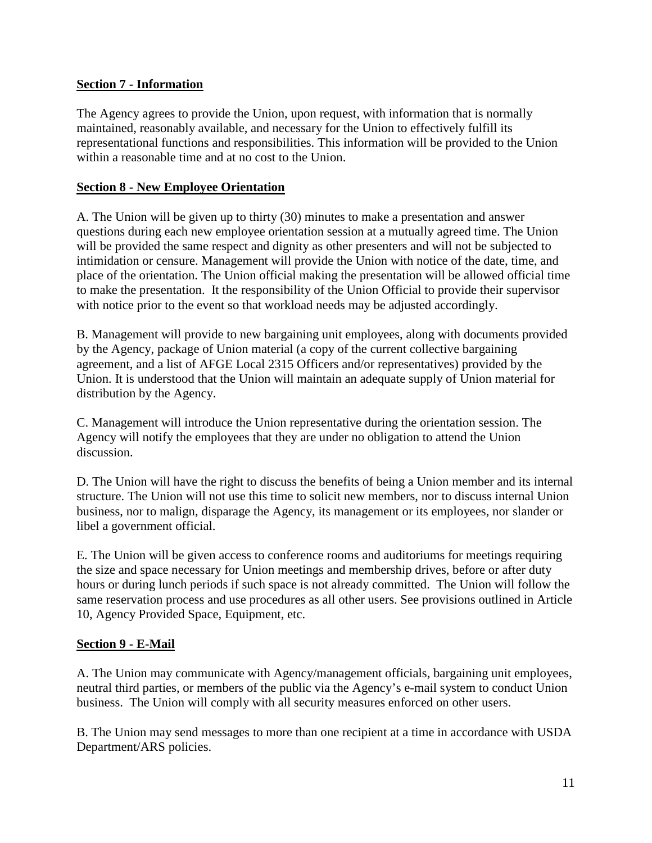## **Section 7 - Information**

The Agency agrees to provide the Union, upon request, with information that is normally maintained, reasonably available, and necessary for the Union to effectively fulfill its representational functions and responsibilities. This information will be provided to the Union within a reasonable time and at no cost to the Union.

# **Section 8 - New Employee Orientation**

A. The Union will be given up to thirty (30) minutes to make a presentation and answer questions during each new employee orientation session at a mutually agreed time. The Union will be provided the same respect and dignity as other presenters and will not be subjected to intimidation or censure. Management will provide the Union with notice of the date, time, and place of the orientation. The Union official making the presentation will be allowed official time to make the presentation. It the responsibility of the Union Official to provide their supervisor with notice prior to the event so that workload needs may be adjusted accordingly.

B. Management will provide to new bargaining unit employees, along with documents provided by the Agency, package of Union material (a copy of the current collective bargaining agreement, and a list of AFGE Local 2315 Officers and/or representatives) provided by the Union. It is understood that the Union will maintain an adequate supply of Union material for distribution by the Agency.

C. Management will introduce the Union representative during the orientation session. The Agency will notify the employees that they are under no obligation to attend the Union discussion.

D. The Union will have the right to discuss the benefits of being a Union member and its internal structure. The Union will not use this time to solicit new members, nor to discuss internal Union business, nor to malign, disparage the Agency, its management or its employees, nor slander or libel a government official.

E. The Union will be given access to conference rooms and auditoriums for meetings requiring the size and space necessary for Union meetings and membership drives, before or after duty hours or during lunch periods if such space is not already committed. The Union will follow the same reservation process and use procedures as all other users. See provisions outlined in Article 10, Agency Provided Space, Equipment, etc.

# **Section 9 - E-Mail**

A. The Union may communicate with Agency/management officials, bargaining unit employees, neutral third parties, or members of the public via the Agency's e-mail system to conduct Union business. The Union will comply with all security measures enforced on other users.

B. The Union may send messages to more than one recipient at a time in accordance with USDA Department/ARS policies.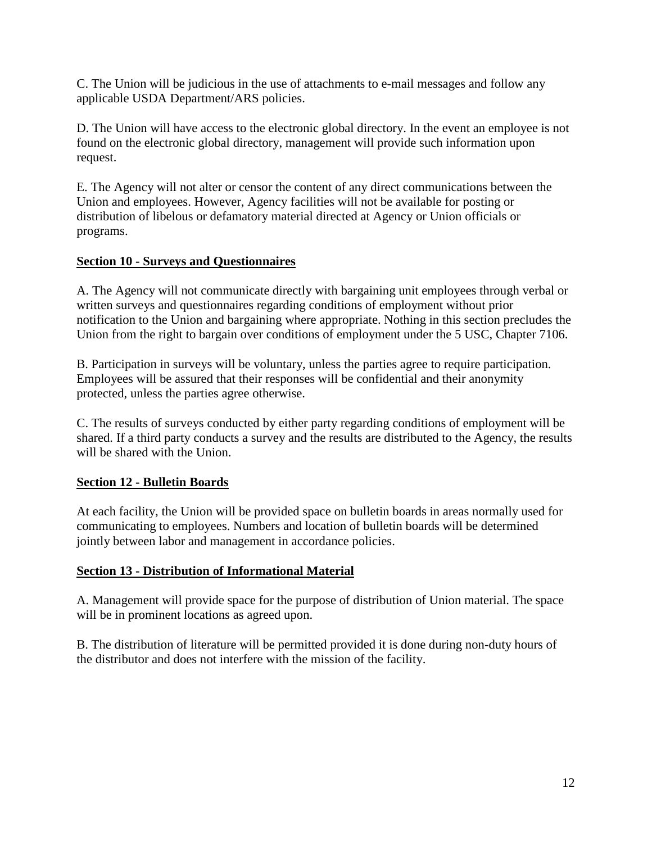C. The Union will be judicious in the use of attachments to e-mail messages and follow any applicable USDA Department/ARS policies.

D. The Union will have access to the electronic global directory. In the event an employee is not found on the electronic global directory, management will provide such information upon request.

E. The Agency will not alter or censor the content of any direct communications between the Union and employees. However, Agency facilities will not be available for posting or distribution of libelous or defamatory material directed at Agency or Union officials or programs.

### **Section 10 - Surveys and Questionnaires**

A. The Agency will not communicate directly with bargaining unit employees through verbal or written surveys and questionnaires regarding conditions of employment without prior notification to the Union and bargaining where appropriate. Nothing in this section precludes the Union from the right to bargain over conditions of employment under the 5 USC, Chapter 7106.

B. Participation in surveys will be voluntary, unless the parties agree to require participation. Employees will be assured that their responses will be confidential and their anonymity protected, unless the parties agree otherwise.

C. The results of surveys conducted by either party regarding conditions of employment will be shared. If a third party conducts a survey and the results are distributed to the Agency, the results will be shared with the Union.

### **Section 12 - Bulletin Boards**

At each facility, the Union will be provided space on bulletin boards in areas normally used for communicating to employees. Numbers and location of bulletin boards will be determined jointly between labor and management in accordance policies.

### **Section 13 - Distribution of Informational Material**

A. Management will provide space for the purpose of distribution of Union material. The space will be in prominent locations as agreed upon.

B. The distribution of literature will be permitted provided it is done during non-duty hours of the distributor and does not interfere with the mission of the facility.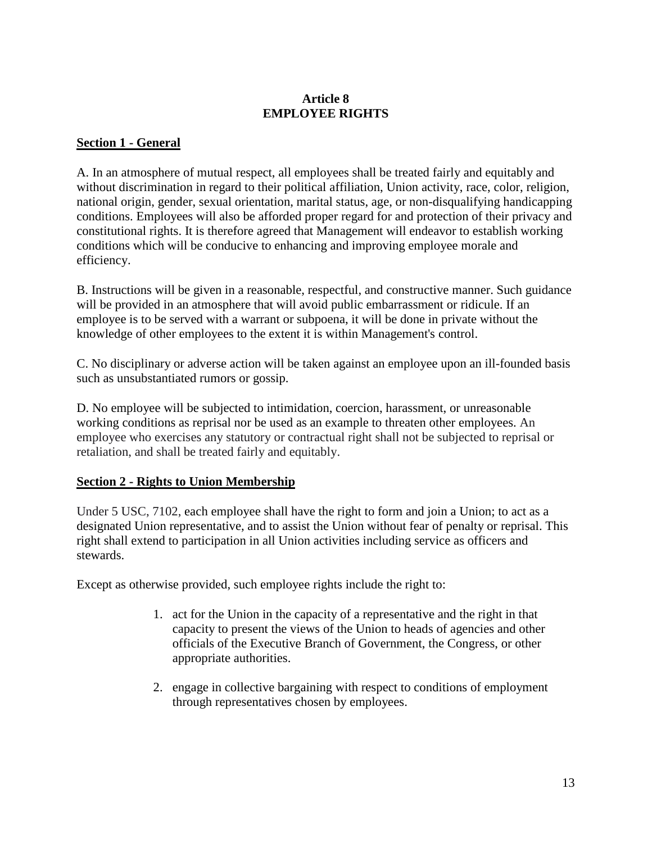# **Article 8 EMPLOYEE RIGHTS**

# **Section 1 - General**

A. In an atmosphere of mutual respect, all employees shall be treated fairly and equitably and without discrimination in regard to their political affiliation, Union activity, race, color, religion, national origin, gender, sexual orientation, marital status, age, or non-disqualifying handicapping conditions. Employees will also be afforded proper regard for and protection of their privacy and constitutional rights. It is therefore agreed that Management will endeavor to establish working conditions which will be conducive to enhancing and improving employee morale and efficiency.

B. Instructions will be given in a reasonable, respectful, and constructive manner. Such guidance will be provided in an atmosphere that will avoid public embarrassment or ridicule. If an employee is to be served with a warrant or subpoena, it will be done in private without the knowledge of other employees to the extent it is within Management's control.

C. No disciplinary or adverse action will be taken against an employee upon an ill-founded basis such as unsubstantiated rumors or gossip.

D. No employee will be subjected to intimidation, coercion, harassment, or unreasonable working conditions as reprisal nor be used as an example to threaten other employees. An employee who exercises any statutory or contractual right shall not be subjected to reprisal or retaliation, and shall be treated fairly and equitably.

### **Section 2 - Rights to Union Membership**

Under 5 USC, 7102, each employee shall have the right to form and join a Union; to act as a designated Union representative, and to assist the Union without fear of penalty or reprisal. This right shall extend to participation in all Union activities including service as officers and stewards.

Except as otherwise provided, such employee rights include the right to:

- 1. act for the Union in the capacity of a representative and the right in that capacity to present the views of the Union to heads of agencies and other officials of the Executive Branch of Government, the Congress, or other appropriate authorities.
- 2. engage in collective bargaining with respect to conditions of employment through representatives chosen by employees.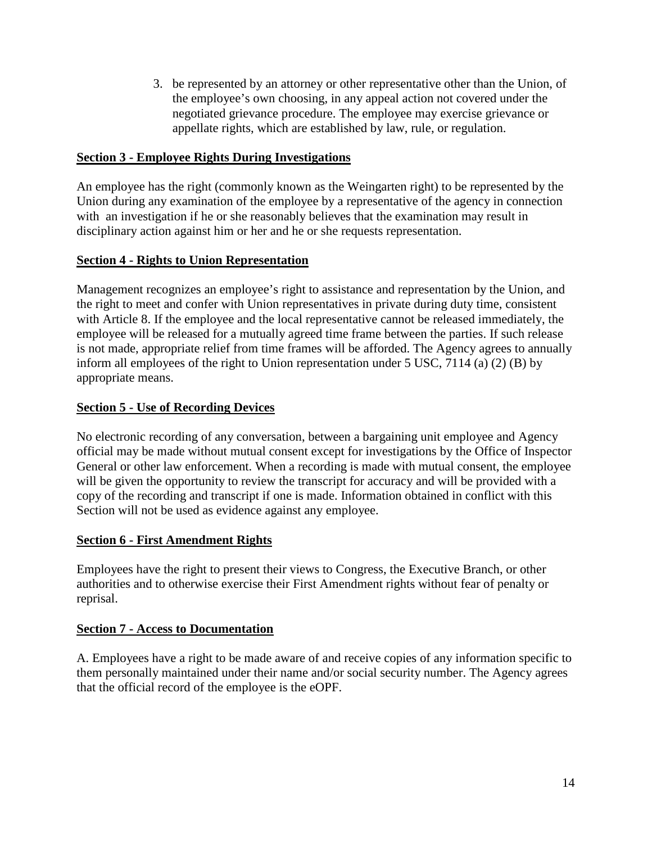3. be represented by an attorney or other representative other than the Union, of the employee's own choosing, in any appeal action not covered under the negotiated grievance procedure. The employee may exercise grievance or appellate rights, which are established by law, rule, or regulation.

### **Section 3 - Employee Rights During Investigations**

An employee has the right (commonly known as the Weingarten right) to be represented by the Union during any examination of the employee by a representative of the agency in connection with an investigation if he or she reasonably believes that the examination may result in disciplinary action against him or her and he or she requests representation.

# **Section 4 - Rights to Union Representation**

Management recognizes an employee's right to assistance and representation by the Union, and the right to meet and confer with Union representatives in private during duty time, consistent with Article 8. If the employee and the local representative cannot be released immediately, the employee will be released for a mutually agreed time frame between the parties. If such release is not made, appropriate relief from time frames will be afforded. The Agency agrees to annually inform all employees of the right to Union representation under 5 USC, 7114 (a) (2) (B) by appropriate means.

# **Section 5 - Use of Recording Devices**

No electronic recording of any conversation, between a bargaining unit employee and Agency official may be made without mutual consent except for investigations by the Office of Inspector General or other law enforcement. When a recording is made with mutual consent, the employee will be given the opportunity to review the transcript for accuracy and will be provided with a copy of the recording and transcript if one is made. Information obtained in conflict with this Section will not be used as evidence against any employee.

### **Section 6 - First Amendment Rights**

Employees have the right to present their views to Congress, the Executive Branch, or other authorities and to otherwise exercise their First Amendment rights without fear of penalty or reprisal.

### **Section 7 - Access to Documentation**

A. Employees have a right to be made aware of and receive copies of any information specific to them personally maintained under their name and/or social security number. The Agency agrees that the official record of the employee is the eOPF.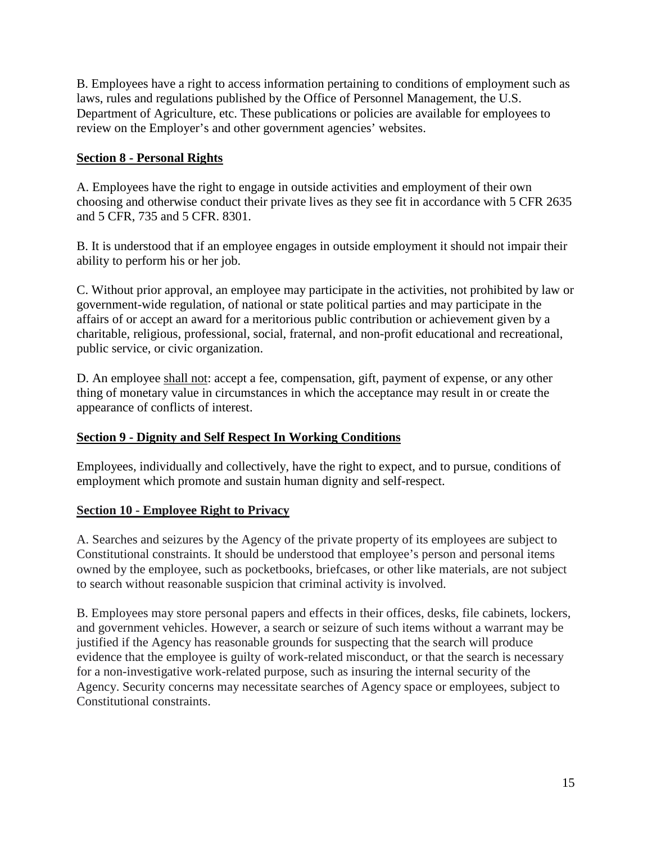B. Employees have a right to access information pertaining to conditions of employment such as laws, rules and regulations published by the Office of Personnel Management, the U.S. Department of Agriculture, etc. These publications or policies are available for employees to review on the Employer's and other government agencies' websites.

## **Section 8 - Personal Rights**

A. Employees have the right to engage in outside activities and employment of their own choosing and otherwise conduct their private lives as they see fit in accordance with 5 CFR 2635 and 5 CFR, 735 and 5 CFR. 8301.

B. It is understood that if an employee engages in outside employment it should not impair their ability to perform his or her job.

C. Without prior approval, an employee may participate in the activities, not prohibited by law or government-wide regulation, of national or state political parties and may participate in the affairs of or accept an award for a meritorious public contribution or achievement given by a charitable, religious, professional, social, fraternal, and non-profit educational and recreational, public service, or civic organization.

D. An employee shall not: accept a fee, compensation, gift, payment of expense, or any other thing of monetary value in circumstances in which the acceptance may result in or create the appearance of conflicts of interest.

### **Section 9 - Dignity and Self Respect In Working Conditions**

Employees, individually and collectively, have the right to expect, and to pursue, conditions of employment which promote and sustain human dignity and self-respect.

### **Section 10 - Employee Right to Privacy**

A. Searches and seizures by the Agency of the private property of its employees are subject to Constitutional constraints. It should be understood that employee's person and personal items owned by the employee, such as pocketbooks, briefcases, or other like materials, are not subject to search without reasonable suspicion that criminal activity is involved.

B. Employees may store personal papers and effects in their offices, desks, file cabinets, lockers, and government vehicles. However, a search or seizure of such items without a warrant may be justified if the Agency has reasonable grounds for suspecting that the search will produce evidence that the employee is guilty of work-related misconduct, or that the search is necessary for a non-investigative work-related purpose, such as insuring the internal security of the Agency. Security concerns may necessitate searches of Agency space or employees, subject to Constitutional constraints.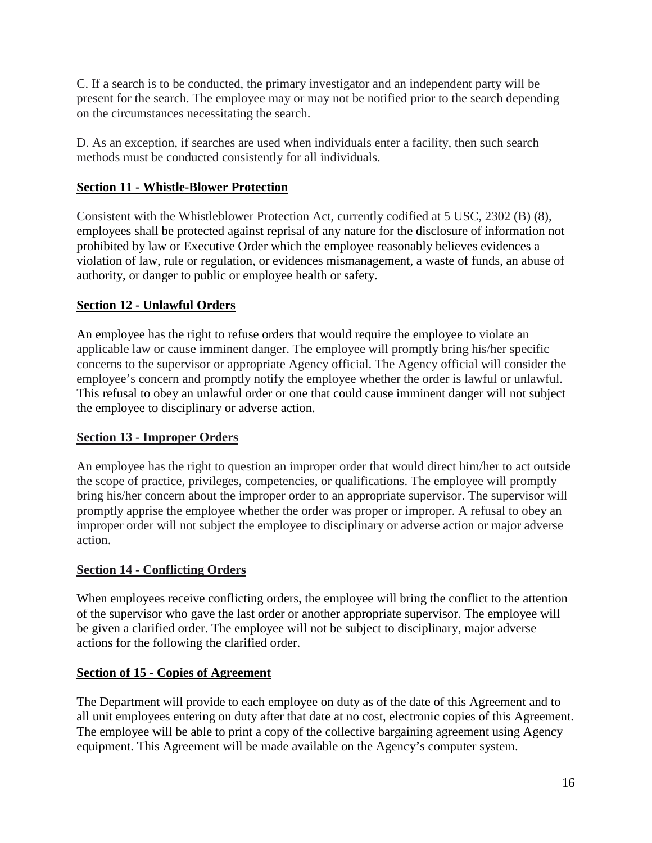C. If a search is to be conducted, the primary investigator and an independent party will be present for the search. The employee may or may not be notified prior to the search depending on the circumstances necessitating the search.

D. As an exception, if searches are used when individuals enter a facility, then such search methods must be conducted consistently for all individuals.

# **Section 11 - Whistle-Blower Protection**

Consistent with the Whistleblower Protection Act, currently codified at 5 USC, 2302 (B) (8), employees shall be protected against reprisal of any nature for the disclosure of information not prohibited by law or Executive Order which the employee reasonably believes evidences a violation of law, rule or regulation, or evidences mismanagement, a waste of funds, an abuse of authority, or danger to public or employee health or safety.

# **Section 12 - Unlawful Orders**

An employee has the right to refuse orders that would require the employee to violate an applicable law or cause imminent danger. The employee will promptly bring his/her specific concerns to the supervisor or appropriate Agency official. The Agency official will consider the employee's concern and promptly notify the employee whether the order is lawful or unlawful. This refusal to obey an unlawful order or one that could cause imminent danger will not subject the employee to disciplinary or adverse action.

# **Section 13 - Improper Orders**

An employee has the right to question an improper order that would direct him/her to act outside the scope of practice, privileges, competencies, or qualifications. The employee will promptly bring his/her concern about the improper order to an appropriate supervisor. The supervisor will promptly apprise the employee whether the order was proper or improper. A refusal to obey an improper order will not subject the employee to disciplinary or adverse action or major adverse action.

# **Section 14 - Conflicting Orders**

When employees receive conflicting orders, the employee will bring the conflict to the attention of the supervisor who gave the last order or another appropriate supervisor. The employee will be given a clarified order. The employee will not be subject to disciplinary, major adverse actions for the following the clarified order.

# **Section of 15 - Copies of Agreement**

The Department will provide to each employee on duty as of the date of this Agreement and to all unit employees entering on duty after that date at no cost, electronic copies of this Agreement. The employee will be able to print a copy of the collective bargaining agreement using Agency equipment. This Agreement will be made available on the Agency's computer system.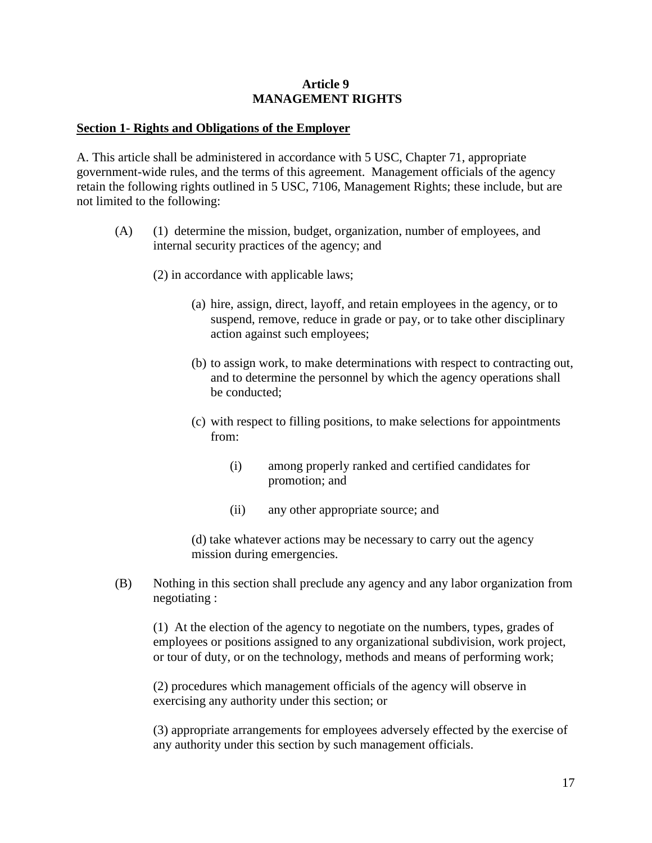#### **Article 9 MANAGEMENT RIGHTS**

#### **Section 1- Rights and Obligations of the Employer**

A. This article shall be administered in accordance with 5 USC, Chapter 71, appropriate government-wide rules, and the terms of this agreement. Management officials of the agency retain the following rights outlined in 5 USC, 7106, Management Rights; these include, but are not limited to the following:

- (A) (1) determine the mission, budget, organization, number of employees, and internal security practices of the agency; and
	- (2) in accordance with applicable laws;
		- (a) hire, assign, direct, layoff, and retain employees in the agency, or to suspend, remove, reduce in grade or pay, or to take other disciplinary action against such employees;
		- (b) to assign work, to make determinations with respect to contracting out, and to determine the personnel by which the agency operations shall be conducted;
		- (c) with respect to filling positions, to make selections for appointments from:
			- (i) among properly ranked and certified candidates for promotion; and
			- (ii) any other appropriate source; and

(d) take whatever actions may be necessary to carry out the agency mission during emergencies.

(B) Nothing in this section shall preclude any agency and any labor organization from negotiating :

(1) At the election of the agency to negotiate on the numbers, types, grades of employees or positions assigned to any organizational subdivision, work project, or tour of duty, or on the technology, methods and means of performing work;

(2) procedures which management officials of the agency will observe in exercising any authority under this section; or

(3) appropriate arrangements for employees adversely effected by the exercise of any authority under this section by such management officials.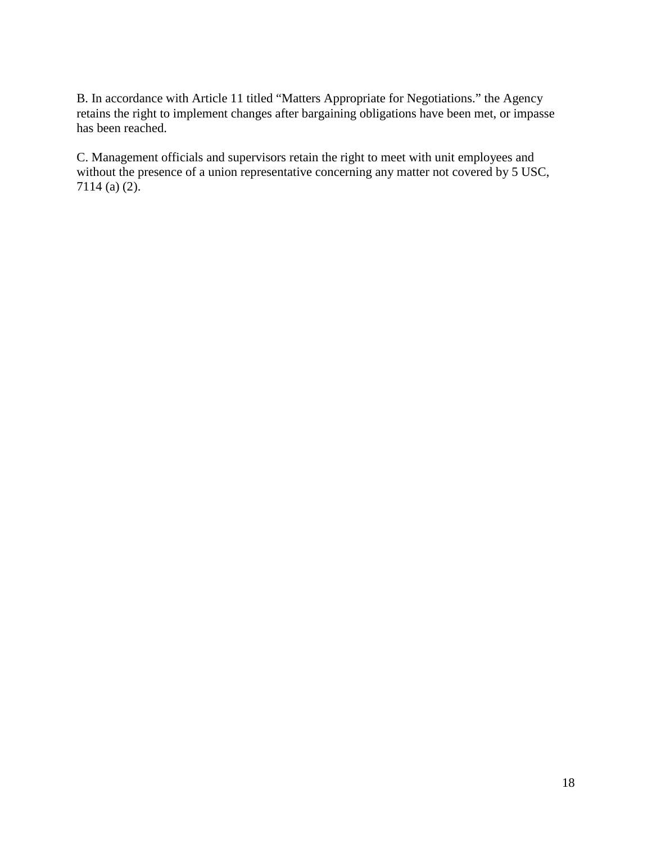B. In accordance with Article 11 titled "Matters Appropriate for Negotiations." the Agency retains the right to implement changes after bargaining obligations have been met, or impasse has been reached.

C. Management officials and supervisors retain the right to meet with unit employees and without the presence of a union representative concerning any matter not covered by 5 USC, 7114 (a) (2).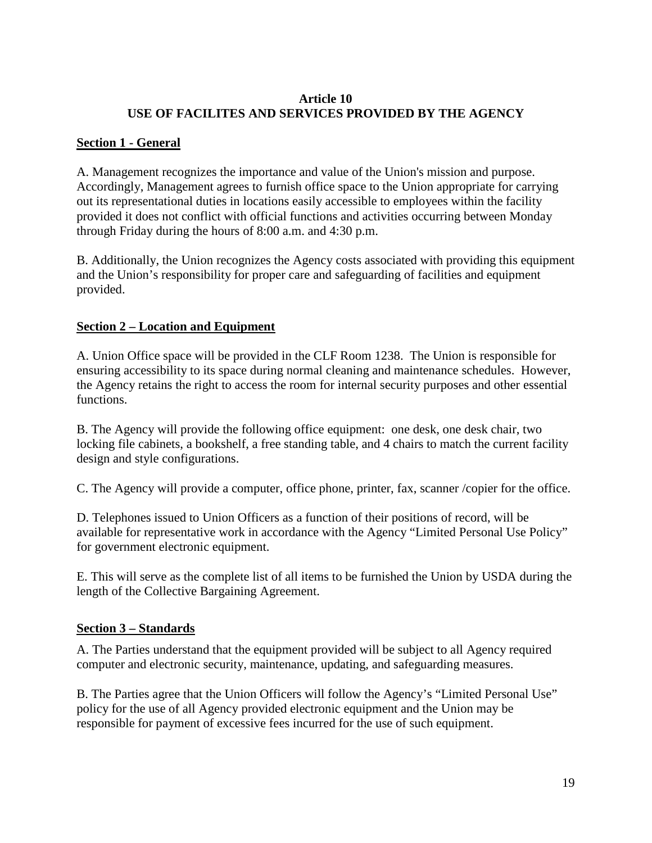### **Article 10 USE OF FACILITES AND SERVICES PROVIDED BY THE AGENCY**

## **Section 1 - General**

A. Management recognizes the importance and value of the Union's mission and purpose. Accordingly, Management agrees to furnish office space to the Union appropriate for carrying out its representational duties in locations easily accessible to employees within the facility provided it does not conflict with official functions and activities occurring between Monday through Friday during the hours of 8:00 a.m. and 4:30 p.m.

B. Additionally, the Union recognizes the Agency costs associated with providing this equipment and the Union's responsibility for proper care and safeguarding of facilities and equipment provided.

### **Section 2 – Location and Equipment**

A. Union Office space will be provided in the CLF Room 1238. The Union is responsible for ensuring accessibility to its space during normal cleaning and maintenance schedules. However, the Agency retains the right to access the room for internal security purposes and other essential functions.

B. The Agency will provide the following office equipment: one desk, one desk chair, two locking file cabinets, a bookshelf, a free standing table, and 4 chairs to match the current facility design and style configurations.

C. The Agency will provide a computer, office phone, printer, fax, scanner /copier for the office.

D. Telephones issued to Union Officers as a function of their positions of record, will be available for representative work in accordance with the Agency "Limited Personal Use Policy" for government electronic equipment.

E. This will serve as the complete list of all items to be furnished the Union by USDA during the length of the Collective Bargaining Agreement.

### **Section 3 – Standards**

A. The Parties understand that the equipment provided will be subject to all Agency required computer and electronic security, maintenance, updating, and safeguarding measures.

B. The Parties agree that the Union Officers will follow the Agency's "Limited Personal Use" policy for the use of all Agency provided electronic equipment and the Union may be responsible for payment of excessive fees incurred for the use of such equipment.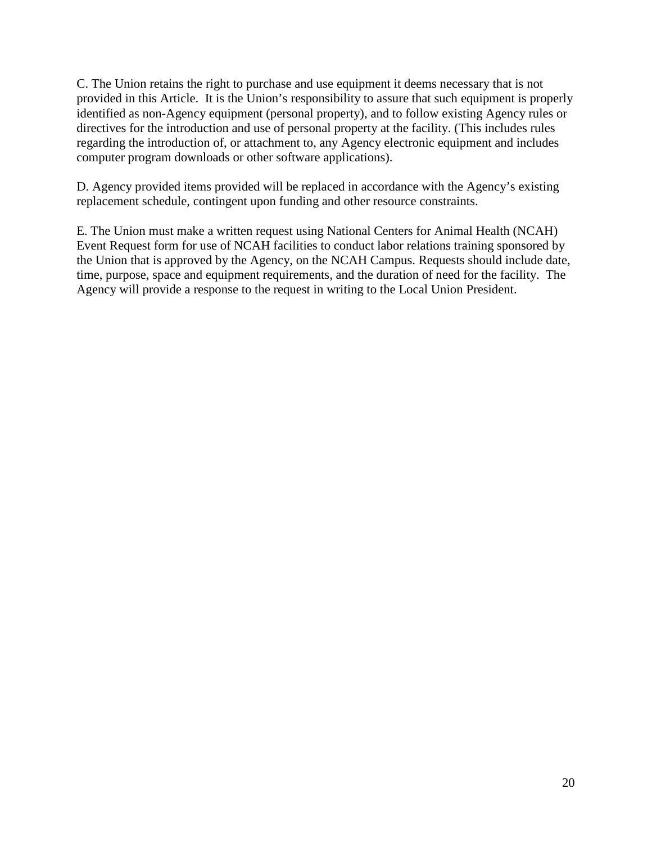C. The Union retains the right to purchase and use equipment it deems necessary that is not provided in this Article. It is the Union's responsibility to assure that such equipment is properly identified as non-Agency equipment (personal property), and to follow existing Agency rules or directives for the introduction and use of personal property at the facility. (This includes rules regarding the introduction of, or attachment to, any Agency electronic equipment and includes computer program downloads or other software applications).

D. Agency provided items provided will be replaced in accordance with the Agency's existing replacement schedule, contingent upon funding and other resource constraints.

E. The Union must make a written request using National Centers for Animal Health (NCAH) Event Request form for use of NCAH facilities to conduct labor relations training sponsored by the Union that is approved by the Agency, on the NCAH Campus. Requests should include date, time, purpose, space and equipment requirements, and the duration of need for the facility. The Agency will provide a response to the request in writing to the Local Union President.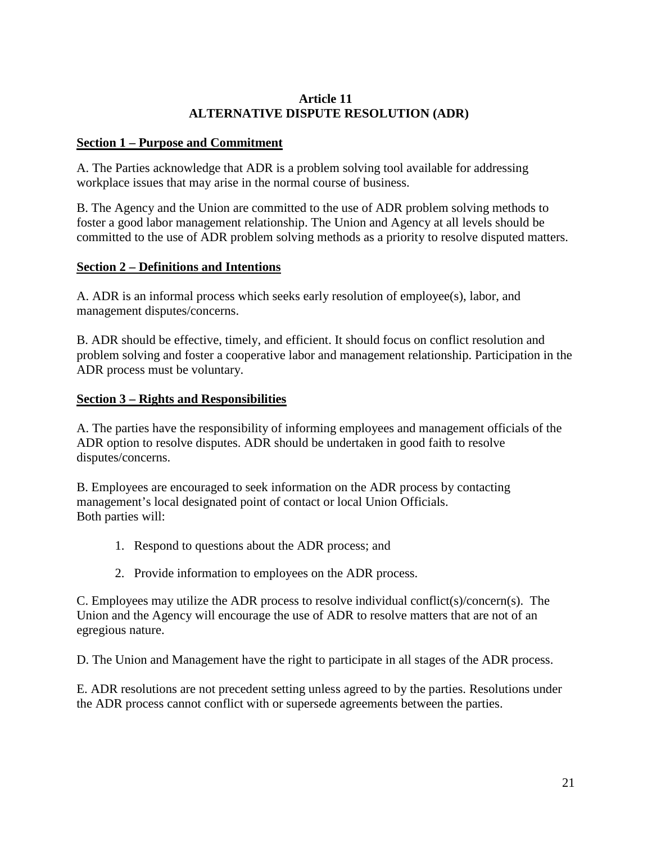### **Article 11 ALTERNATIVE DISPUTE RESOLUTION (ADR)**

### **Section 1 – Purpose and Commitment**

A. The Parties acknowledge that ADR is a problem solving tool available for addressing workplace issues that may arise in the normal course of business.

B. The Agency and the Union are committed to the use of ADR problem solving methods to foster a good labor management relationship. The Union and Agency at all levels should be committed to the use of ADR problem solving methods as a priority to resolve disputed matters.

### **Section 2 – Definitions and Intentions**

A. ADR is an informal process which seeks early resolution of employee(s), labor, and management disputes/concerns.

B. ADR should be effective, timely, and efficient. It should focus on conflict resolution and problem solving and foster a cooperative labor and management relationship. Participation in the ADR process must be voluntary.

### **Section 3 – Rights and Responsibilities**

A. The parties have the responsibility of informing employees and management officials of the ADR option to resolve disputes. ADR should be undertaken in good faith to resolve disputes/concerns.

B. Employees are encouraged to seek information on the ADR process by contacting management's local designated point of contact or local Union Officials. Both parties will:

- 1. Respond to questions about the ADR process; and
- 2. Provide information to employees on the ADR process.

C. Employees may utilize the ADR process to resolve individual conflict(s)/concern(s). The Union and the Agency will encourage the use of ADR to resolve matters that are not of an egregious nature.

D. The Union and Management have the right to participate in all stages of the ADR process.

E. ADR resolutions are not precedent setting unless agreed to by the parties. Resolutions under the ADR process cannot conflict with or supersede agreements between the parties.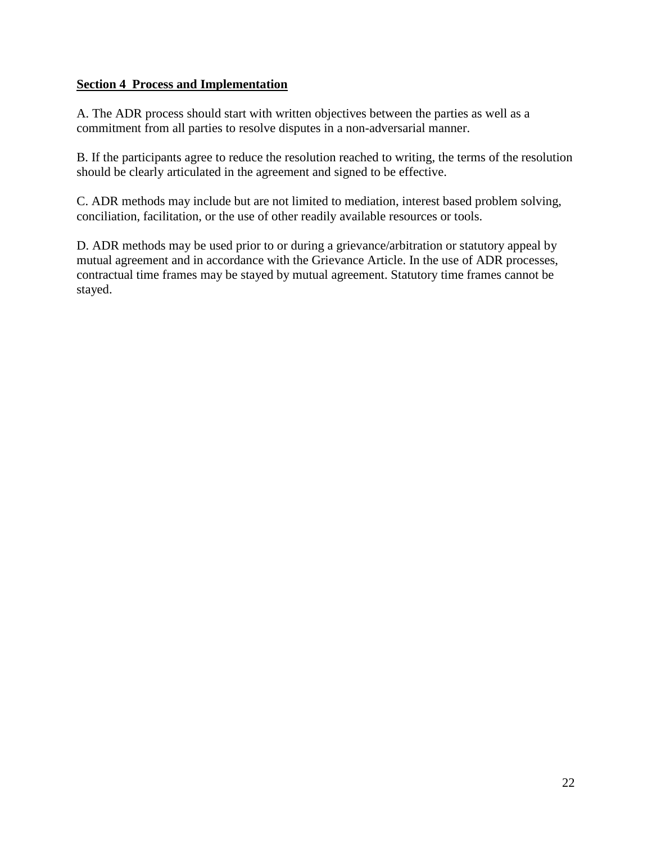### **Section 4 Process and Implementation**

A. The ADR process should start with written objectives between the parties as well as a commitment from all parties to resolve disputes in a non-adversarial manner.

B. If the participants agree to reduce the resolution reached to writing, the terms of the resolution should be clearly articulated in the agreement and signed to be effective.

C. ADR methods may include but are not limited to mediation, interest based problem solving, conciliation, facilitation, or the use of other readily available resources or tools.

D. ADR methods may be used prior to or during a grievance/arbitration or statutory appeal by mutual agreement and in accordance with the Grievance Article. In the use of ADR processes, contractual time frames may be stayed by mutual agreement. Statutory time frames cannot be stayed.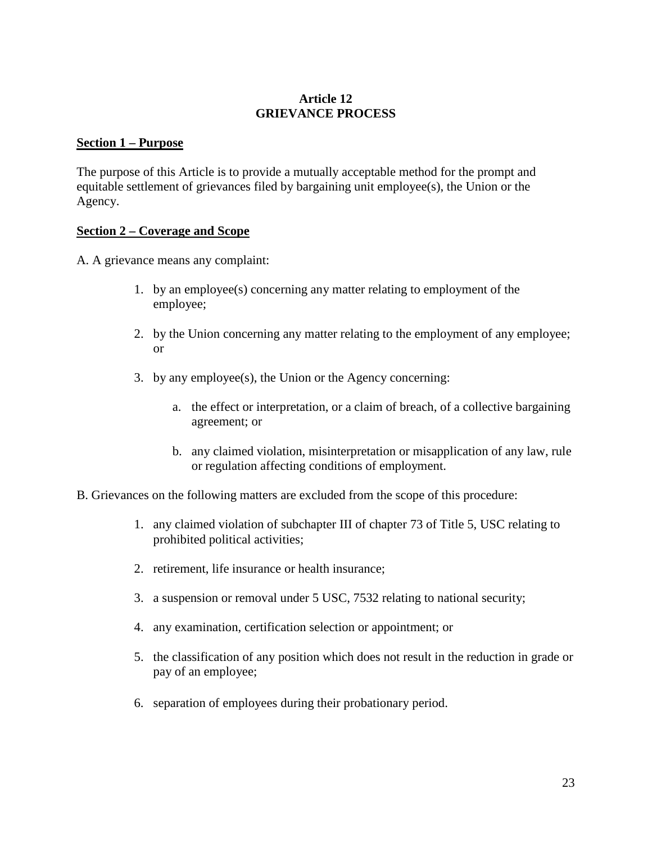### **Article 12 GRIEVANCE PROCESS**

### **Section 1 – Purpose**

The purpose of this Article is to provide a mutually acceptable method for the prompt and equitable settlement of grievances filed by bargaining unit employee(s), the Union or the Agency.

### **Section 2 – Coverage and Scope**

A. A grievance means any complaint:

- 1. by an employee(s) concerning any matter relating to employment of the employee;
- 2. by the Union concerning any matter relating to the employment of any employee; or
- 3. by any employee(s), the Union or the Agency concerning:
	- a. the effect or interpretation, or a claim of breach, of a collective bargaining agreement; or
	- b. any claimed violation, misinterpretation or misapplication of any law, rule or regulation affecting conditions of employment.
- B. Grievances on the following matters are excluded from the scope of this procedure:
	- 1. any claimed violation of subchapter III of chapter 73 of Title 5, USC relating to prohibited political activities;
	- 2. retirement, life insurance or health insurance;
	- 3. a suspension or removal under 5 USC, 7532 relating to national security;
	- 4. any examination, certification selection or appointment; or
	- 5. the classification of any position which does not result in the reduction in grade or pay of an employee;
	- 6. separation of employees during their probationary period.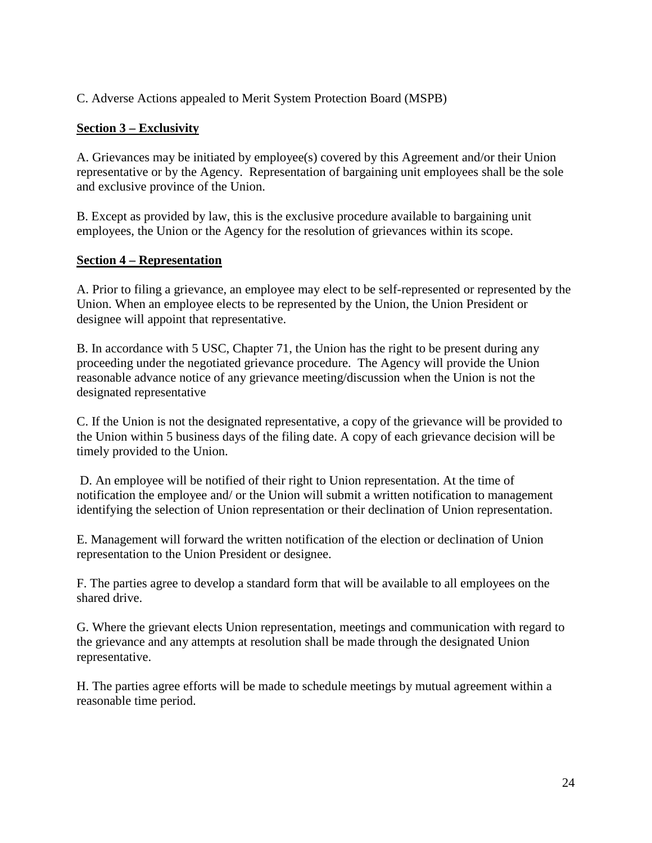C. Adverse Actions appealed to Merit System Protection Board (MSPB)

## **Section 3 – Exclusivity**

A. Grievances may be initiated by employee(s) covered by this Agreement and/or their Union representative or by the Agency. Representation of bargaining unit employees shall be the sole and exclusive province of the Union.

B. Except as provided by law, this is the exclusive procedure available to bargaining unit employees, the Union or the Agency for the resolution of grievances within its scope.

### **Section 4 – Representation**

A. Prior to filing a grievance, an employee may elect to be self-represented or represented by the Union. When an employee elects to be represented by the Union, the Union President or designee will appoint that representative.

B. In accordance with 5 USC, Chapter 71, the Union has the right to be present during any proceeding under the negotiated grievance procedure. The Agency will provide the Union reasonable advance notice of any grievance meeting/discussion when the Union is not the designated representative

C. If the Union is not the designated representative, a copy of the grievance will be provided to the Union within 5 business days of the filing date. A copy of each grievance decision will be timely provided to the Union.

D. An employee will be notified of their right to Union representation. At the time of notification the employee and/ or the Union will submit a written notification to management identifying the selection of Union representation or their declination of Union representation.

E. Management will forward the written notification of the election or declination of Union representation to the Union President or designee.

F. The parties agree to develop a standard form that will be available to all employees on the shared drive.

G. Where the grievant elects Union representation, meetings and communication with regard to the grievance and any attempts at resolution shall be made through the designated Union representative.

H. The parties agree efforts will be made to schedule meetings by mutual agreement within a reasonable time period.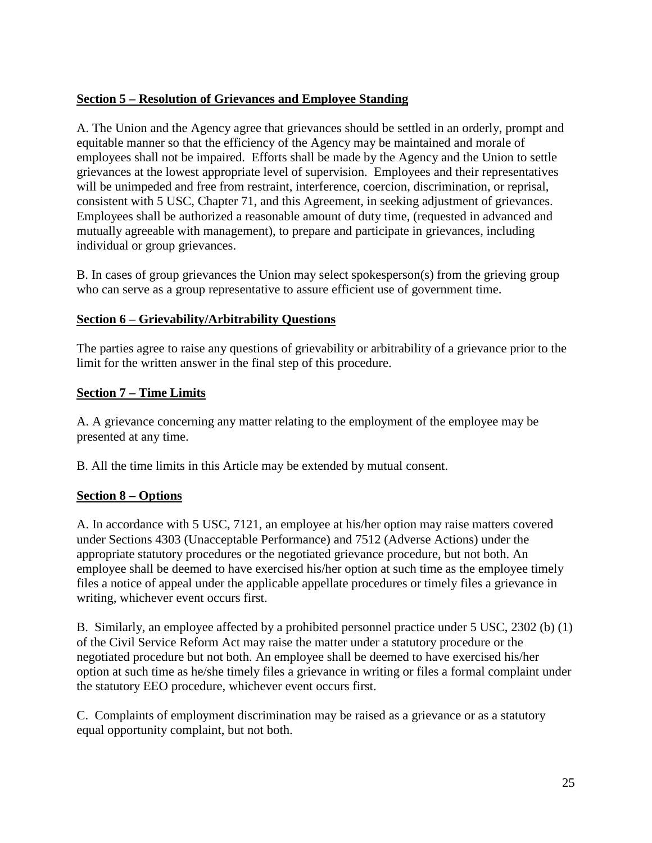# **Section 5 – Resolution of Grievances and Employee Standing**

A. The Union and the Agency agree that grievances should be settled in an orderly, prompt and equitable manner so that the efficiency of the Agency may be maintained and morale of employees shall not be impaired. Efforts shall be made by the Agency and the Union to settle grievances at the lowest appropriate level of supervision. Employees and their representatives will be unimpeded and free from restraint, interference, coercion, discrimination, or reprisal, consistent with 5 USC, Chapter 71, and this Agreement, in seeking adjustment of grievances. Employees shall be authorized a reasonable amount of duty time, (requested in advanced and mutually agreeable with management), to prepare and participate in grievances, including individual or group grievances.

B. In cases of group grievances the Union may select spokesperson(s) from the grieving group who can serve as a group representative to assure efficient use of government time.

# **Section 6 – Grievability/Arbitrability Questions**

The parties agree to raise any questions of grievability or arbitrability of a grievance prior to the limit for the written answer in the final step of this procedure.

### **Section 7 – Time Limits**

A. A grievance concerning any matter relating to the employment of the employee may be presented at any time.

B. All the time limits in this Article may be extended by mutual consent.

# **Section 8 – Options**

A. In accordance with 5 USC, 7121, an employee at his/her option may raise matters covered under Sections 4303 (Unacceptable Performance) and 7512 (Adverse Actions) under the appropriate statutory procedures or the negotiated grievance procedure, but not both. An employee shall be deemed to have exercised his/her option at such time as the employee timely files a notice of appeal under the applicable appellate procedures or timely files a grievance in writing, whichever event occurs first.

B. Similarly, an employee affected by a prohibited personnel practice under 5 USC, 2302 (b) (1) of the Civil Service Reform Act may raise the matter under a statutory procedure or the negotiated procedure but not both. An employee shall be deemed to have exercised his/her option at such time as he/she timely files a grievance in writing or files a formal complaint under the statutory EEO procedure, whichever event occurs first.

C. Complaints of employment discrimination may be raised as a grievance or as a statutory equal opportunity complaint, but not both.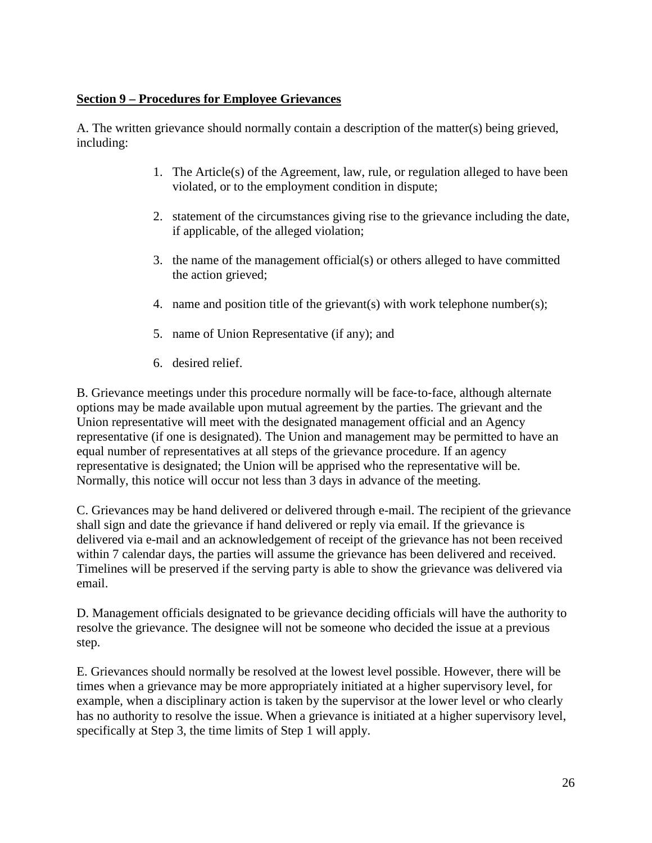### **Section 9 – Procedures for Employee Grievances**

A. The written grievance should normally contain a description of the matter(s) being grieved, including:

- 1. The Article(s) of the Agreement, law, rule, or regulation alleged to have been violated, or to the employment condition in dispute;
- 2. statement of the circumstances giving rise to the grievance including the date, if applicable, of the alleged violation;
- 3. the name of the management official(s) or others alleged to have committed the action grieved;
- 4. name and position title of the grievant(s) with work telephone number(s);
- 5. name of Union Representative (if any); and
- 6. desired relief.

B. Grievance meetings under this procedure normally will be face-to-face, although alternate options may be made available upon mutual agreement by the parties. The grievant and the Union representative will meet with the designated management official and an Agency representative (if one is designated). The Union and management may be permitted to have an equal number of representatives at all steps of the grievance procedure. If an agency representative is designated; the Union will be apprised who the representative will be. Normally, this notice will occur not less than 3 days in advance of the meeting.

C. Grievances may be hand delivered or delivered through e-mail. The recipient of the grievance shall sign and date the grievance if hand delivered or reply via email. If the grievance is delivered via e-mail and an acknowledgement of receipt of the grievance has not been received within 7 calendar days, the parties will assume the grievance has been delivered and received. Timelines will be preserved if the serving party is able to show the grievance was delivered via email.

D. Management officials designated to be grievance deciding officials will have the authority to resolve the grievance. The designee will not be someone who decided the issue at a previous step.

E. Grievances should normally be resolved at the lowest level possible. However, there will be times when a grievance may be more appropriately initiated at a higher supervisory level, for example, when a disciplinary action is taken by the supervisor at the lower level or who clearly has no authority to resolve the issue. When a grievance is initiated at a higher supervisory level, specifically at Step 3, the time limits of Step 1 will apply.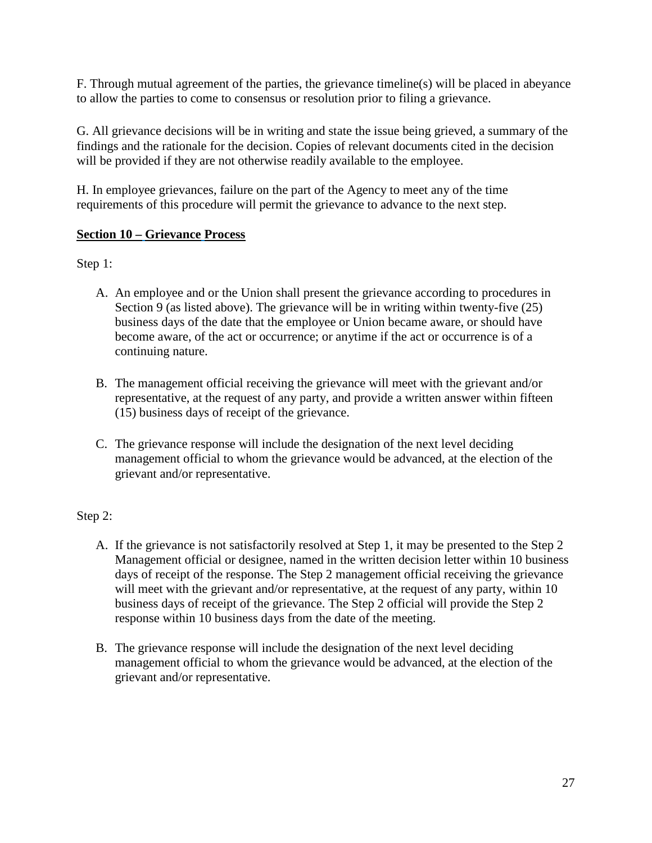F. Through mutual agreement of the parties, the grievance timeline(s) will be placed in abeyance to allow the parties to come to consensus or resolution prior to filing a grievance.

G. All grievance decisions will be in writing and state the issue being grieved, a summary of the findings and the rationale for the decision. Copies of relevant documents cited in the decision will be provided if they are not otherwise readily available to the employee.

H. In employee grievances, failure on the part of the Agency to meet any of the time requirements of this procedure will permit the grievance to advance to the next step.

# **Section 10 – Grievance Process**

Step 1:

- A. An employee and or the Union shall present the grievance according to procedures in Section 9 (as listed above). The grievance will be in writing within twenty-five (25) business days of the date that the employee or Union became aware, or should have become aware, of the act or occurrence; or anytime if the act or occurrence is of a continuing nature.
- B. The management official receiving the grievance will meet with the grievant and/or representative, at the request of any party, and provide a written answer within fifteen (15) business days of receipt of the grievance.
- C. The grievance response will include the designation of the next level deciding management official to whom the grievance would be advanced, at the election of the grievant and/or representative.

# Step 2:

- A. If the grievance is not satisfactorily resolved at Step 1, it may be presented to the Step 2 Management official or designee, named in the written decision letter within 10 business days of receipt of the response. The Step 2 management official receiving the grievance will meet with the grievant and/or representative, at the request of any party, within 10 business days of receipt of the grievance. The Step 2 official will provide the Step 2 response within 10 business days from the date of the meeting.
- B. The grievance response will include the designation of the next level deciding management official to whom the grievance would be advanced, at the election of the grievant and/or representative.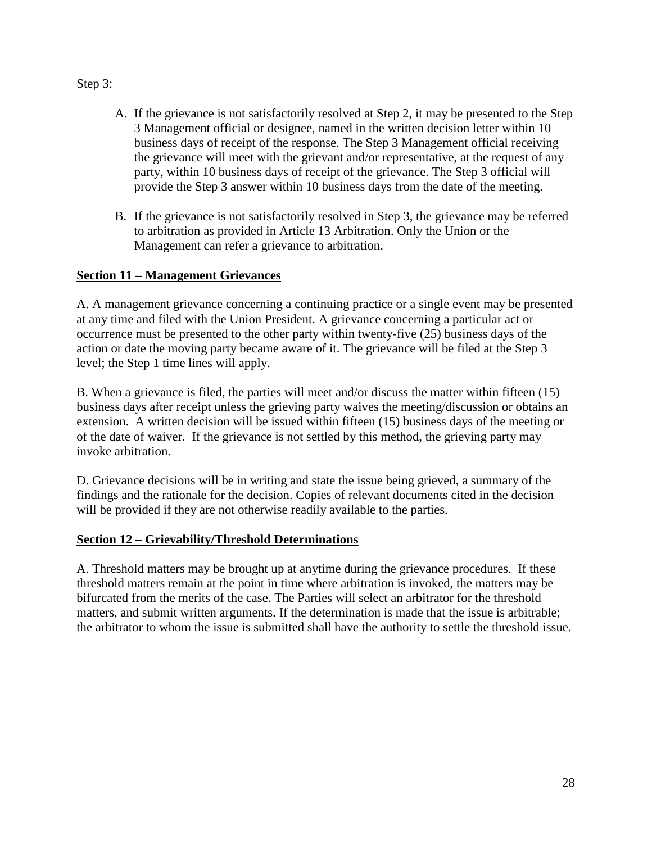## Step 3:

- A. If the grievance is not satisfactorily resolved at Step 2, it may be presented to the Step 3 Management official or designee, named in the written decision letter within 10 business days of receipt of the response. The Step 3 Management official receiving the grievance will meet with the grievant and/or representative, at the request of any party, within 10 business days of receipt of the grievance. The Step 3 official will provide the Step 3 answer within 10 business days from the date of the meeting.
- B. If the grievance is not satisfactorily resolved in Step 3, the grievance may be referred to arbitration as provided in Article 13 Arbitration. Only the Union or the Management can refer a grievance to arbitration.

# **Section 11 – Management Grievances**

A. A management grievance concerning a continuing practice or a single event may be presented at any time and filed with the Union President. A grievance concerning a particular act or occurrence must be presented to the other party within twenty-five (25) business days of the action or date the moving party became aware of it. The grievance will be filed at the Step 3 level; the Step 1 time lines will apply.

B. When a grievance is filed, the parties will meet and/or discuss the matter within fifteen (15) business days after receipt unless the grieving party waives the meeting/discussion or obtains an extension. A written decision will be issued within fifteen (15) business days of the meeting or of the date of waiver. If the grievance is not settled by this method, the grieving party may invoke arbitration.

D. Grievance decisions will be in writing and state the issue being grieved, a summary of the findings and the rationale for the decision. Copies of relevant documents cited in the decision will be provided if they are not otherwise readily available to the parties.

# **Section 12 – Grievability/Threshold Determinations**

A. Threshold matters may be brought up at anytime during the grievance procedures. If these threshold matters remain at the point in time where arbitration is invoked, the matters may be bifurcated from the merits of the case. The Parties will select an arbitrator for the threshold matters, and submit written arguments. If the determination is made that the issue is arbitrable; the arbitrator to whom the issue is submitted shall have the authority to settle the threshold issue.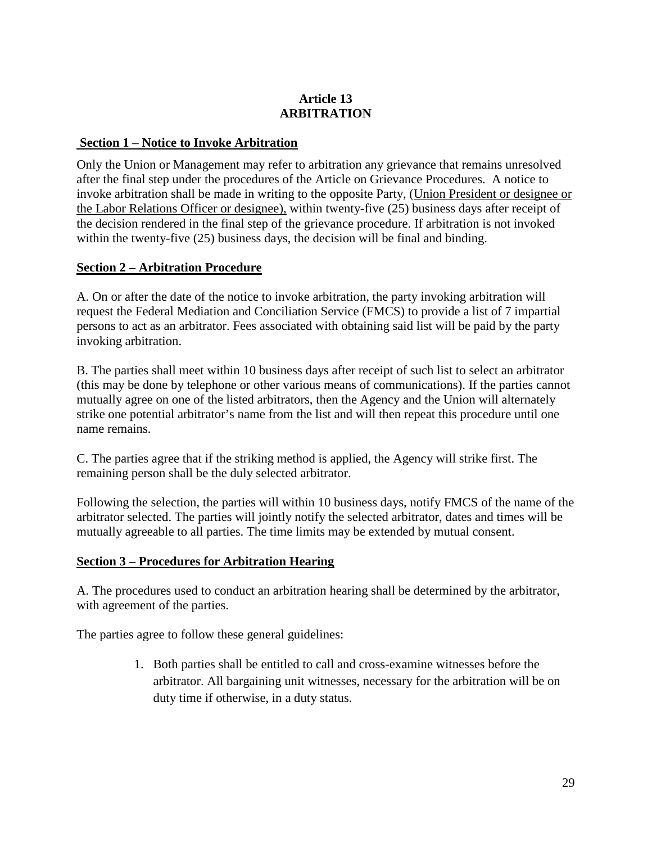# **Article 13 ARBITRATION**

## **Section 1** – **Notice to Invoke Arbitration**

Only the Union or Management may refer to arbitration any grievance that remains unresolved after the final step under the procedures of the Article on Grievance Procedures. A notice to invoke arbitration shall be made in writing to the opposite Party, (Union President or designee or the Labor Relations Officer or designee), within twenty-five (25) business days after receipt of the decision rendered in the final step of the grievance procedure. If arbitration is not invoked within the twenty-five (25) business days, the decision will be final and binding.

# **Section 2 – Arbitration Procedure**

A. On or after the date of the notice to invoke arbitration, the party invoking arbitration will request the Federal Mediation and Conciliation Service (FMCS) to provide a list of 7 impartial persons to act as an arbitrator. Fees associated with obtaining said list will be paid by the party invoking arbitration.

B. The parties shall meet within 10 business days after receipt of such list to select an arbitrator (this may be done by telephone or other various means of communications). If the parties cannot mutually agree on one of the listed arbitrators, then the Agency and the Union will alternately strike one potential arbitrator's name from the list and will then repeat this procedure until one name remains.

C. The parties agree that if the striking method is applied, the Agency will strike first. The remaining person shall be the duly selected arbitrator.

Following the selection, the parties will within 10 business days, notify FMCS of the name of the arbitrator selected. The parties will jointly notify the selected arbitrator, dates and times will be mutually agreeable to all parties. The time limits may be extended by mutual consent.

### **Section 3 – Procedures for Arbitration Hearing**

A. The procedures used to conduct an arbitration hearing shall be determined by the arbitrator, with agreement of the parties.

The parties agree to follow these general guidelines:

1. Both parties shall be entitled to call and cross-examine witnesses before the arbitrator. All bargaining unit witnesses, necessary for the arbitration will be on duty time if otherwise, in a duty status.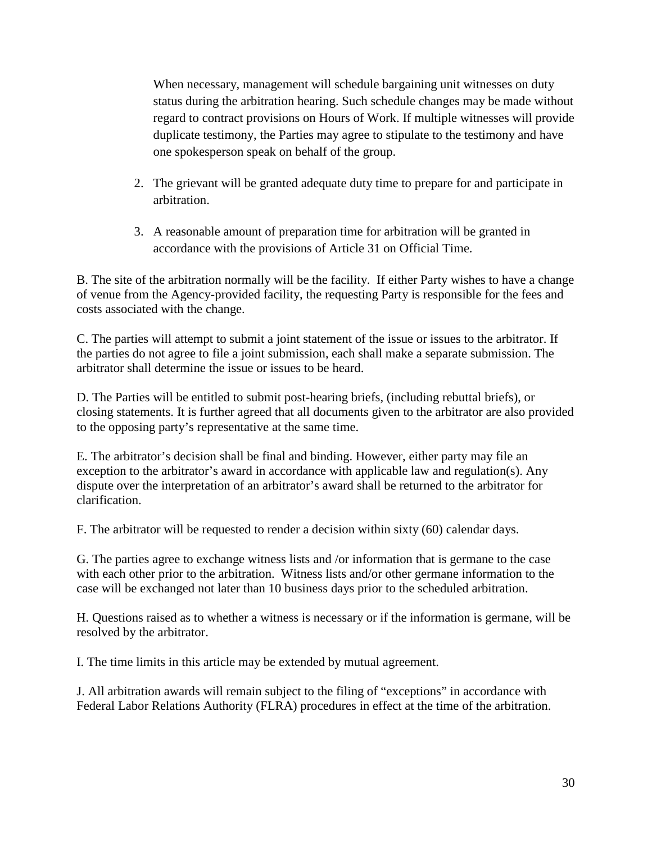When necessary, management will schedule bargaining unit witnesses on duty status during the arbitration hearing. Such schedule changes may be made without regard to contract provisions on Hours of Work. If multiple witnesses will provide duplicate testimony, the Parties may agree to stipulate to the testimony and have one spokesperson speak on behalf of the group.

- 2. The grievant will be granted adequate duty time to prepare for and participate in arbitration.
- 3. A reasonable amount of preparation time for arbitration will be granted in accordance with the provisions of Article 31 on Official Time.

B. The site of the arbitration normally will be the facility. If either Party wishes to have a change of venue from the Agency-provided facility, the requesting Party is responsible for the fees and costs associated with the change.

C. The parties will attempt to submit a joint statement of the issue or issues to the arbitrator. If the parties do not agree to file a joint submission, each shall make a separate submission. The arbitrator shall determine the issue or issues to be heard.

D. The Parties will be entitled to submit post-hearing briefs, (including rebuttal briefs), or closing statements. It is further agreed that all documents given to the arbitrator are also provided to the opposing party's representative at the same time.

E. The arbitrator's decision shall be final and binding. However, either party may file an exception to the arbitrator's award in accordance with applicable law and regulation(s). Any dispute over the interpretation of an arbitrator's award shall be returned to the arbitrator for clarification.

F. The arbitrator will be requested to render a decision within sixty (60) calendar days.

G. The parties agree to exchange witness lists and /or information that is germane to the case with each other prior to the arbitration. Witness lists and/or other germane information to the case will be exchanged not later than 10 business days prior to the scheduled arbitration.

H. Questions raised as to whether a witness is necessary or if the information is germane, will be resolved by the arbitrator.

I. The time limits in this article may be extended by mutual agreement.

J. All arbitration awards will remain subject to the filing of "exceptions" in accordance with Federal Labor Relations Authority (FLRA) procedures in effect at the time of the arbitration.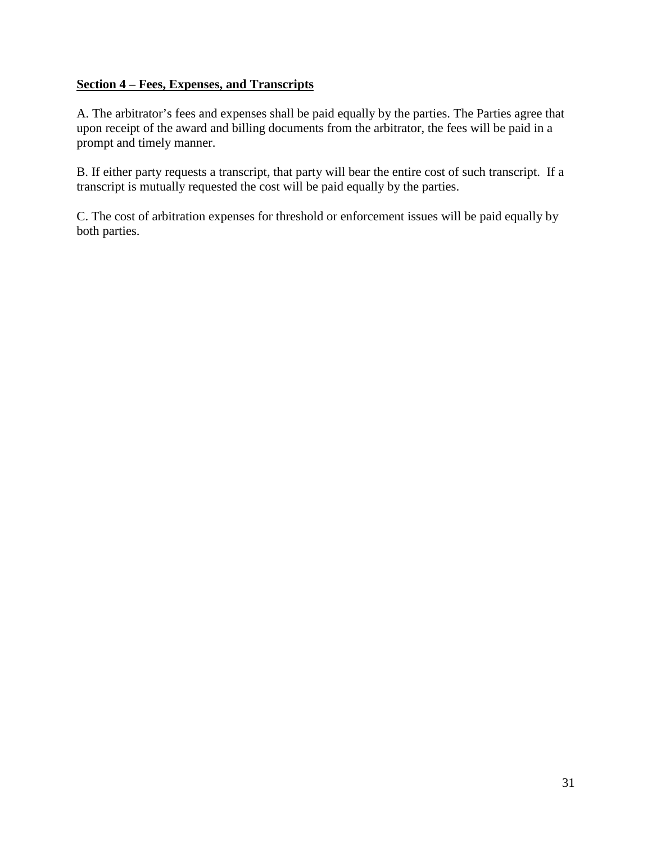### **Section 4 – Fees, Expenses, and Transcripts**

A. The arbitrator's fees and expenses shall be paid equally by the parties. The Parties agree that upon receipt of the award and billing documents from the arbitrator, the fees will be paid in a prompt and timely manner.

B. If either party requests a transcript, that party will bear the entire cost of such transcript. If a transcript is mutually requested the cost will be paid equally by the parties.

C. The cost of arbitration expenses for threshold or enforcement issues will be paid equally by both parties.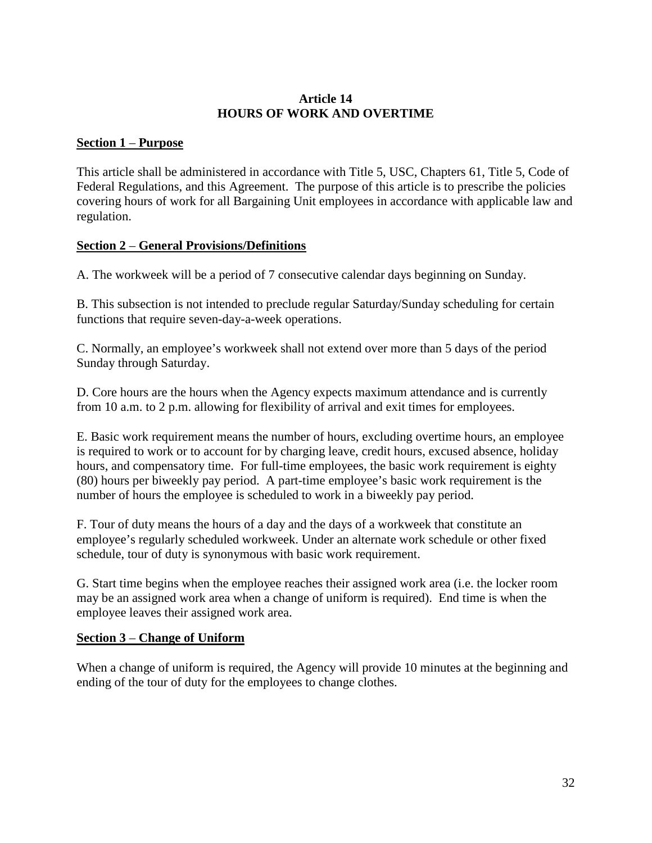### **Article 14 HOURS OF WORK AND OVERTIME**

### **Section 1** – **Purpose**

This article shall be administered in accordance with Title 5, USC, Chapters 61, Title 5, Code of Federal Regulations, and this Agreement. The purpose of this article is to prescribe the policies covering hours of work for all Bargaining Unit employees in accordance with applicable law and regulation.

# **Section 2** – **General Provisions/Definitions**

A. The workweek will be a period of 7 consecutive calendar days beginning on Sunday.

B. This subsection is not intended to preclude regular Saturday/Sunday scheduling for certain functions that require seven-day-a-week operations.

C. Normally, an employee's workweek shall not extend over more than 5 days of the period Sunday through Saturday.

D. Core hours are the hours when the Agency expects maximum attendance and is currently from 10 a.m. to 2 p.m. allowing for flexibility of arrival and exit times for employees.

E. Basic work requirement means the number of hours, excluding overtime hours, an employee is required to work or to account for by charging leave, credit hours, excused absence, holiday hours, and compensatory time. For full-time employees, the basic work requirement is eighty (80) hours per biweekly pay period. A part-time employee's basic work requirement is the number of hours the employee is scheduled to work in a biweekly pay period.

F. Tour of duty means the hours of a day and the days of a workweek that constitute an employee's regularly scheduled workweek. Under an alternate work schedule or other fixed schedule, tour of duty is synonymous with basic work requirement.

G. Start time begins when the employee reaches their assigned work area (i.e. the locker room may be an assigned work area when a change of uniform is required). End time is when the employee leaves their assigned work area.

# **Section 3** – **Change of Uniform**

When a change of uniform is required, the Agency will provide 10 minutes at the beginning and ending of the tour of duty for the employees to change clothes.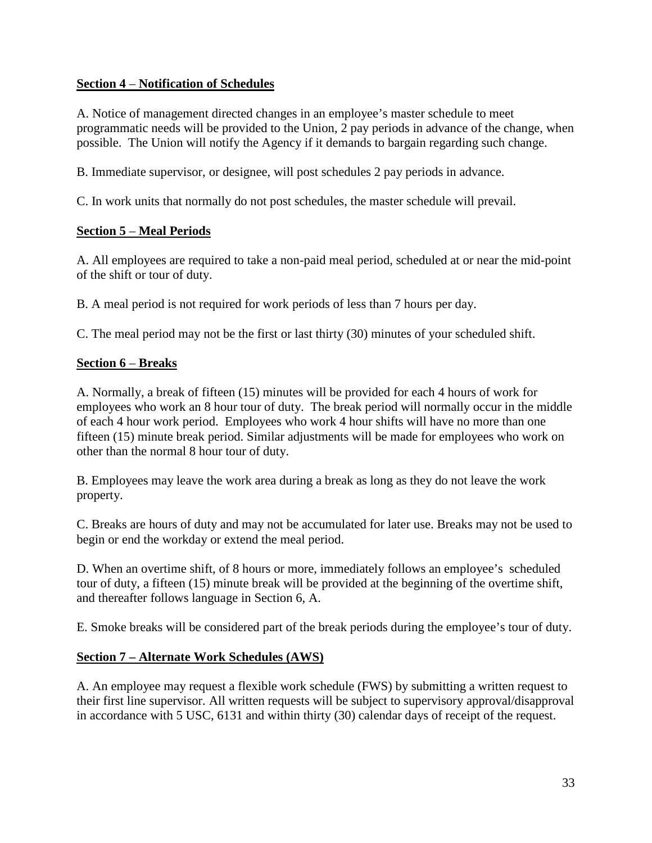### **Section 4** – **Notification of Schedules**

A. Notice of management directed changes in an employee's master schedule to meet programmatic needs will be provided to the Union, 2 pay periods in advance of the change, when possible. The Union will notify the Agency if it demands to bargain regarding such change.

B. Immediate supervisor, or designee, will post schedules 2 pay periods in advance.

C. In work units that normally do not post schedules, the master schedule will prevail.

# **Section 5** – **Meal Periods**

A. All employees are required to take a non-paid meal period, scheduled at or near the mid-point of the shift or tour of duty.

B. A meal period is not required for work periods of less than 7 hours per day.

C. The meal period may not be the first or last thirty (30) minutes of your scheduled shift.

# **Section 6** – **Breaks**

A. Normally, a break of fifteen (15) minutes will be provided for each 4 hours of work for employees who work an 8 hour tour of duty. The break period will normally occur in the middle of each 4 hour work period. Employees who work 4 hour shifts will have no more than one fifteen (15) minute break period. Similar adjustments will be made for employees who work on other than the normal 8 hour tour of duty.

B. Employees may leave the work area during a break as long as they do not leave the work property.

C. Breaks are hours of duty and may not be accumulated for later use. Breaks may not be used to begin or end the workday or extend the meal period.

D. When an overtime shift, of 8 hours or more, immediately follows an employee's scheduled tour of duty, a fifteen (15) minute break will be provided at the beginning of the overtime shift, and thereafter follows language in Section 6, A.

E. Smoke breaks will be considered part of the break periods during the employee's tour of duty.

# **Section 7 – Alternate Work Schedules (AWS)**

A. An employee may request a flexible work schedule (FWS) by submitting a written request to their first line supervisor. All written requests will be subject to supervisory approval/disapproval in accordance with 5 USC, 6131 and within thirty (30) calendar days of receipt of the request.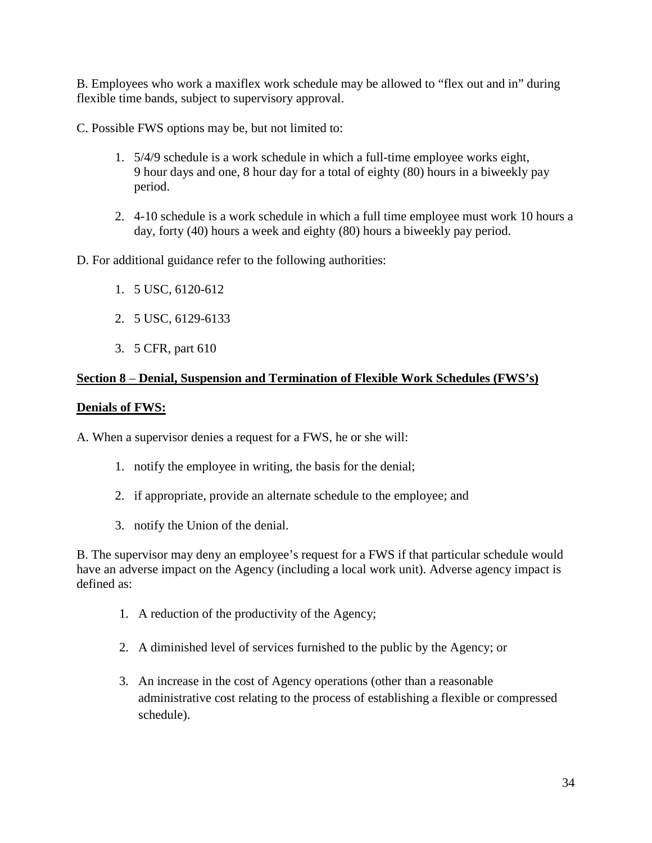B. Employees who work a maxiflex work schedule may be allowed to "flex out and in" during flexible time bands, subject to supervisory approval.

C. Possible FWS options may be, but not limited to:

- 1. 5/4/9 schedule is a work schedule in which a full-time employee works eight, 9 hour days and one, 8 hour day for a total of eighty (80) hours in a biweekly pay period.
- 2. 4-10 schedule is a work schedule in which a full time employee must work 10 hours a day, forty (40) hours a week and eighty (80) hours a biweekly pay period.

D. For additional guidance refer to the following authorities:

- 1. 5 USC, 6120-612
- 2. 5 USC, 6129-6133
- 3. 5 CFR, part 610

### **Section 8** – **Denial, Suspension and Termination of Flexible Work Schedules (FWS's)**

#### **Denials of FWS:**

A. When a supervisor denies a request for a FWS, he or she will:

- 1. notify the employee in writing, the basis for the denial;
- 2. if appropriate, provide an alternate schedule to the employee; and
- 3. notify the Union of the denial.

B. The supervisor may deny an employee's request for a FWS if that particular schedule would have an adverse impact on the Agency (including a local work unit). Adverse agency impact is defined as:

- 1. A reduction of the productivity of the Agency;
- 2. A diminished level of services furnished to the public by the Agency; or
- 3. An increase in the cost of Agency operations (other than a reasonable administrative cost relating to the process of establishing a flexible or compressed schedule).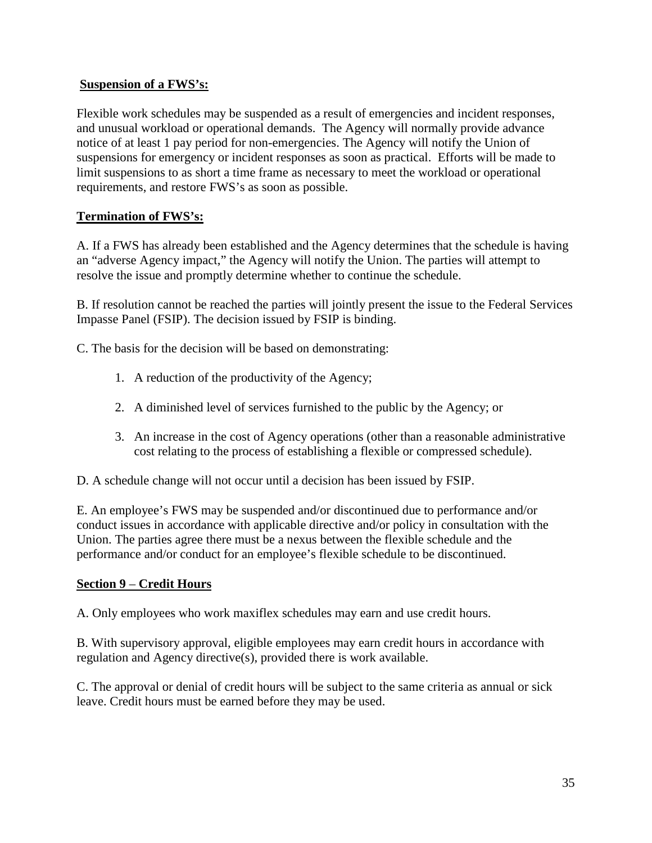## **Suspension of a FWS's:**

Flexible work schedules may be suspended as a result of emergencies and incident responses, and unusual workload or operational demands. The Agency will normally provide advance notice of at least 1 pay period for non-emergencies. The Agency will notify the Union of suspensions for emergency or incident responses as soon as practical. Efforts will be made to limit suspensions to as short a time frame as necessary to meet the workload or operational requirements, and restore FWS's as soon as possible.

# **Termination of FWS's:**

A. If a FWS has already been established and the Agency determines that the schedule is having an "adverse Agency impact," the Agency will notify the Union. The parties will attempt to resolve the issue and promptly determine whether to continue the schedule.

B. If resolution cannot be reached the parties will jointly present the issue to the Federal Services Impasse Panel (FSIP). The decision issued by FSIP is binding.

C. The basis for the decision will be based on demonstrating:

- 1. A reduction of the productivity of the Agency;
- 2. A diminished level of services furnished to the public by the Agency; or
- 3. An increase in the cost of Agency operations (other than a reasonable administrative cost relating to the process of establishing a flexible or compressed schedule).

D. A schedule change will not occur until a decision has been issued by FSIP.

E. An employee's FWS may be suspended and/or discontinued due to performance and/or conduct issues in accordance with applicable directive and/or policy in consultation with the Union. The parties agree there must be a nexus between the flexible schedule and the performance and/or conduct for an employee's flexible schedule to be discontinued.

### **Section 9** – **Credit Hours**

A. Only employees who work maxiflex schedules may earn and use credit hours.

B. With supervisory approval, eligible employees may earn credit hours in accordance with regulation and Agency directive(s), provided there is work available.

C. The approval or denial of credit hours will be subject to the same criteria as annual or sick leave. Credit hours must be earned before they may be used.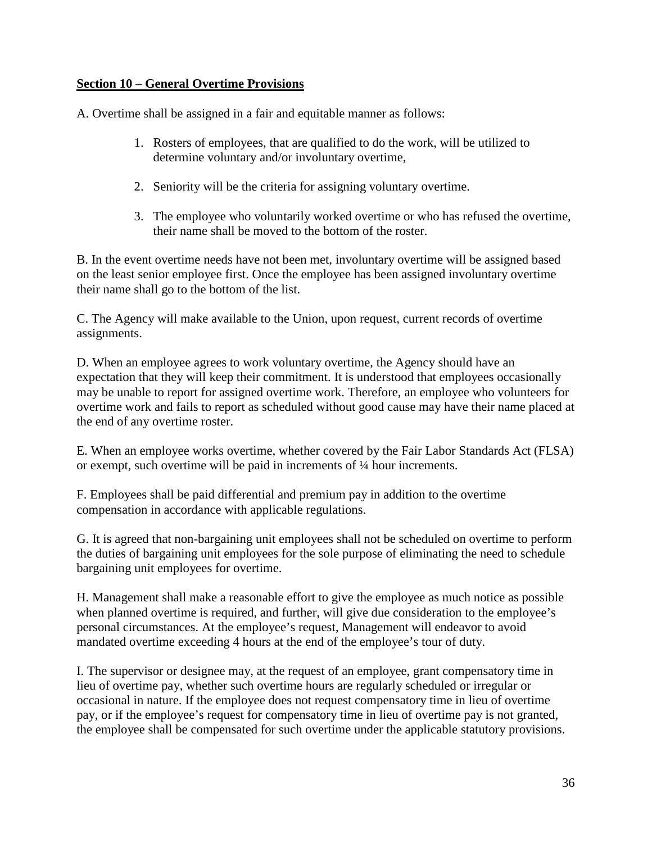### **Section 10** – **General Overtime Provisions**

A. Overtime shall be assigned in a fair and equitable manner as follows:

- 1. Rosters of employees, that are qualified to do the work, will be utilized to determine voluntary and/or involuntary overtime,
- 2. Seniority will be the criteria for assigning voluntary overtime.
- 3. The employee who voluntarily worked overtime or who has refused the overtime, their name shall be moved to the bottom of the roster.

B. In the event overtime needs have not been met, involuntary overtime will be assigned based on the least senior employee first. Once the employee has been assigned involuntary overtime their name shall go to the bottom of the list.

C. The Agency will make available to the Union, upon request, current records of overtime assignments.

D. When an employee agrees to work voluntary overtime, the Agency should have an expectation that they will keep their commitment. It is understood that employees occasionally may be unable to report for assigned overtime work. Therefore, an employee who volunteers for overtime work and fails to report as scheduled without good cause may have their name placed at the end of any overtime roster.

E. When an employee works overtime, whether covered by the Fair Labor Standards Act (FLSA) or exempt, such overtime will be paid in increments of ¼ hour increments.

F. Employees shall be paid differential and premium pay in addition to the overtime compensation in accordance with applicable regulations.

G. It is agreed that non-bargaining unit employees shall not be scheduled on overtime to perform the duties of bargaining unit employees for the sole purpose of eliminating the need to schedule bargaining unit employees for overtime.

H. Management shall make a reasonable effort to give the employee as much notice as possible when planned overtime is required, and further, will give due consideration to the employee's personal circumstances. At the employee's request, Management will endeavor to avoid mandated overtime exceeding 4 hours at the end of the employee's tour of duty.

I. The supervisor or designee may, at the request of an employee, grant compensatory time in lieu of overtime pay, whether such overtime hours are regularly scheduled or irregular or occasional in nature. If the employee does not request compensatory time in lieu of overtime pay, or if the employee's request for compensatory time in lieu of overtime pay is not granted, the employee shall be compensated for such overtime under the applicable statutory provisions.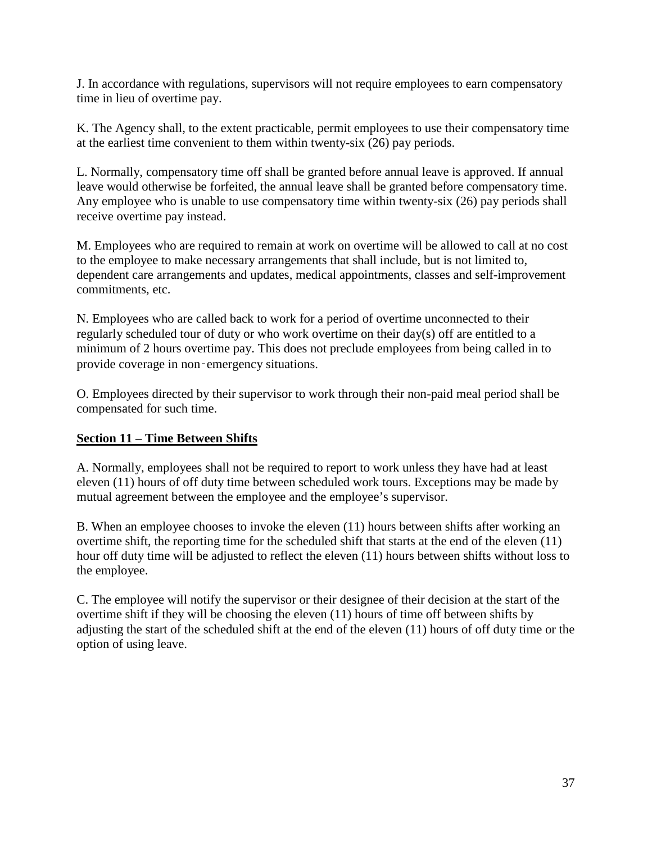J. In accordance with regulations, supervisors will not require employees to earn compensatory time in lieu of overtime pay.

K. The Agency shall, to the extent practicable, permit employees to use their compensatory time at the earliest time convenient to them within twenty-six (26) pay periods.

L. Normally, compensatory time off shall be granted before annual leave is approved. If annual leave would otherwise be forfeited, the annual leave shall be granted before compensatory time. Any employee who is unable to use compensatory time within twenty-six (26) pay periods shall receive overtime pay instead.

M. Employees who are required to remain at work on overtime will be allowed to call at no cost to the employee to make necessary arrangements that shall include, but is not limited to, dependent care arrangements and updates, medical appointments, classes and self-improvement commitments, etc.

N. Employees who are called back to work for a period of overtime unconnected to their regularly scheduled tour of duty or who work overtime on their day(s) off are entitled to a minimum of 2 hours overtime pay. This does not preclude employees from being called in to provide coverage in non‑emergency situations.

O. Employees directed by their supervisor to work through their non-paid meal period shall be compensated for such time.

# **Section 11 – Time Between Shifts**

A. Normally, employees shall not be required to report to work unless they have had at least eleven (11) hours of off duty time between scheduled work tours. Exceptions may be made by mutual agreement between the employee and the employee's supervisor.

B. When an employee chooses to invoke the eleven (11) hours between shifts after working an overtime shift, the reporting time for the scheduled shift that starts at the end of the eleven (11) hour off duty time will be adjusted to reflect the eleven (11) hours between shifts without loss to the employee.

C. The employee will notify the supervisor or their designee of their decision at the start of the overtime shift if they will be choosing the eleven (11) hours of time off between shifts by adjusting the start of the scheduled shift at the end of the eleven (11) hours of off duty time or the option of using leave.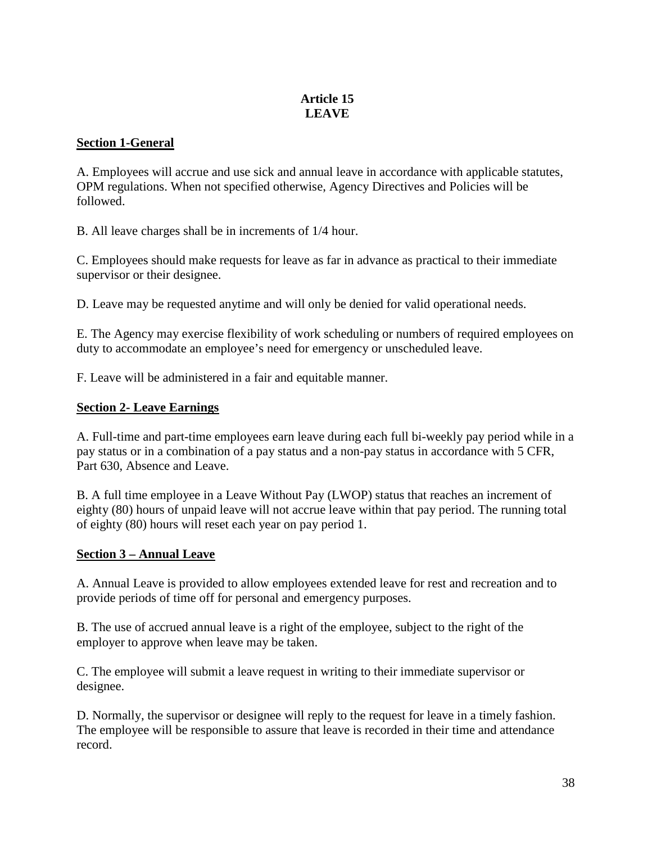# **Article 15 LEAVE**

### **Section 1-General**

A. Employees will accrue and use sick and annual leave in accordance with applicable statutes, OPM regulations. When not specified otherwise, Agency Directives and Policies will be followed.

B. All leave charges shall be in increments of 1/4 hour.

C. Employees should make requests for leave as far in advance as practical to their immediate supervisor or their designee.

D. Leave may be requested anytime and will only be denied for valid operational needs.

E. The Agency may exercise flexibility of work scheduling or numbers of required employees on duty to accommodate an employee's need for emergency or unscheduled leave.

F. Leave will be administered in a fair and equitable manner.

### **Section 2- Leave Earnings**

A. Full-time and part-time employees earn leave during each full bi-weekly pay period while in a pay status or in a combination of a pay status and a non-pay status in accordance with 5 CFR, Part 630, Absence and Leave.

B. A full time employee in a Leave Without Pay (LWOP) status that reaches an increment of eighty (80) hours of unpaid leave will not accrue leave within that pay period. The running total of eighty (80) hours will reset each year on pay period 1.

#### **Section 3 – Annual Leave**

A. Annual Leave is provided to allow employees extended leave for rest and recreation and to provide periods of time off for personal and emergency purposes.

B. The use of accrued annual leave is a right of the employee, subject to the right of the employer to approve when leave may be taken.

C. The employee will submit a leave request in writing to their immediate supervisor or designee.

D. Normally, the supervisor or designee will reply to the request for leave in a timely fashion. The employee will be responsible to assure that leave is recorded in their time and attendance record.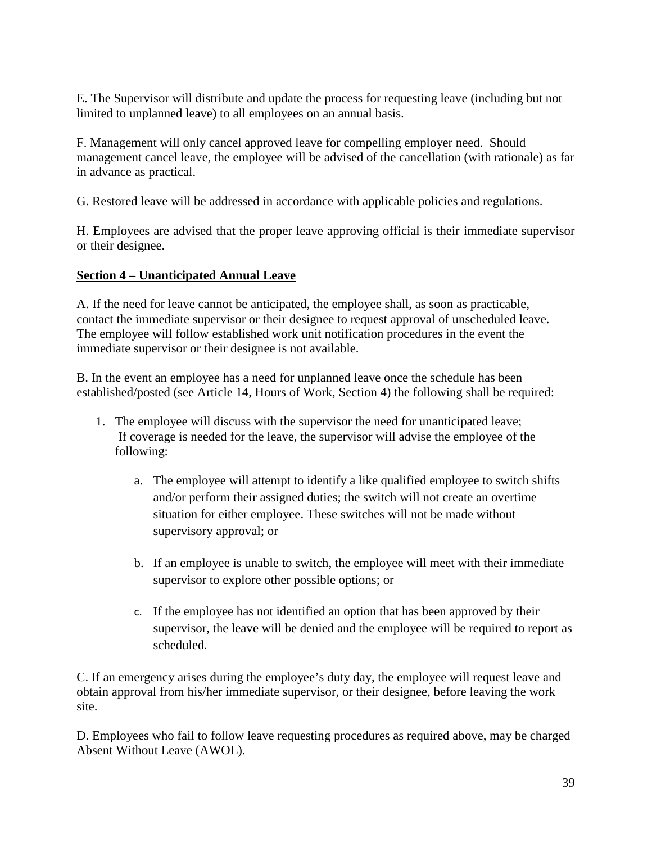E. The Supervisor will distribute and update the process for requesting leave (including but not limited to unplanned leave) to all employees on an annual basis.

F. Management will only cancel approved leave for compelling employer need. Should management cancel leave, the employee will be advised of the cancellation (with rationale) as far in advance as practical.

G. Restored leave will be addressed in accordance with applicable policies and regulations.

H. Employees are advised that the proper leave approving official is their immediate supervisor or their designee.

# **Section 4 – Unanticipated Annual Leave**

A. If the need for leave cannot be anticipated, the employee shall, as soon as practicable, contact the immediate supervisor or their designee to request approval of unscheduled leave. The employee will follow established work unit notification procedures in the event the immediate supervisor or their designee is not available.

B. In the event an employee has a need for unplanned leave once the schedule has been established/posted (see Article 14, Hours of Work, Section 4) the following shall be required:

- 1. The employee will discuss with the supervisor the need for unanticipated leave; If coverage is needed for the leave, the supervisor will advise the employee of the following:
	- a. The employee will attempt to identify a like qualified employee to switch shifts and/or perform their assigned duties; the switch will not create an overtime situation for either employee. These switches will not be made without supervisory approval; or
	- b. If an employee is unable to switch, the employee will meet with their immediate supervisor to explore other possible options; or
	- c. If the employee has not identified an option that has been approved by their supervisor, the leave will be denied and the employee will be required to report as scheduled.

C. If an emergency arises during the employee's duty day, the employee will request leave and obtain approval from his/her immediate supervisor, or their designee, before leaving the work site.

D. Employees who fail to follow leave requesting procedures as required above, may be charged Absent Without Leave (AWOL).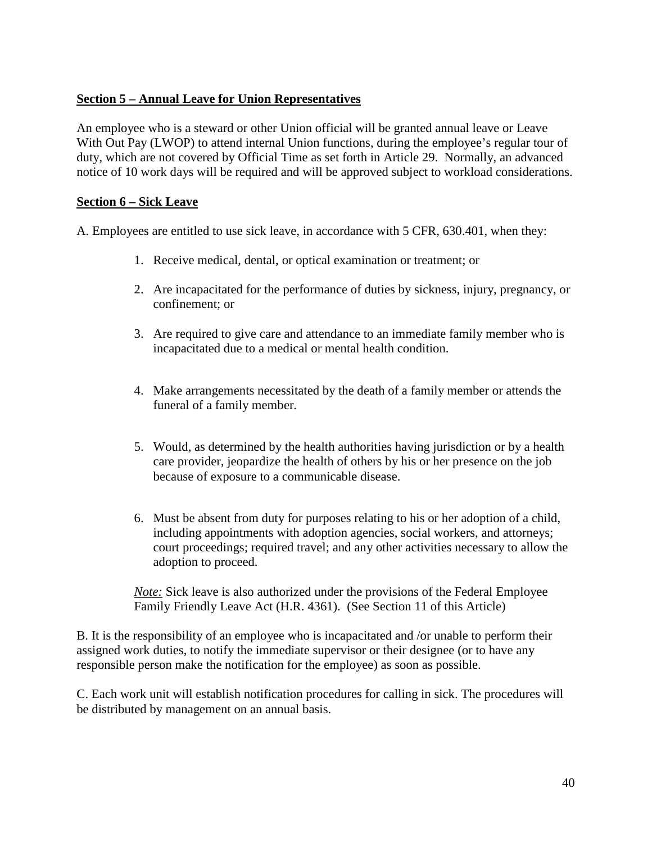### **Section 5 – Annual Leave for Union Representatives**

An employee who is a steward or other Union official will be granted annual leave or Leave With Out Pay (LWOP) to attend internal Union functions, during the employee's regular tour of duty, which are not covered by Official Time as set forth in Article 29. Normally, an advanced notice of 10 work days will be required and will be approved subject to workload considerations.

#### **Section 6 – Sick Leave**

A. Employees are entitled to use sick leave, in accordance with 5 CFR, 630.401, when they:

- 1. Receive medical, dental, or optical examination or treatment; or
- 2. Are incapacitated for the performance of duties by sickness, injury, pregnancy, or confinement; or
- 3. Are required to give care and attendance to an immediate family member who is incapacitated due to a medical or mental health condition.
- 4. Make arrangements necessitated by the death of a family member or attends the funeral of a family member.
- 5. Would, as determined by the health authorities having jurisdiction or by a health care provider, jeopardize the health of others by his or her presence on the job because of exposure to a communicable disease.
- 6. Must be absent from duty for purposes relating to his or her adoption of a child, including appointments with adoption agencies, social workers, and attorneys; court proceedings; required travel; and any other activities necessary to allow the adoption to proceed.

*Note:* Sick leave is also authorized under the provisions of the Federal Employee Family Friendly Leave Act (H.R. 4361). (See Section 11 of this Article)

B. It is the responsibility of an employee who is incapacitated and /or unable to perform their assigned work duties, to notify the immediate supervisor or their designee (or to have any responsible person make the notification for the employee) as soon as possible.

C. Each work unit will establish notification procedures for calling in sick. The procedures will be distributed by management on an annual basis.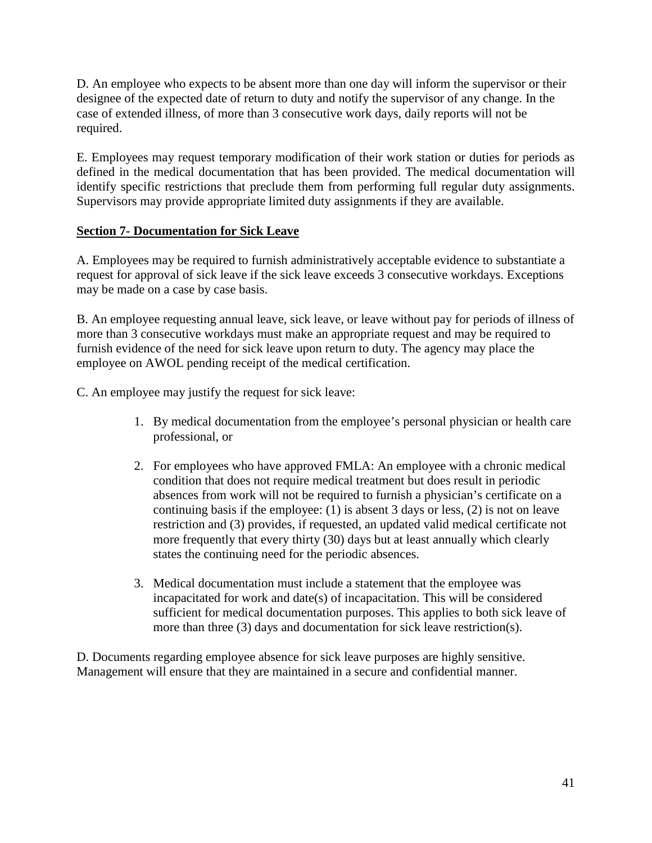D. An employee who expects to be absent more than one day will inform the supervisor or their designee of the expected date of return to duty and notify the supervisor of any change. In the case of extended illness, of more than 3 consecutive work days, daily reports will not be required.

E. Employees may request temporary modification of their work station or duties for periods as defined in the medical documentation that has been provided. The medical documentation will identify specific restrictions that preclude them from performing full regular duty assignments. Supervisors may provide appropriate limited duty assignments if they are available.

### **Section 7- Documentation for Sick Leave**

A. Employees may be required to furnish administratively acceptable evidence to substantiate a request for approval of sick leave if the sick leave exceeds 3 consecutive workdays. Exceptions may be made on a case by case basis.

B. An employee requesting annual leave, sick leave, or leave without pay for periods of illness of more than 3 consecutive workdays must make an appropriate request and may be required to furnish evidence of the need for sick leave upon return to duty. The agency may place the employee on AWOL pending receipt of the medical certification.

C. An employee may justify the request for sick leave:

- 1. By medical documentation from the employee's personal physician or health care professional, or
- 2. For employees who have approved FMLA: An employee with a chronic medical condition that does not require medical treatment but does result in periodic absences from work will not be required to furnish a physician's certificate on a continuing basis if the employee: (1) is absent 3 days or less, (2) is not on leave restriction and (3) provides, if requested, an updated valid medical certificate not more frequently that every thirty (30) days but at least annually which clearly states the continuing need for the periodic absences.
- 3. Medical documentation must include a statement that the employee was incapacitated for work and date(s) of incapacitation. This will be considered sufficient for medical documentation purposes. This applies to both sick leave of more than three (3) days and documentation for sick leave restriction(s).

D. Documents regarding employee absence for sick leave purposes are highly sensitive. Management will ensure that they are maintained in a secure and confidential manner.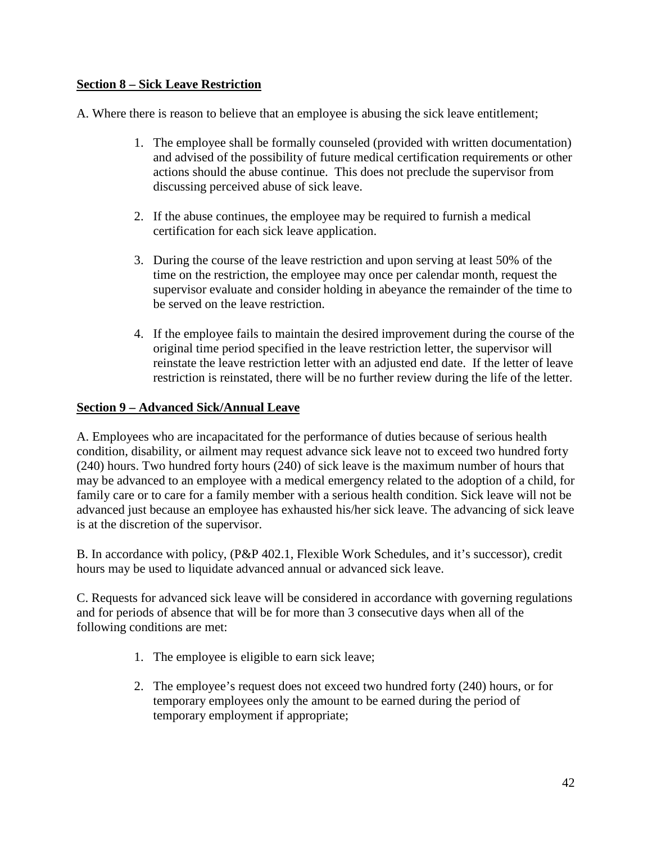### **Section 8 – Sick Leave Restriction**

A. Where there is reason to believe that an employee is abusing the sick leave entitlement;

- 1. The employee shall be formally counseled (provided with written documentation) and advised of the possibility of future medical certification requirements or other actions should the abuse continue. This does not preclude the supervisor from discussing perceived abuse of sick leave.
- 2. If the abuse continues, the employee may be required to furnish a medical certification for each sick leave application.
- 3. During the course of the leave restriction and upon serving at least 50% of the time on the restriction, the employee may once per calendar month, request the supervisor evaluate and consider holding in abeyance the remainder of the time to be served on the leave restriction.
- 4. If the employee fails to maintain the desired improvement during the course of the original time period specified in the leave restriction letter, the supervisor will reinstate the leave restriction letter with an adjusted end date. If the letter of leave restriction is reinstated, there will be no further review during the life of the letter.

#### **Section 9 – Advanced Sick/Annual Leave**

A. Employees who are incapacitated for the performance of duties because of serious health condition, disability, or ailment may request advance sick leave not to exceed two hundred forty (240) hours. Two hundred forty hours (240) of sick leave is the maximum number of hours that may be advanced to an employee with a medical emergency related to the adoption of a child, for family care or to care for a family member with a serious health condition. Sick leave will not be advanced just because an employee has exhausted his/her sick leave. The advancing of sick leave is at the discretion of the supervisor.

B. In accordance with policy, (P&P 402.1, Flexible Work Schedules, and it's successor), credit hours may be used to liquidate advanced annual or advanced sick leave.

C. Requests for advanced sick leave will be considered in accordance with governing regulations and for periods of absence that will be for more than 3 consecutive days when all of the following conditions are met:

- 1. The employee is eligible to earn sick leave;
- 2. The employee's request does not exceed two hundred forty (240) hours, or for temporary employees only the amount to be earned during the period of temporary employment if appropriate;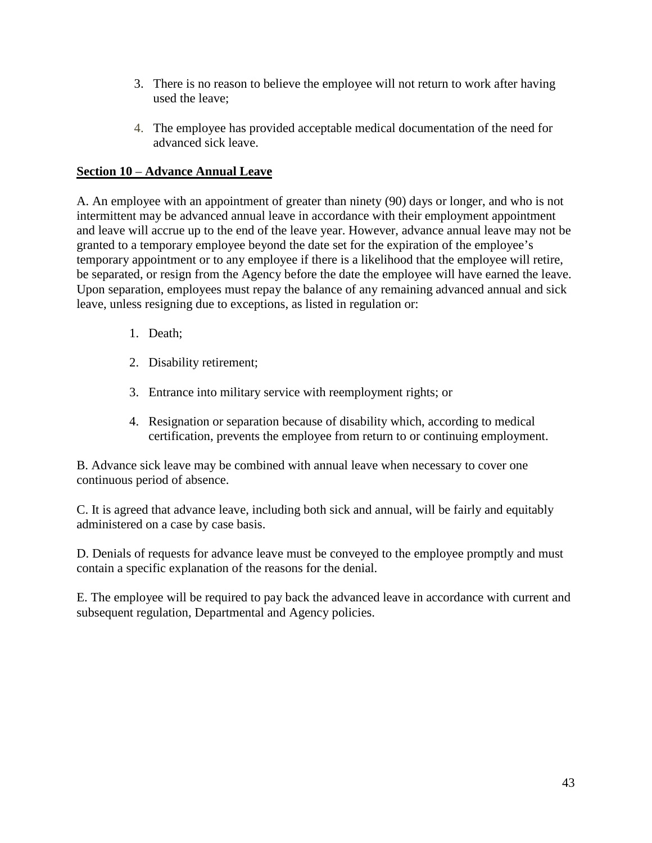- 3. There is no reason to believe the employee will not return to work after having used the leave;
- 4. The employee has provided acceptable medical documentation of the need for advanced sick leave.

# **Section 10** – **Advance Annual Leave**

A. An employee with an appointment of greater than ninety (90) days or longer, and who is not intermittent may be advanced annual leave in accordance with their employment appointment and leave will accrue up to the end of the leave year. However, advance annual leave may not be granted to a temporary employee beyond the date set for the expiration of the employee's temporary appointment or to any employee if there is a likelihood that the employee will retire, be separated, or resign from the Agency before the date the employee will have earned the leave. Upon separation, employees must repay the balance of any remaining advanced annual and sick leave, unless resigning due to exceptions, as listed in regulation or:

- 1. Death;
- 2. Disability retirement;
- 3. Entrance into military service with reemployment rights; or
- 4. Resignation or separation because of disability which, according to medical certification, prevents the employee from return to or continuing employment.

B. Advance sick leave may be combined with annual leave when necessary to cover one continuous period of absence.

C. It is agreed that advance leave, including both sick and annual, will be fairly and equitably administered on a case by case basis.

D. Denials of requests for advance leave must be conveyed to the employee promptly and must contain a specific explanation of the reasons for the denial.

E. The employee will be required to pay back the advanced leave in accordance with current and subsequent regulation, Departmental and Agency policies.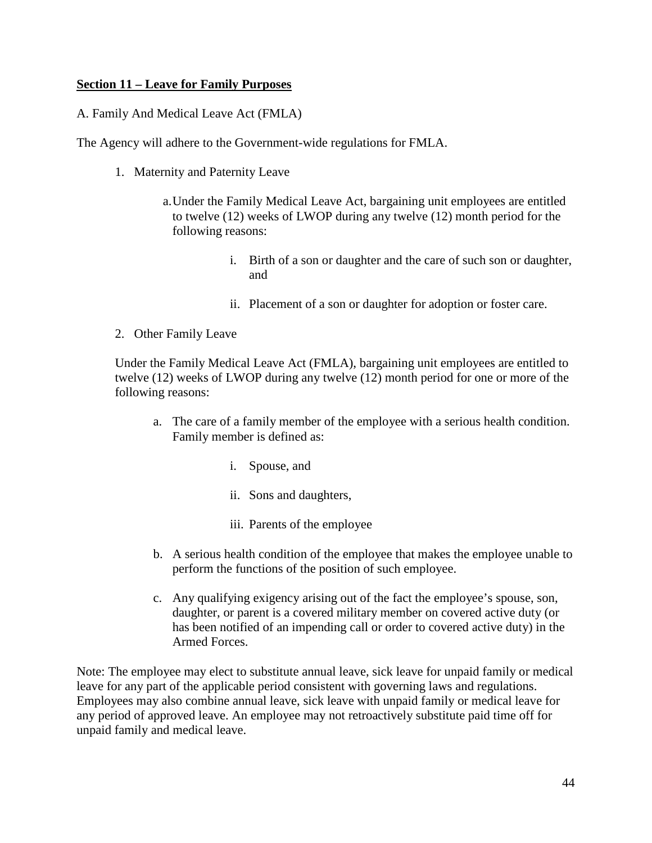#### **Section 11 – Leave for Family Purposes**

A. Family And Medical Leave Act (FMLA)

The Agency will adhere to the Government-wide regulations for FMLA.

- 1. Maternity and Paternity Leave
	- a.Under the Family Medical Leave Act, bargaining unit employees are entitled to twelve (12) weeks of LWOP during any twelve (12) month period for the following reasons:
		- i. Birth of a son or daughter and the care of such son or daughter, and
		- ii. Placement of a son or daughter for adoption or foster care.
- 2. Other Family Leave

Under the Family Medical Leave Act (FMLA), bargaining unit employees are entitled to twelve (12) weeks of LWOP during any twelve (12) month period for one or more of the following reasons:

- a. The care of a family member of the employee with a serious health condition. Family member is defined as:
	- i. Spouse, and
	- ii. Sons and daughters,
	- iii. Parents of the employee
- b. A serious health condition of the employee that makes the employee unable to perform the functions of the position of such employee.
- c. Any qualifying exigency arising out of the fact the employee's spouse, son, daughter, or parent is a covered military member on covered active duty (or has been notified of an impending call or order to covered active duty) in the Armed Forces.

Note: The employee may elect to substitute annual leave, sick leave for unpaid family or medical leave for any part of the applicable period consistent with governing laws and regulations. Employees may also combine annual leave, sick leave with unpaid family or medical leave for any period of approved leave. An employee may not retroactively substitute paid time off for unpaid family and medical leave.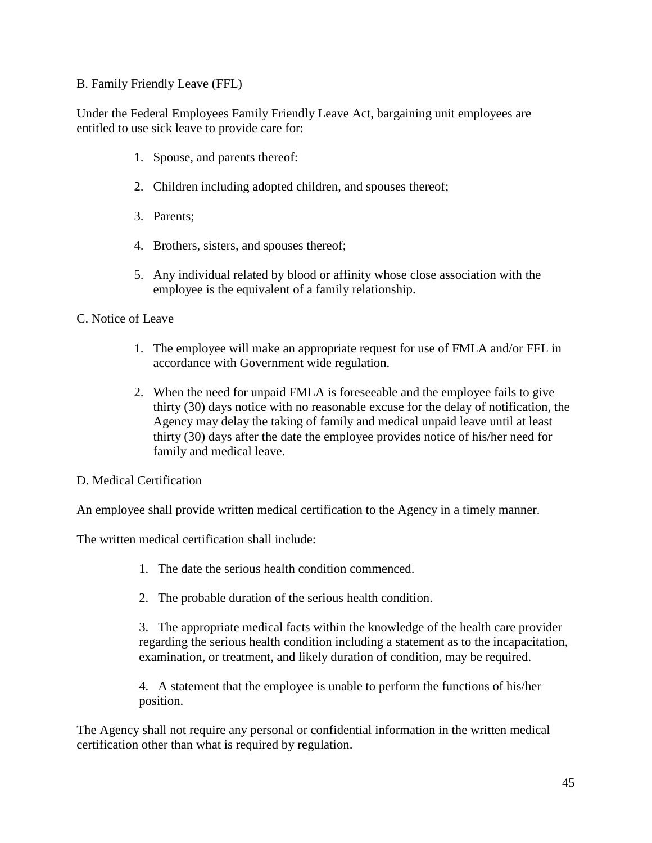#### B. Family Friendly Leave (FFL)

Under the Federal Employees Family Friendly Leave Act, bargaining unit employees are entitled to use sick leave to provide care for:

- 1. Spouse, and parents thereof:
- 2. Children including adopted children, and spouses thereof;
- 3. Parents;
- 4. Brothers, sisters, and spouses thereof;
- 5. Any individual related by blood or affinity whose close association with the employee is the equivalent of a family relationship.

#### C. Notice of Leave

- 1. The employee will make an appropriate request for use of FMLA and/or FFL in accordance with Government wide regulation.
- 2. When the need for unpaid FMLA is foreseeable and the employee fails to give thirty (30) days notice with no reasonable excuse for the delay of notification, the Agency may delay the taking of family and medical unpaid leave until at least thirty (30) days after the date the employee provides notice of his/her need for family and medical leave.
- D. Medical Certification

An employee shall provide written medical certification to the Agency in a timely manner.

The written medical certification shall include:

- 1. The date the serious health condition commenced.
- 2. The probable duration of the serious health condition.

3. The appropriate medical facts within the knowledge of the health care provider regarding the serious health condition including a statement as to the incapacitation, examination, or treatment, and likely duration of condition, may be required.

4. A statement that the employee is unable to perform the functions of his/her position.

The Agency shall not require any personal or confidential information in the written medical certification other than what is required by regulation.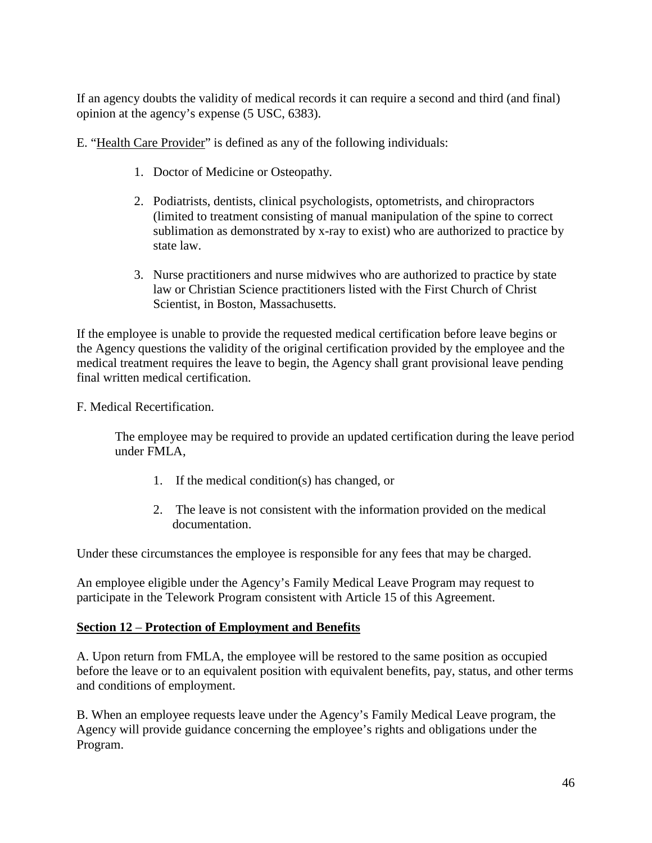If an agency doubts the validity of medical records it can require a second and third (and final) opinion at the agency's expense (5 USC, 6383).

E. "Health Care Provider" is defined as any of the following individuals:

- 1. Doctor of Medicine or Osteopathy.
- 2. Podiatrists, dentists, clinical psychologists, optometrists, and chiropractors (limited to treatment consisting of manual manipulation of the spine to correct sublimation as demonstrated by x-ray to exist) who are authorized to practice by state law.
- 3. Nurse practitioners and nurse midwives who are authorized to practice by state law or Christian Science practitioners listed with the First Church of Christ Scientist, in Boston, Massachusetts.

If the employee is unable to provide the requested medical certification before leave begins or the Agency questions the validity of the original certification provided by the employee and the medical treatment requires the leave to begin, the Agency shall grant provisional leave pending final written medical certification.

F. Medical Recertification.

The employee may be required to provide an updated certification during the leave period under FMLA,

- 1. If the medical condition(s) has changed, or
- 2. The leave is not consistent with the information provided on the medical documentation.

Under these circumstances the employee is responsible for any fees that may be charged.

An employee eligible under the Agency's Family Medical Leave Program may request to participate in the Telework Program consistent with Article 15 of this Agreement.

#### **Section 12** – **Protection of Employment and Benefits**

A. Upon return from FMLA, the employee will be restored to the same position as occupied before the leave or to an equivalent position with equivalent benefits, pay, status, and other terms and conditions of employment.

B. When an employee requests leave under the Agency's Family Medical Leave program, the Agency will provide guidance concerning the employee's rights and obligations under the Program.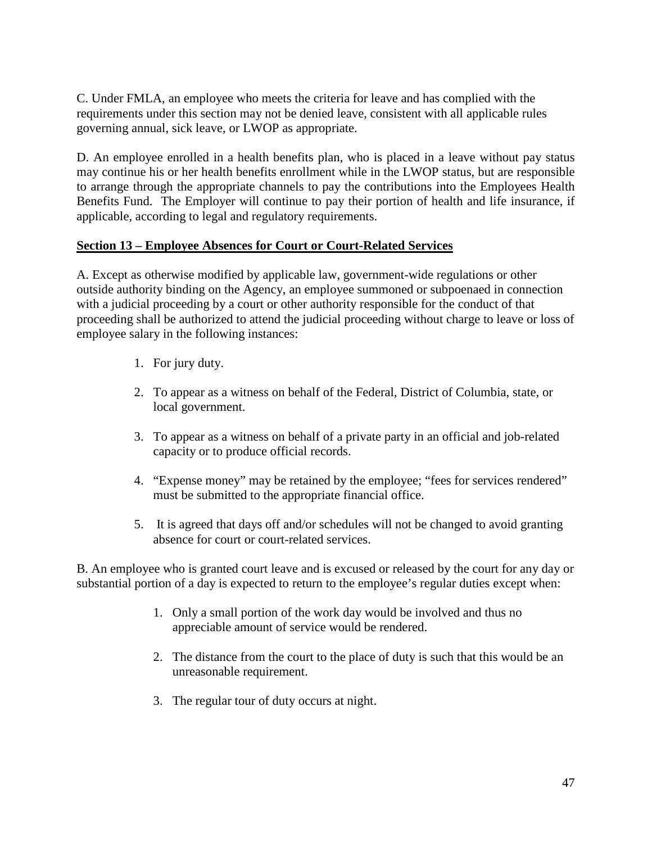C. Under FMLA, an employee who meets the criteria for leave and has complied with the requirements under this section may not be denied leave, consistent with all applicable rules governing annual, sick leave, or LWOP as appropriate.

D. An employee enrolled in a health benefits plan, who is placed in a leave without pay status may continue his or her health benefits enrollment while in the LWOP status, but are responsible to arrange through the appropriate channels to pay the contributions into the Employees Health Benefits Fund. The Employer will continue to pay their portion of health and life insurance, if applicable, according to legal and regulatory requirements.

#### **Section 13 – Employee Absences for Court or Court-Related Services**

A. Except as otherwise modified by applicable law, government-wide regulations or other outside authority binding on the Agency, an employee summoned or subpoenaed in connection with a judicial proceeding by a court or other authority responsible for the conduct of that proceeding shall be authorized to attend the judicial proceeding without charge to leave or loss of employee salary in the following instances:

- 1. For jury duty.
- 2. To appear as a witness on behalf of the Federal, District of Columbia, state, or local government.
- 3. To appear as a witness on behalf of a private party in an official and job-related capacity or to produce official records.
- 4. "Expense money" may be retained by the employee; "fees for services rendered" must be submitted to the appropriate financial office.
- 5. It is agreed that days off and/or schedules will not be changed to avoid granting absence for court or court-related services.

B. An employee who is granted court leave and is excused or released by the court for any day or substantial portion of a day is expected to return to the employee's regular duties except when:

- 1. Only a small portion of the work day would be involved and thus no appreciable amount of service would be rendered.
- 2. The distance from the court to the place of duty is such that this would be an unreasonable requirement.
- 3. The regular tour of duty occurs at night.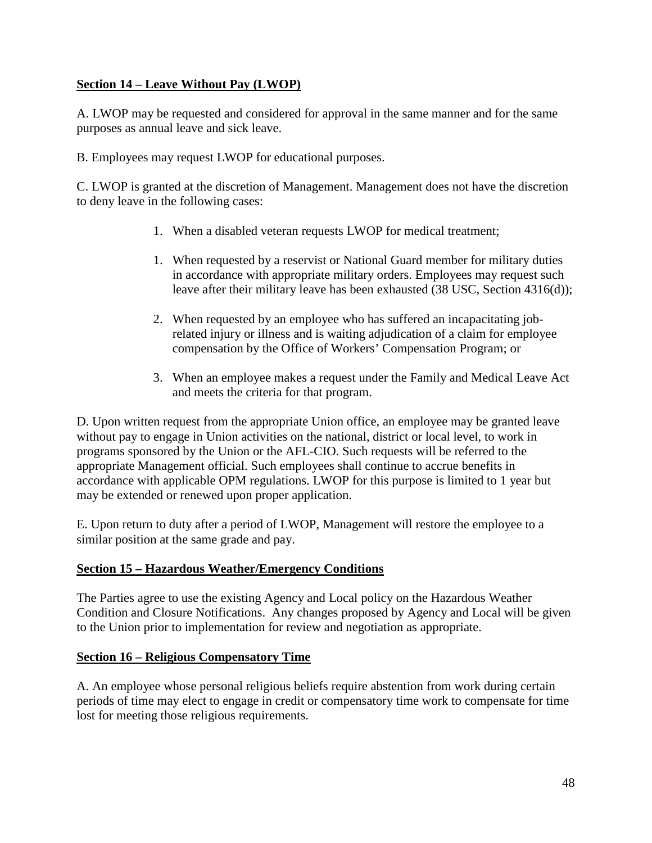### **Section 14 – Leave Without Pay (LWOP)**

A. LWOP may be requested and considered for approval in the same manner and for the same purposes as annual leave and sick leave.

B. Employees may request LWOP for educational purposes.

C. LWOP is granted at the discretion of Management. Management does not have the discretion to deny leave in the following cases:

- 1. When a disabled veteran requests LWOP for medical treatment;
- 1. When requested by a reservist or National Guard member for military duties in accordance with appropriate military orders. Employees may request such leave after their military leave has been exhausted (38 USC, Section 4316(d));
- 2. When requested by an employee who has suffered an incapacitating jobrelated injury or illness and is waiting adjudication of a claim for employee compensation by the Office of Workers' Compensation Program; or
- 3. When an employee makes a request under the Family and Medical Leave Act and meets the criteria for that program.

D. Upon written request from the appropriate Union office, an employee may be granted leave without pay to engage in Union activities on the national, district or local level, to work in programs sponsored by the Union or the AFL-CIO. Such requests will be referred to the appropriate Management official. Such employees shall continue to accrue benefits in accordance with applicable OPM regulations. LWOP for this purpose is limited to 1 year but may be extended or renewed upon proper application.

E. Upon return to duty after a period of LWOP, Management will restore the employee to a similar position at the same grade and pay.

#### **Section 15 – Hazardous Weather/Emergency Conditions**

The Parties agree to use the existing Agency and Local policy on the Hazardous Weather Condition and Closure Notifications. Any changes proposed by Agency and Local will be given to the Union prior to implementation for review and negotiation as appropriate.

#### **Section 16 – Religious Compensatory Time**

A. An employee whose personal religious beliefs require abstention from work during certain periods of time may elect to engage in credit or compensatory time work to compensate for time lost for meeting those religious requirements.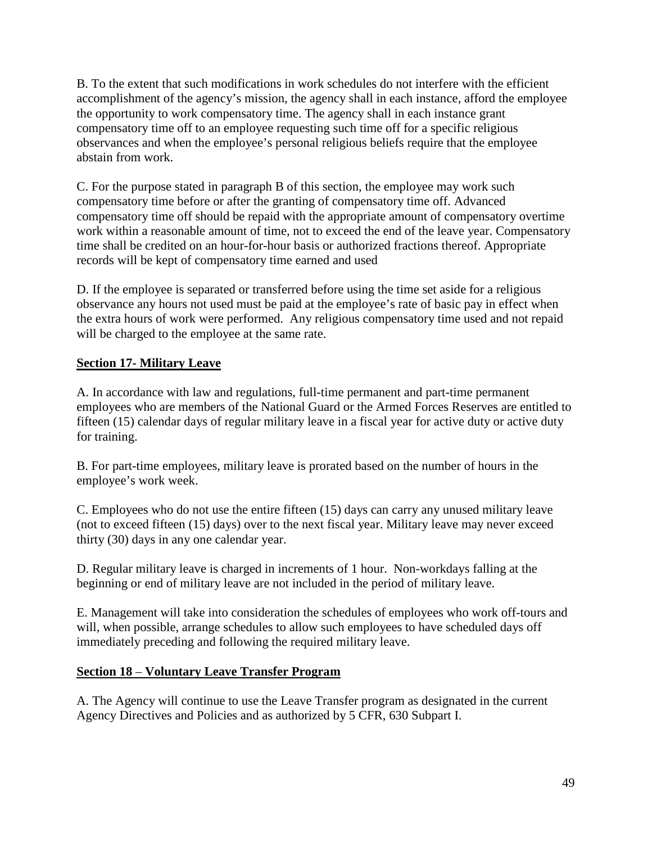B. To the extent that such modifications in work schedules do not interfere with the efficient accomplishment of the agency's mission, the agency shall in each instance, afford the employee the opportunity to work compensatory time. The agency shall in each instance grant compensatory time off to an employee requesting such time off for a specific religious observances and when the employee's personal religious beliefs require that the employee abstain from work.

C. For the purpose stated in paragraph B of this section, the employee may work such compensatory time before or after the granting of compensatory time off. Advanced compensatory time off should be repaid with the appropriate amount of compensatory overtime work within a reasonable amount of time, not to exceed the end of the leave year. Compensatory time shall be credited on an hour-for-hour basis or authorized fractions thereof. Appropriate records will be kept of compensatory time earned and used

D. If the employee is separated or transferred before using the time set aside for a religious observance any hours not used must be paid at the employee's rate of basic pay in effect when the extra hours of work were performed. Any religious compensatory time used and not repaid will be charged to the employee at the same rate.

### **Section 17- Military Leave**

A. In accordance with law and regulations, full-time permanent and part-time permanent employees who are members of the National Guard or the Armed Forces Reserves are entitled to fifteen (15) calendar days of regular military leave in a fiscal year for active duty or active duty for training.

B. For part-time employees, military leave is prorated based on the number of hours in the employee's work week.

C. Employees who do not use the entire fifteen (15) days can carry any unused military leave (not to exceed fifteen (15) days) over to the next fiscal year. Military leave may never exceed thirty (30) days in any one calendar year.

D. Regular military leave is charged in increments of 1 hour. Non-workdays falling at the beginning or end of military leave are not included in the period of military leave.

E. Management will take into consideration the schedules of employees who work off-tours and will, when possible, arrange schedules to allow such employees to have scheduled days off immediately preceding and following the required military leave.

#### **Section 18** – **Voluntary Leave Transfer Program**

A. The Agency will continue to use the Leave Transfer program as designated in the current Agency Directives and Policies and as authorized by 5 CFR, 630 Subpart I.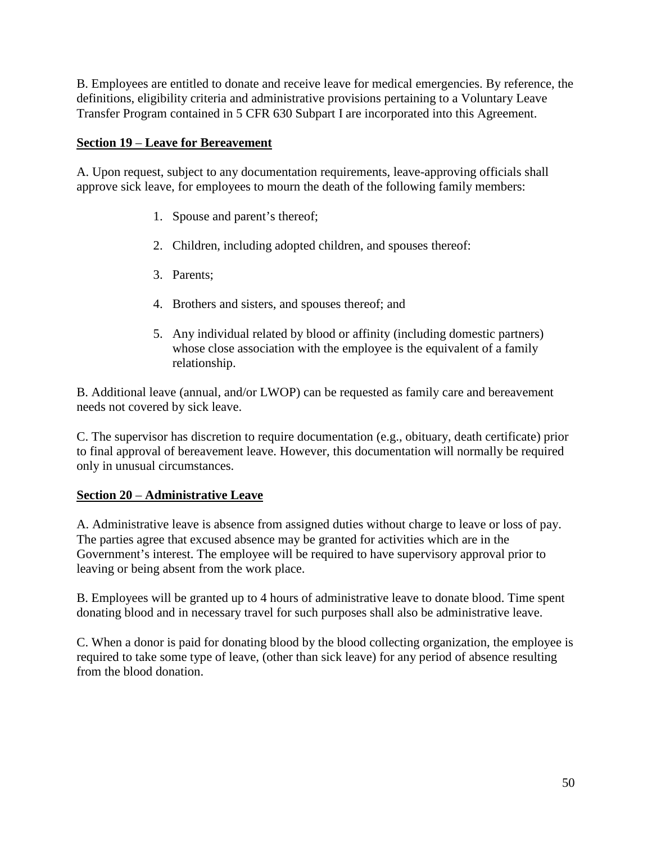B. Employees are entitled to donate and receive leave for medical emergencies. By reference, the definitions, eligibility criteria and administrative provisions pertaining to a Voluntary Leave Transfer Program contained in 5 CFR 630 Subpart I are incorporated into this Agreement.

### **Section 19** – **Leave for Bereavement**

A. Upon request, subject to any documentation requirements, leave-approving officials shall approve sick leave, for employees to mourn the death of the following family members:

- 1. Spouse and parent's thereof;
- 2. Children, including adopted children, and spouses thereof:
- 3. Parents;
- 4. Brothers and sisters, and spouses thereof; and
- 5. Any individual related by blood or affinity (including domestic partners) whose close association with the employee is the equivalent of a family relationship.

B. Additional leave (annual, and/or LWOP) can be requested as family care and bereavement needs not covered by sick leave.

C. The supervisor has discretion to require documentation (e.g., obituary, death certificate) prior to final approval of bereavement leave. However, this documentation will normally be required only in unusual circumstances.

#### **Section 20** – **Administrative Leave**

A. Administrative leave is absence from assigned duties without charge to leave or loss of pay. The parties agree that excused absence may be granted for activities which are in the Government's interest. The employee will be required to have supervisory approval prior to leaving or being absent from the work place.

B. Employees will be granted up to 4 hours of administrative leave to donate blood. Time spent donating blood and in necessary travel for such purposes shall also be administrative leave.

C. When a donor is paid for donating blood by the blood collecting organization, the employee is required to take some type of leave, (other than sick leave) for any period of absence resulting from the blood donation.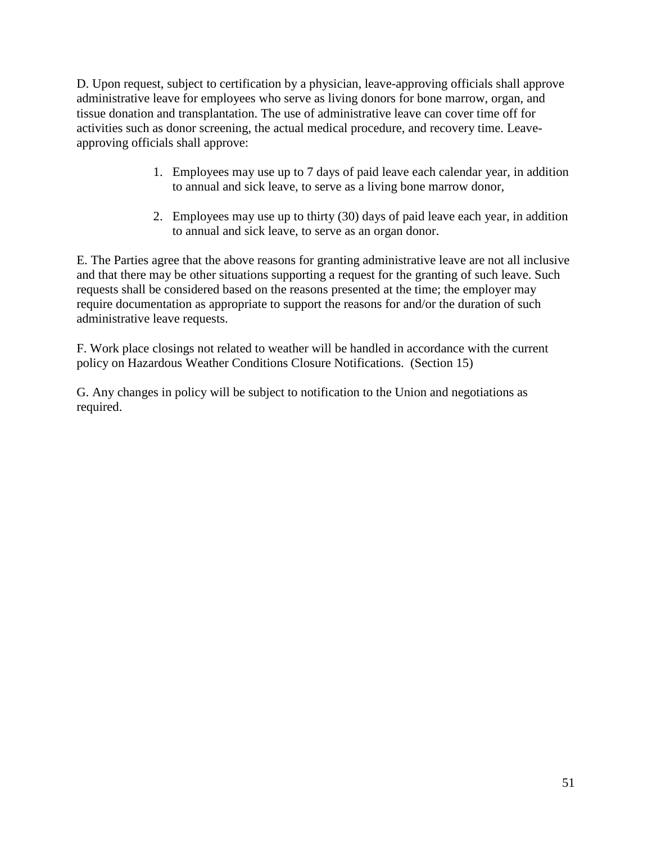D. Upon request, subject to certification by a physician, leave-approving officials shall approve administrative leave for employees who serve as living donors for bone marrow, organ, and tissue donation and transplantation. The use of administrative leave can cover time off for activities such as donor screening, the actual medical procedure, and recovery time. Leaveapproving officials shall approve:

- 1. Employees may use up to 7 days of paid leave each calendar year, in addition to annual and sick leave, to serve as a living bone marrow donor,
- 2. Employees may use up to thirty (30) days of paid leave each year, in addition to annual and sick leave, to serve as an organ donor.

E. The Parties agree that the above reasons for granting administrative leave are not all inclusive and that there may be other situations supporting a request for the granting of such leave. Such requests shall be considered based on the reasons presented at the time; the employer may require documentation as appropriate to support the reasons for and/or the duration of such administrative leave requests.

F. Work place closings not related to weather will be handled in accordance with the current policy on Hazardous Weather Conditions Closure Notifications. (Section 15)

G. Any changes in policy will be subject to notification to the Union and negotiations as required.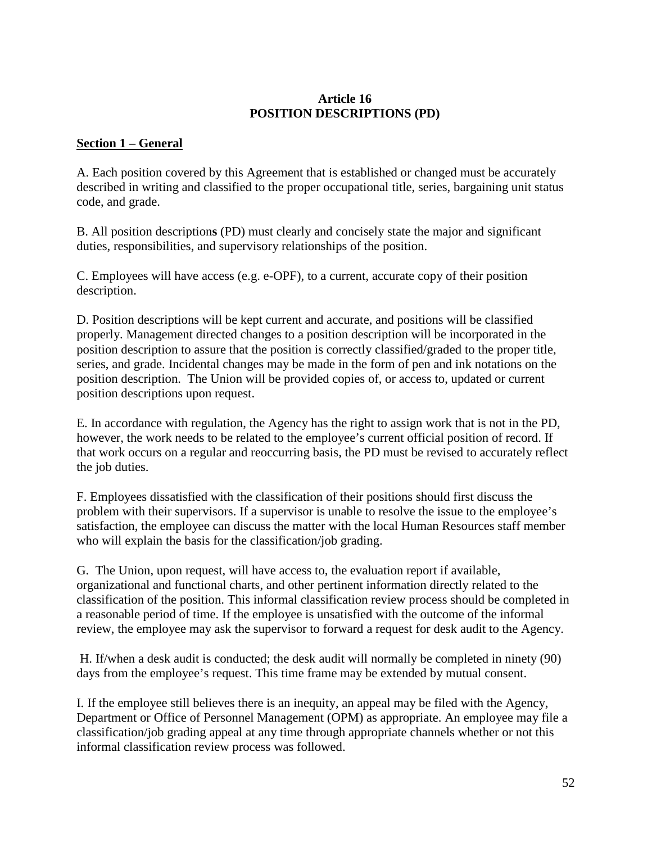#### **Article 16 POSITION DESCRIPTIONS (PD)**

#### **Section 1 – General**

A. Each position covered by this Agreement that is established or changed must be accurately described in writing and classified to the proper occupational title, series, bargaining unit status code, and grade.

B. All position description**s** (PD) must clearly and concisely state the major and significant duties, responsibilities, and supervisory relationships of the position.

C. Employees will have access (e.g. e-OPF), to a current, accurate copy of their position description.

D. Position descriptions will be kept current and accurate, and positions will be classified properly. Management directed changes to a position description will be incorporated in the position description to assure that the position is correctly classified/graded to the proper title, series, and grade. Incidental changes may be made in the form of pen and ink notations on the position description. The Union will be provided copies of, or access to, updated or current position descriptions upon request.

E. In accordance with regulation, the Agency has the right to assign work that is not in the PD, however, the work needs to be related to the employee's current official position of record. If that work occurs on a regular and reoccurring basis, the PD must be revised to accurately reflect the job duties.

F. Employees dissatisfied with the classification of their positions should first discuss the problem with their supervisors. If a supervisor is unable to resolve the issue to the employee's satisfaction, the employee can discuss the matter with the local Human Resources staff member who will explain the basis for the classification/job grading.

G. The Union, upon request, will have access to, the evaluation report if available, organizational and functional charts, and other pertinent information directly related to the classification of the position. This informal classification review process should be completed in a reasonable period of time. If the employee is unsatisfied with the outcome of the informal review, the employee may ask the supervisor to forward a request for desk audit to the Agency.

H. If/when a desk audit is conducted; the desk audit will normally be completed in ninety (90) days from the employee's request. This time frame may be extended by mutual consent.

I. If the employee still believes there is an inequity, an appeal may be filed with the Agency, Department or Office of Personnel Management (OPM) as appropriate. An employee may file a classification/job grading appeal at any time through appropriate channels whether or not this informal classification review process was followed.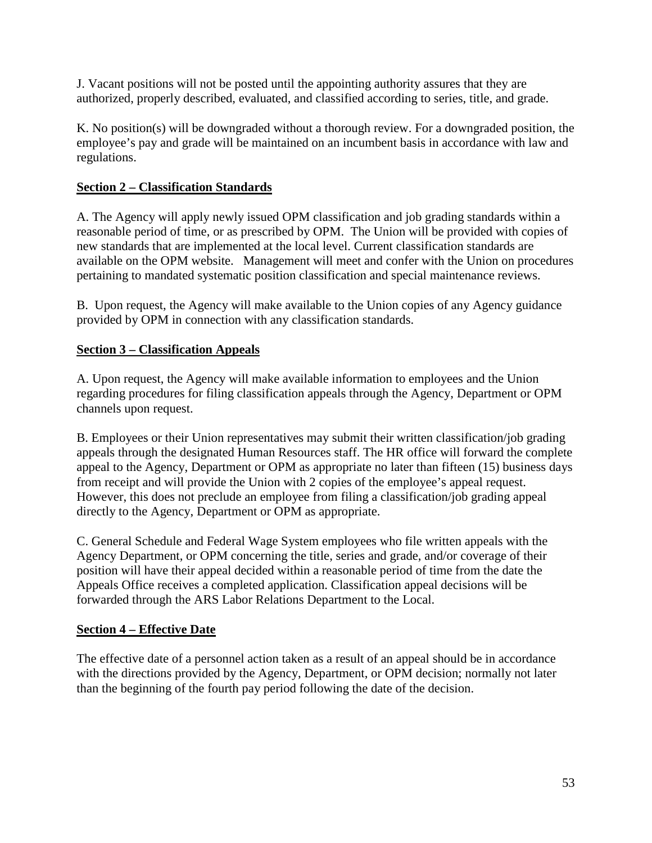J. Vacant positions will not be posted until the appointing authority assures that they are authorized, properly described, evaluated, and classified according to series, title, and grade.

K. No position(s) will be downgraded without a thorough review. For a downgraded position, the employee's pay and grade will be maintained on an incumbent basis in accordance with law and regulations.

# **Section 2 – Classification Standards**

A. The Agency will apply newly issued OPM classification and job grading standards within a reasonable period of time, or as prescribed by OPM. The Union will be provided with copies of new standards that are implemented at the local level. Current classification standards are available on the OPM website. Management will meet and confer with the Union on procedures pertaining to mandated systematic position classification and special maintenance reviews.

B. Upon request, the Agency will make available to the Union copies of any Agency guidance provided by OPM in connection with any classification standards.

# **Section 3 – Classification Appeals**

A. Upon request, the Agency will make available information to employees and the Union regarding procedures for filing classification appeals through the Agency, Department or OPM channels upon request.

B. Employees or their Union representatives may submit their written classification/job grading appeals through the designated Human Resources staff. The HR office will forward the complete appeal to the Agency, Department or OPM as appropriate no later than fifteen (15) business days from receipt and will provide the Union with 2 copies of the employee's appeal request. However, this does not preclude an employee from filing a classification/job grading appeal directly to the Agency, Department or OPM as appropriate.

C. General Schedule and Federal Wage System employees who file written appeals with the Agency Department, or OPM concerning the title, series and grade, and/or coverage of their position will have their appeal decided within a reasonable period of time from the date the Appeals Office receives a completed application. Classification appeal decisions will be forwarded through the ARS Labor Relations Department to the Local.

# **Section 4 – Effective Date**

The effective date of a personnel action taken as a result of an appeal should be in accordance with the directions provided by the Agency, Department, or OPM decision; normally not later than the beginning of the fourth pay period following the date of the decision.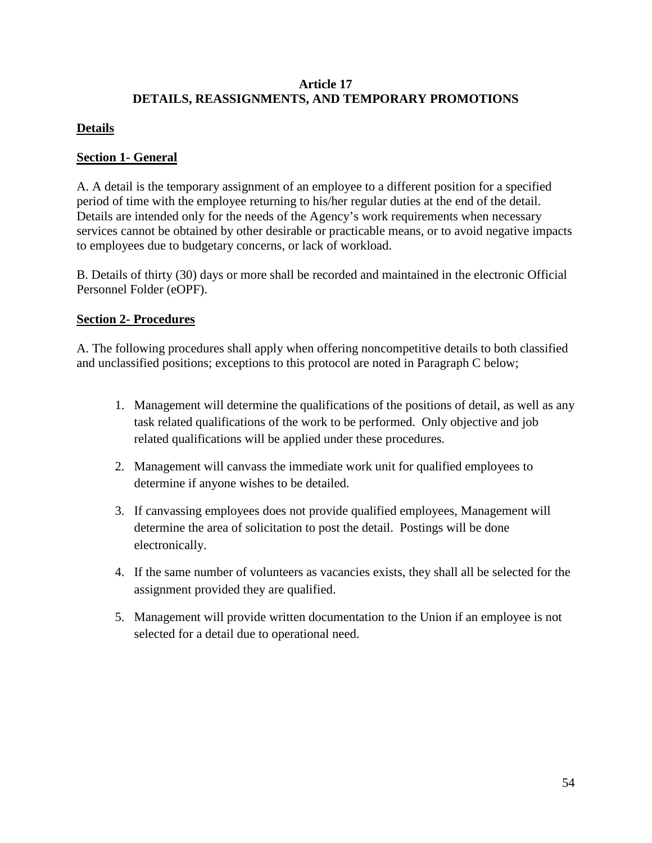### **Article 17 DETAILS, REASSIGNMENTS, AND TEMPORARY PROMOTIONS**

# **Details**

### **Section 1- General**

A. A detail is the temporary assignment of an employee to a different position for a specified period of time with the employee returning to his/her regular duties at the end of the detail. Details are intended only for the needs of the Agency's work requirements when necessary services cannot be obtained by other desirable or practicable means, or to avoid negative impacts to employees due to budgetary concerns, or lack of workload.

B. Details of thirty (30) days or more shall be recorded and maintained in the electronic Official Personnel Folder (eOPF).

### **Section 2- Procedures**

A. The following procedures shall apply when offering noncompetitive details to both classified and unclassified positions; exceptions to this protocol are noted in Paragraph C below;

- 1. Management will determine the qualifications of the positions of detail, as well as any task related qualifications of the work to be performed. Only objective and job related qualifications will be applied under these procedures.
- 2. Management will canvass the immediate work unit for qualified employees to determine if anyone wishes to be detailed.
- 3. If canvassing employees does not provide qualified employees, Management will determine the area of solicitation to post the detail. Postings will be done electronically.
- 4. If the same number of volunteers as vacancies exists, they shall all be selected for the assignment provided they are qualified.
- 5. Management will provide written documentation to the Union if an employee is not selected for a detail due to operational need.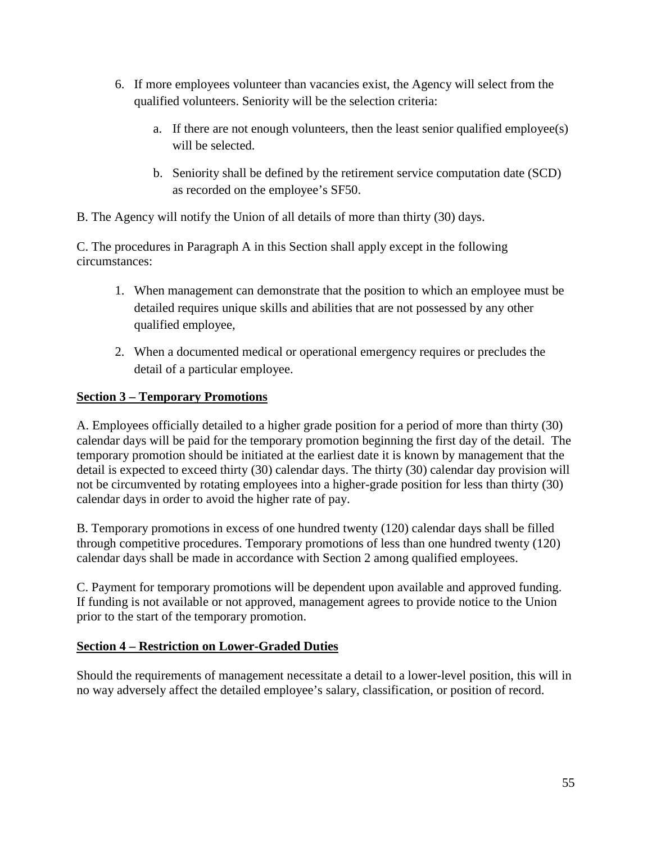- 6. If more employees volunteer than vacancies exist, the Agency will select from the qualified volunteers. Seniority will be the selection criteria:
	- a. If there are not enough volunteers, then the least senior qualified employee(s) will be selected.
	- b. Seniority shall be defined by the retirement service computation date (SCD) as recorded on the employee's SF50.

B. The Agency will notify the Union of all details of more than thirty (30) days.

C. The procedures in Paragraph A in this Section shall apply except in the following circumstances:

- 1. When management can demonstrate that the position to which an employee must be detailed requires unique skills and abilities that are not possessed by any other qualified employee,
- 2. When a documented medical or operational emergency requires or precludes the detail of a particular employee.

# **Section 3 – Temporary Promotions**

A. Employees officially detailed to a higher grade position for a period of more than thirty (30) calendar days will be paid for the temporary promotion beginning the first day of the detail. The temporary promotion should be initiated at the earliest date it is known by management that the detail is expected to exceed thirty (30) calendar days. The thirty (30) calendar day provision will not be circumvented by rotating employees into a higher-grade position for less than thirty (30) calendar days in order to avoid the higher rate of pay.

B. Temporary promotions in excess of one hundred twenty (120) calendar days shall be filled through competitive procedures. Temporary promotions of less than one hundred twenty (120) calendar days shall be made in accordance with Section 2 among qualified employees.

C. Payment for temporary promotions will be dependent upon available and approved funding. If funding is not available or not approved, management agrees to provide notice to the Union prior to the start of the temporary promotion.

#### **Section 4 – Restriction on Lower-Graded Duties**

Should the requirements of management necessitate a detail to a lower-level position, this will in no way adversely affect the detailed employee's salary, classification, or position of record.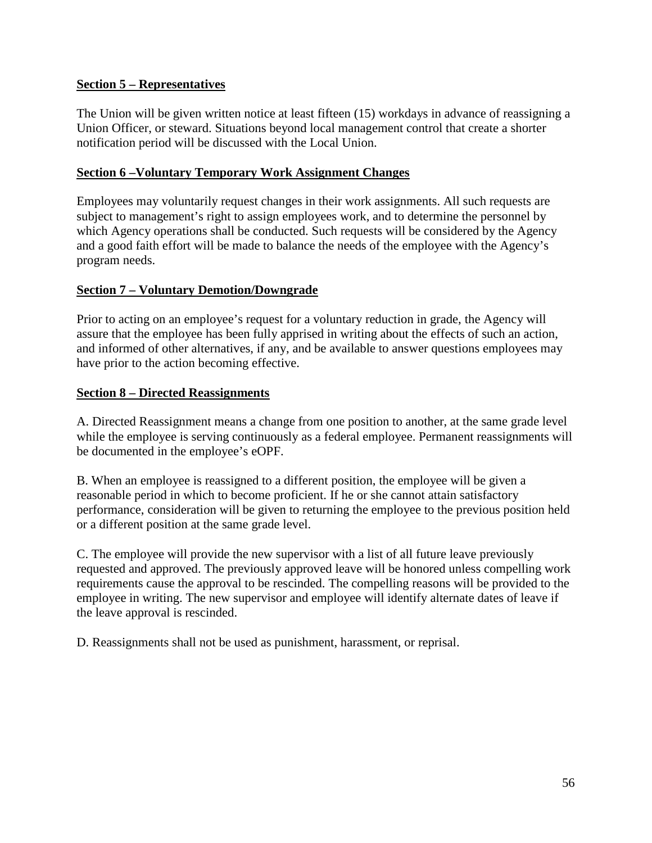#### **Section 5 – Representatives**

The Union will be given written notice at least fifteen (15) workdays in advance of reassigning a Union Officer, or steward. Situations beyond local management control that create a shorter notification period will be discussed with the Local Union.

### **Section 6 –Voluntary Temporary Work Assignment Changes**

Employees may voluntarily request changes in their work assignments. All such requests are subject to management's right to assign employees work, and to determine the personnel by which Agency operations shall be conducted. Such requests will be considered by the Agency and a good faith effort will be made to balance the needs of the employee with the Agency's program needs.

### **Section 7 – Voluntary Demotion/Downgrade**

Prior to acting on an employee's request for a voluntary reduction in grade, the Agency will assure that the employee has been fully apprised in writing about the effects of such an action, and informed of other alternatives, if any, and be available to answer questions employees may have prior to the action becoming effective.

#### **Section 8 – Directed Reassignments**

A. Directed Reassignment means a change from one position to another, at the same grade level while the employee is serving continuously as a federal employee. Permanent reassignments will be documented in the employee's eOPF.

B. When an employee is reassigned to a different position, the employee will be given a reasonable period in which to become proficient. If he or she cannot attain satisfactory performance, consideration will be given to returning the employee to the previous position held or a different position at the same grade level.

C. The employee will provide the new supervisor with a list of all future leave previously requested and approved. The previously approved leave will be honored unless compelling work requirements cause the approval to be rescinded. The compelling reasons will be provided to the employee in writing. The new supervisor and employee will identify alternate dates of leave if the leave approval is rescinded.

D. Reassignments shall not be used as punishment, harassment, or reprisal.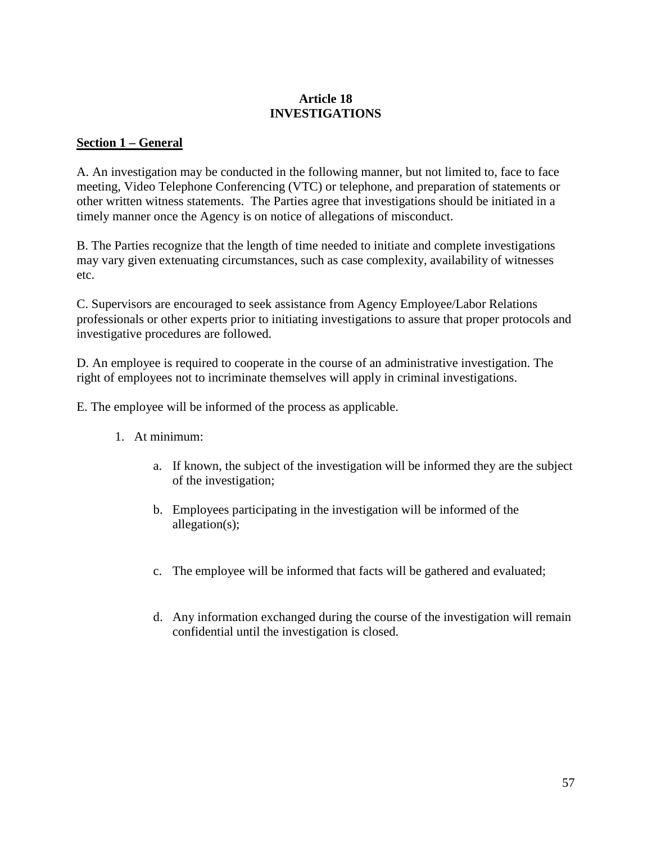#### **Article 18 INVESTIGATIONS**

#### **Section 1 – General**

A. An investigation may be conducted in the following manner, but not limited to, face to face meeting, Video Telephone Conferencing (VTC) or telephone, and preparation of statements or other written witness statements. The Parties agree that investigations should be initiated in a timely manner once the Agency is on notice of allegations of misconduct.

B. The Parties recognize that the length of time needed to initiate and complete investigations may vary given extenuating circumstances, such as case complexity, availability of witnesses etc.

C. Supervisors are encouraged to seek assistance from Agency Employee/Labor Relations professionals or other experts prior to initiating investigations to assure that proper protocols and investigative procedures are followed.

D. An employee is required to cooperate in the course of an administrative investigation. The right of employees not to incriminate themselves will apply in criminal investigations.

E. The employee will be informed of the process as applicable.

- 1. At minimum:
	- a. If known, the subject of the investigation will be informed they are the subject of the investigation;
	- b. Employees participating in the investigation will be informed of the allegation(s);
	- c. The employee will be informed that facts will be gathered and evaluated;
	- d. Any information exchanged during the course of the investigation will remain confidential until the investigation is closed.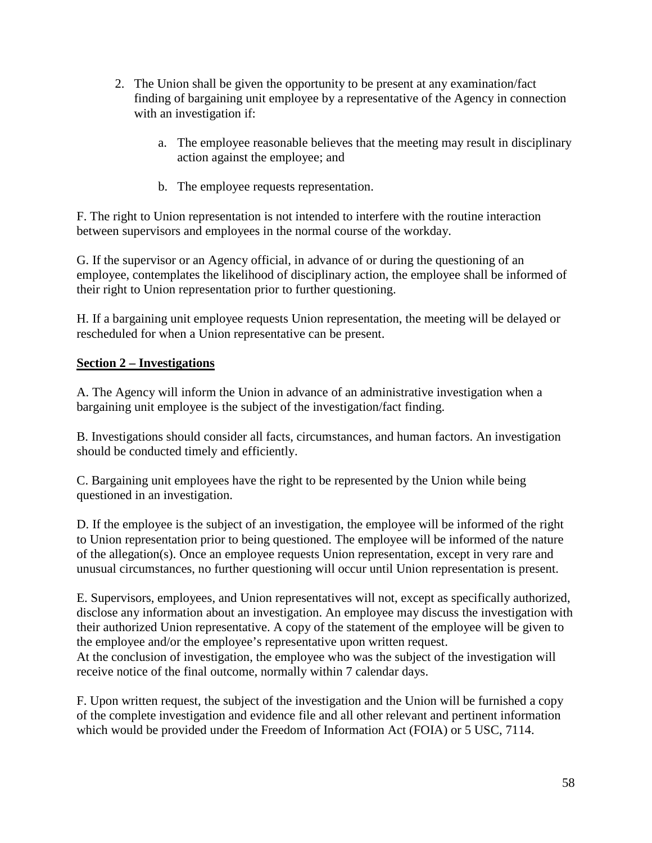- 2. The Union shall be given the opportunity to be present at any examination/fact finding of bargaining unit employee by a representative of the Agency in connection with an investigation if:
	- a. The employee reasonable believes that the meeting may result in disciplinary action against the employee; and
	- b. The employee requests representation.

F. The right to Union representation is not intended to interfere with the routine interaction between supervisors and employees in the normal course of the workday.

G. If the supervisor or an Agency official, in advance of or during the questioning of an employee, contemplates the likelihood of disciplinary action, the employee shall be informed of their right to Union representation prior to further questioning.

H. If a bargaining unit employee requests Union representation, the meeting will be delayed or rescheduled for when a Union representative can be present.

### **Section 2 – Investigations**

A. The Agency will inform the Union in advance of an administrative investigation when a bargaining unit employee is the subject of the investigation/fact finding.

B. Investigations should consider all facts, circumstances, and human factors. An investigation should be conducted timely and efficiently.

C. Bargaining unit employees have the right to be represented by the Union while being questioned in an investigation.

D. If the employee is the subject of an investigation, the employee will be informed of the right to Union representation prior to being questioned. The employee will be informed of the nature of the allegation(s). Once an employee requests Union representation, except in very rare and unusual circumstances, no further questioning will occur until Union representation is present.

E. Supervisors, employees, and Union representatives will not, except as specifically authorized, disclose any information about an investigation. An employee may discuss the investigation with their authorized Union representative. A copy of the statement of the employee will be given to the employee and/or the employee's representative upon written request. At the conclusion of investigation, the employee who was the subject of the investigation will receive notice of the final outcome, normally within 7 calendar days.

F. Upon written request, the subject of the investigation and the Union will be furnished a copy of the complete investigation and evidence file and all other relevant and pertinent information which would be provided under the Freedom of Information Act (FOIA) or 5 USC, 7114.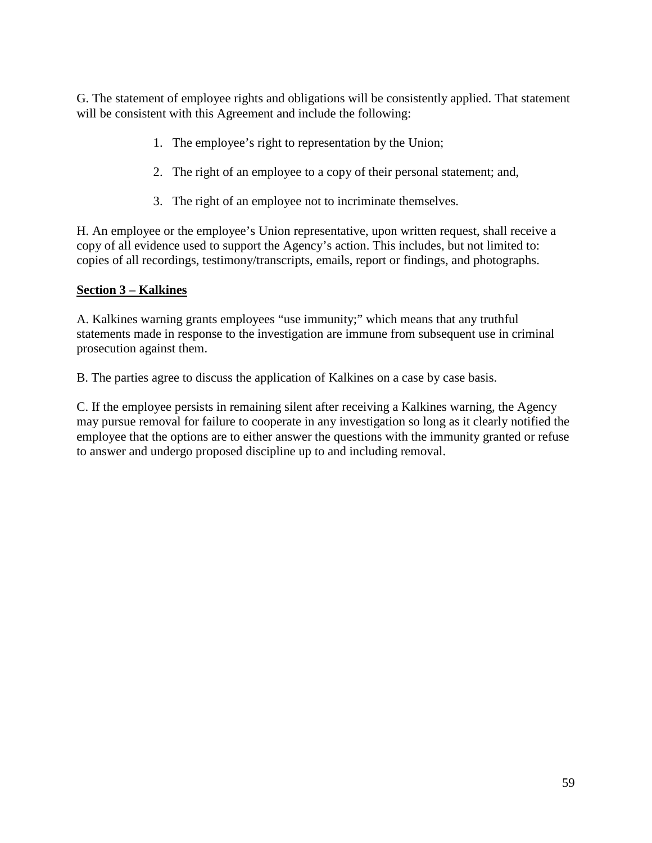G. The statement of employee rights and obligations will be consistently applied. That statement will be consistent with this Agreement and include the following:

- 1. The employee's right to representation by the Union;
- 2. The right of an employee to a copy of their personal statement; and,
- 3. The right of an employee not to incriminate themselves.

H. An employee or the employee's Union representative, upon written request, shall receive a copy of all evidence used to support the Agency's action. This includes, but not limited to: copies of all recordings, testimony/transcripts, emails, report or findings, and photographs.

#### **Section 3 – Kalkines**

A. Kalkines warning grants employees "use immunity;" which means that any truthful statements made in response to the investigation are immune from subsequent use in criminal prosecution against them.

B. The parties agree to discuss the application of Kalkines on a case by case basis.

C. If the employee persists in remaining silent after receiving a Kalkines warning, the Agency may pursue removal for failure to cooperate in any investigation so long as it clearly notified the employee that the options are to either answer the questions with the immunity granted or refuse to answer and undergo proposed discipline up to and including removal.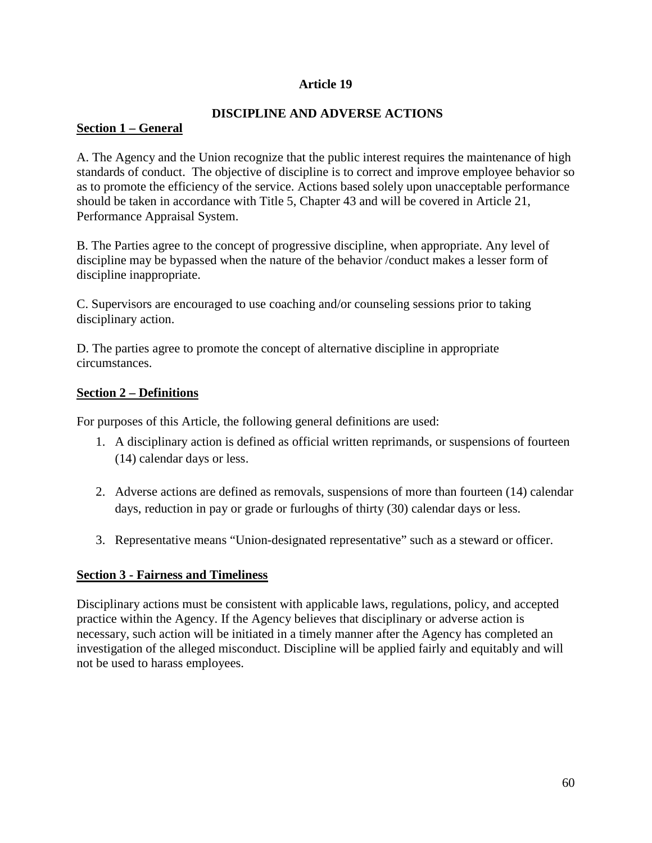#### **Article 19**

#### **DISCIPLINE AND ADVERSE ACTIONS**

### **Section 1 – General**

A. The Agency and the Union recognize that the public interest requires the maintenance of high standards of conduct. The objective of discipline is to correct and improve employee behavior so as to promote the efficiency of the service. Actions based solely upon unacceptable performance should be taken in accordance with Title 5, Chapter 43 and will be covered in Article 21, Performance Appraisal System.

B. The Parties agree to the concept of progressive discipline, when appropriate. Any level of discipline may be bypassed when the nature of the behavior /conduct makes a lesser form of discipline inappropriate.

C. Supervisors are encouraged to use coaching and/or counseling sessions prior to taking disciplinary action.

D. The parties agree to promote the concept of alternative discipline in appropriate circumstances.

#### **Section 2 – Definitions**

For purposes of this Article, the following general definitions are used:

- 1. A disciplinary action is defined as official written reprimands, or suspensions of fourteen (14) calendar days or less.
- 2. Adverse actions are defined as removals, suspensions of more than fourteen (14) calendar days, reduction in pay or grade or furloughs of thirty (30) calendar days or less.
- 3. Representative means "Union-designated representative" such as a steward or officer.

#### **Section 3 - Fairness and Timeliness**

Disciplinary actions must be consistent with applicable laws, regulations, policy, and accepted practice within the Agency. If the Agency believes that disciplinary or adverse action is necessary, such action will be initiated in a timely manner after the Agency has completed an investigation of the alleged misconduct. Discipline will be applied fairly and equitably and will not be used to harass employees.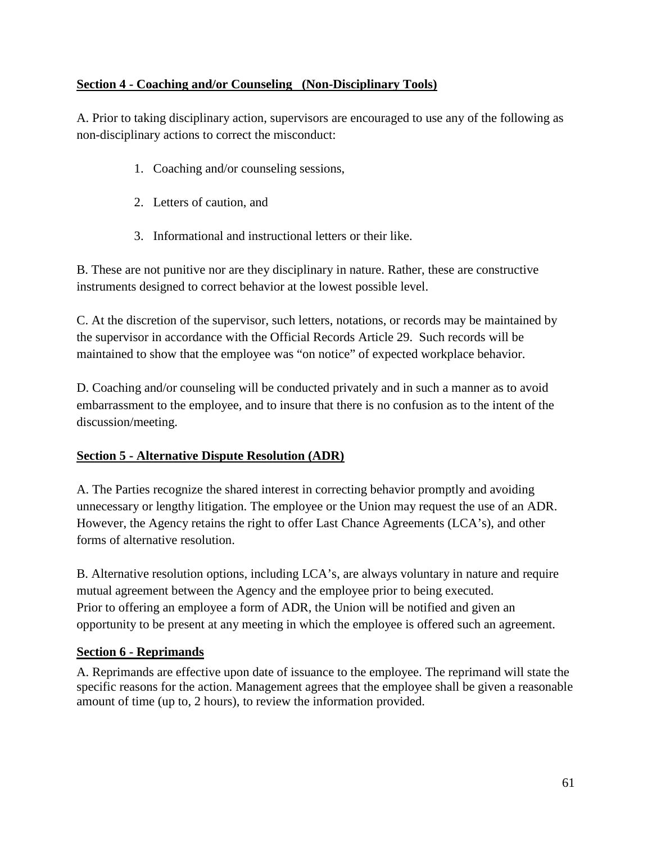## **Section 4 - Coaching and/or Counseling (Non-Disciplinary Tools)**

A. Prior to taking disciplinary action, supervisors are encouraged to use any of the following as non-disciplinary actions to correct the misconduct:

- 1. Coaching and/or counseling sessions,
- 2. Letters of caution, and
- 3. Informational and instructional letters or their like.

B. These are not punitive nor are they disciplinary in nature. Rather, these are constructive instruments designed to correct behavior at the lowest possible level.

C. At the discretion of the supervisor, such letters, notations, or records may be maintained by the supervisor in accordance with the Official Records Article 29. Such records will be maintained to show that the employee was "on notice" of expected workplace behavior.

D. Coaching and/or counseling will be conducted privately and in such a manner as to avoid embarrassment to the employee, and to insure that there is no confusion as to the intent of the discussion/meeting.

#### **Section 5 - Alternative Dispute Resolution (ADR)**

A. The Parties recognize the shared interest in correcting behavior promptly and avoiding unnecessary or lengthy litigation. The employee or the Union may request the use of an ADR. However, the Agency retains the right to offer Last Chance Agreements (LCA's), and other forms of alternative resolution.

B. Alternative resolution options, including LCA's, are always voluntary in nature and require mutual agreement between the Agency and the employee prior to being executed. Prior to offering an employee a form of ADR, the Union will be notified and given an opportunity to be present at any meeting in which the employee is offered such an agreement.

#### **Section 6 - Reprimands**

A. Reprimands are effective upon date of issuance to the employee. The reprimand will state the specific reasons for the action. Management agrees that the employee shall be given a reasonable amount of time (up to, 2 hours), to review the information provided.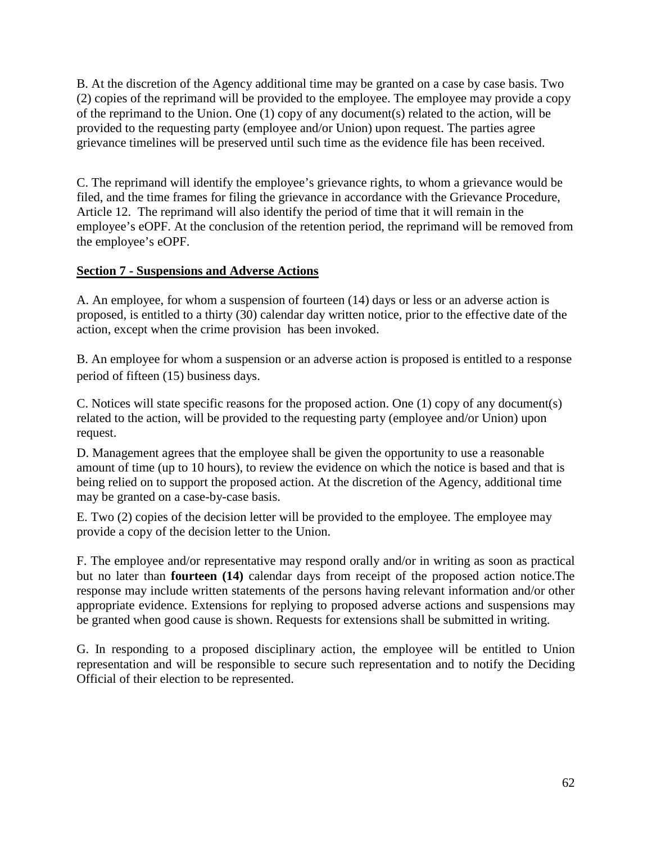B. At the discretion of the Agency additional time may be granted on a case by case basis. Two (2) copies of the reprimand will be provided to the employee. The employee may provide a copy of the reprimand to the Union. One (1) copy of any document(s) related to the action, will be provided to the requesting party (employee and/or Union) upon request. The parties agree grievance timelines will be preserved until such time as the evidence file has been received.

C. The reprimand will identify the employee's grievance rights, to whom a grievance would be filed, and the time frames for filing the grievance in accordance with the Grievance Procedure, Article 12. The reprimand will also identify the period of time that it will remain in the employee's eOPF. At the conclusion of the retention period, the reprimand will be removed from the employee's eOPF.

#### **Section 7 - Suspensions and Adverse Actions**

A. An employee, for whom a suspension of fourteen (14) days or less or an adverse action is proposed, is entitled to a thirty (30) calendar day written notice, prior to the effective date of the action, except when the crime provision has been invoked.

B. An employee for whom a suspension or an adverse action is proposed is entitled to a response period of fifteen (15) business days.

C. Notices will state specific reasons for the proposed action. One (1) copy of any document(s) related to the action, will be provided to the requesting party (employee and/or Union) upon request.

D. Management agrees that the employee shall be given the opportunity to use a reasonable amount of time (up to 10 hours), to review the evidence on which the notice is based and that is being relied on to support the proposed action. At the discretion of the Agency, additional time may be granted on a case-by-case basis.

E. Two (2) copies of the decision letter will be provided to the employee. The employee may provide a copy of the decision letter to the Union.

F. The employee and/or representative may respond orally and/or in writing as soon as practical but no later than **fourteen (14)** calendar days from receipt of the proposed action notice.The response may include written statements of the persons having relevant information and/or other appropriate evidence. Extensions for replying to proposed adverse actions and suspensions may be granted when good cause is shown. Requests for extensions shall be submitted in writing.

G. In responding to a proposed disciplinary action, the employee will be entitled to Union representation and will be responsible to secure such representation and to notify the Deciding Official of their election to be represented.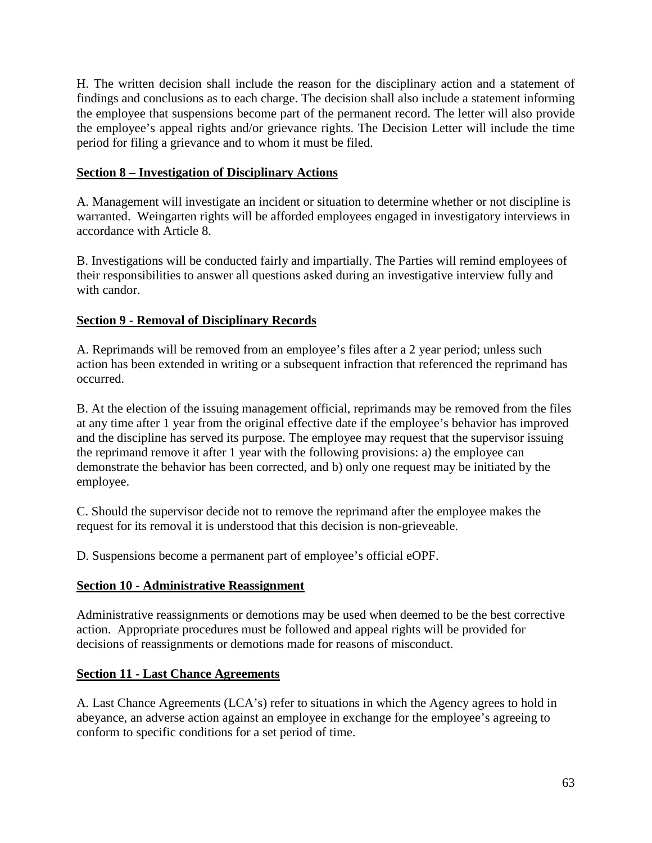H. The written decision shall include the reason for the disciplinary action and a statement of findings and conclusions as to each charge. The decision shall also include a statement informing the employee that suspensions become part of the permanent record. The letter will also provide the employee's appeal rights and/or grievance rights. The Decision Letter will include the time period for filing a grievance and to whom it must be filed.

### **Section 8 – Investigation of Disciplinary Actions**

A. Management will investigate an incident or situation to determine whether or not discipline is warranted. Weingarten rights will be afforded employees engaged in investigatory interviews in accordance with Article 8.

B. Investigations will be conducted fairly and impartially. The Parties will remind employees of their responsibilities to answer all questions asked during an investigative interview fully and with candor.

### **Section 9 - Removal of Disciplinary Records**

A. Reprimands will be removed from an employee's files after a 2 year period; unless such action has been extended in writing or a subsequent infraction that referenced the reprimand has occurred.

B. At the election of the issuing management official, reprimands may be removed from the files at any time after 1 year from the original effective date if the employee's behavior has improved and the discipline has served its purpose. The employee may request that the supervisor issuing the reprimand remove it after 1 year with the following provisions: a) the employee can demonstrate the behavior has been corrected, and b) only one request may be initiated by the employee.

C. Should the supervisor decide not to remove the reprimand after the employee makes the request for its removal it is understood that this decision is non-grieveable.

D. Suspensions become a permanent part of employee's official eOPF.

# **Section 10 - Administrative Reassignment**

Administrative reassignments or demotions may be used when deemed to be the best corrective action. Appropriate procedures must be followed and appeal rights will be provided for decisions of reassignments or demotions made for reasons of misconduct.

#### **Section 11 - Last Chance Agreements**

A. Last Chance Agreements (LCA's) refer to situations in which the Agency agrees to hold in abeyance, an adverse action against an employee in exchange for the employee's agreeing to conform to specific conditions for a set period of time.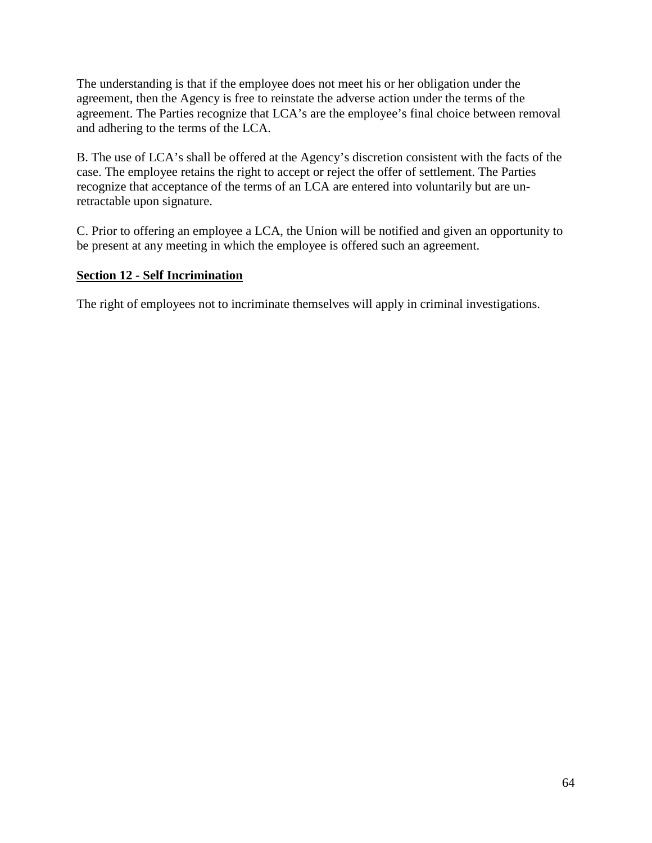The understanding is that if the employee does not meet his or her obligation under the agreement, then the Agency is free to reinstate the adverse action under the terms of the agreement. The Parties recognize that LCA's are the employee's final choice between removal and adhering to the terms of the LCA.

B. The use of LCA's shall be offered at the Agency's discretion consistent with the facts of the case. The employee retains the right to accept or reject the offer of settlement. The Parties recognize that acceptance of the terms of an LCA are entered into voluntarily but are unretractable upon signature.

C. Prior to offering an employee a LCA, the Union will be notified and given an opportunity to be present at any meeting in which the employee is offered such an agreement.

# **Section 12 - Self Incrimination**

The right of employees not to incriminate themselves will apply in criminal investigations.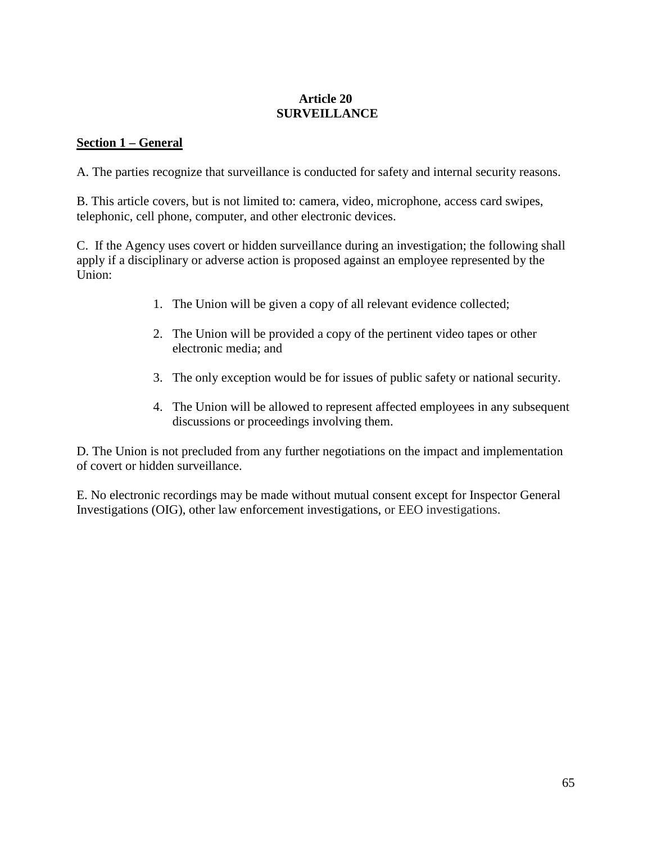### **Article 20 SURVEILLANCE**

### **Section 1 – General**

A. The parties recognize that surveillance is conducted for safety and internal security reasons.

B. This article covers, but is not limited to: camera, video, microphone, access card swipes, telephonic, cell phone, computer, and other electronic devices.

C. If the Agency uses covert or hidden surveillance during an investigation; the following shall apply if a disciplinary or adverse action is proposed against an employee represented by the Union:

- 1. The Union will be given a copy of all relevant evidence collected;
- 2. The Union will be provided a copy of the pertinent video tapes or other electronic media; and
- 3. The only exception would be for issues of public safety or national security.
- 4. The Union will be allowed to represent affected employees in any subsequent discussions or proceedings involving them.

D. The Union is not precluded from any further negotiations on the impact and implementation of covert or hidden surveillance.

E. No electronic recordings may be made without mutual consent except for Inspector General Investigations (OIG), other law enforcement investigations, or EEO investigations.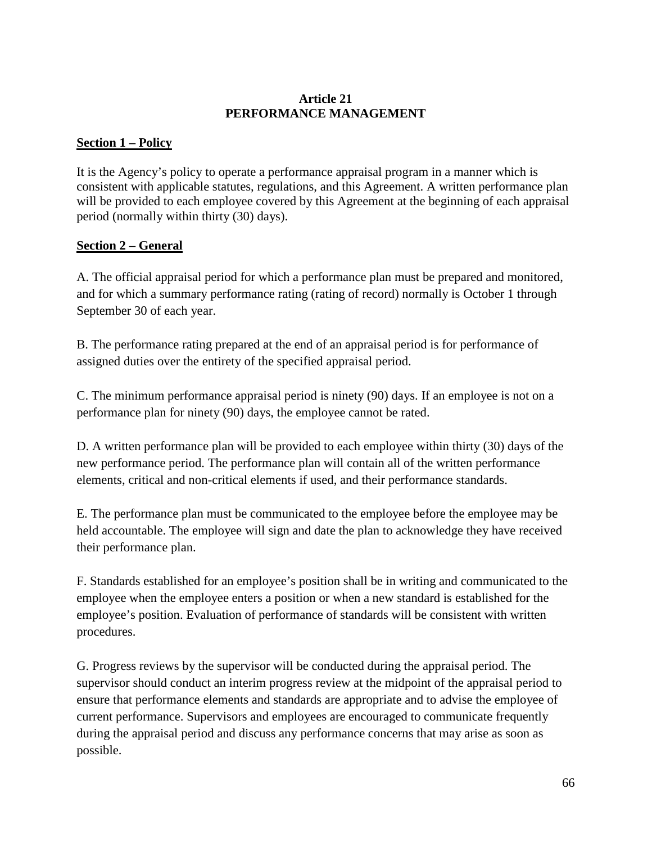### **Article 21 PERFORMANCE MANAGEMENT**

### **Section 1 – Policy**

It is the Agency's policy to operate a performance appraisal program in a manner which is consistent with applicable statutes, regulations, and this Agreement. A written performance plan will be provided to each employee covered by this Agreement at the beginning of each appraisal period (normally within thirty (30) days).

### **Section 2 – General**

A. The official appraisal period for which a performance plan must be prepared and monitored, and for which a summary performance rating (rating of record) normally is October 1 through September 30 of each year.

B. The performance rating prepared at the end of an appraisal period is for performance of assigned duties over the entirety of the specified appraisal period.

C. The minimum performance appraisal period is ninety (90) days. If an employee is not on a performance plan for ninety (90) days, the employee cannot be rated.

D. A written performance plan will be provided to each employee within thirty (30) days of the new performance period. The performance plan will contain all of the written performance elements, critical and non-critical elements if used, and their performance standards.

E. The performance plan must be communicated to the employee before the employee may be held accountable. The employee will sign and date the plan to acknowledge they have received their performance plan.

F. Standards established for an employee's position shall be in writing and communicated to the employee when the employee enters a position or when a new standard is established for the employee's position. Evaluation of performance of standards will be consistent with written procedures.

G. Progress reviews by the supervisor will be conducted during the appraisal period. The supervisor should conduct an interim progress review at the midpoint of the appraisal period to ensure that performance elements and standards are appropriate and to advise the employee of current performance. Supervisors and employees are encouraged to communicate frequently during the appraisal period and discuss any performance concerns that may arise as soon as possible.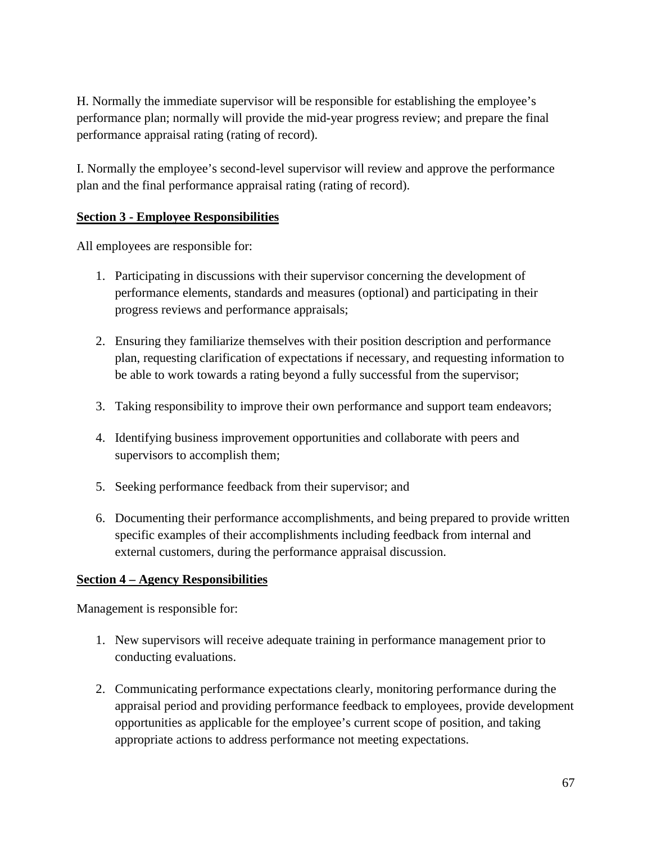H. Normally the immediate supervisor will be responsible for establishing the employee's performance plan; normally will provide the mid**-**year progress review; and prepare the final performance appraisal rating (rating of record).

I. Normally the employee's second-level supervisor will review and approve the performance plan and the final performance appraisal rating (rating of record).

### **Section 3 - Employee Responsibilities**

All employees are responsible for:

- 1. Participating in discussions with their supervisor concerning the development of performance elements, standards and measures (optional) and participating in their progress reviews and performance appraisals;
- 2. Ensuring they familiarize themselves with their position description and performance plan, requesting clarification of expectations if necessary, and requesting information to be able to work towards a rating beyond a fully successful from the supervisor;
- 3. Taking responsibility to improve their own performance and support team endeavors;
- 4. Identifying business improvement opportunities and collaborate with peers and supervisors to accomplish them;
- 5. Seeking performance feedback from their supervisor; and
- 6. Documenting their performance accomplishments, and being prepared to provide written specific examples of their accomplishments including feedback from internal and external customers, during the performance appraisal discussion.

# **Section 4 – Agency Responsibilities**

Management is responsible for:

- 1. New supervisors will receive adequate training in performance management prior to conducting evaluations.
- 2. Communicating performance expectations clearly, monitoring performance during the appraisal period and providing performance feedback to employees, provide development opportunities as applicable for the employee's current scope of position, and taking appropriate actions to address performance not meeting expectations.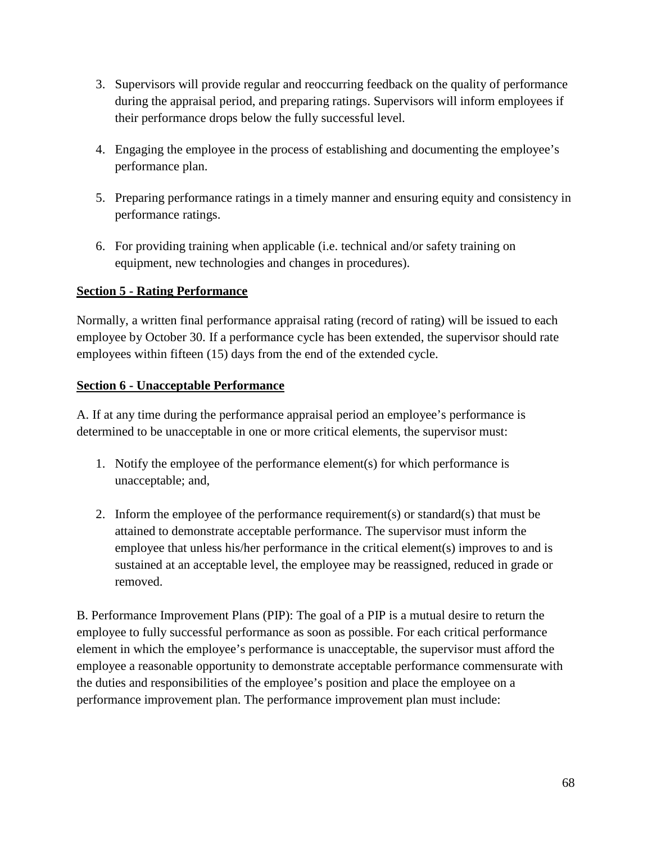- 3. Supervisors will provide regular and reoccurring feedback on the quality of performance during the appraisal period, and preparing ratings. Supervisors will inform employees if their performance drops below the fully successful level.
- 4. Engaging the employee in the process of establishing and documenting the employee's performance plan.
- 5. Preparing performance ratings in a timely manner and ensuring equity and consistency in performance ratings.
- 6. For providing training when applicable (i.e. technical and/or safety training on equipment, new technologies and changes in procedures).

### **Section 5 - Rating Performance**

Normally, a written final performance appraisal rating (record of rating) will be issued to each employee by October 30. If a performance cycle has been extended, the supervisor should rate employees within fifteen (15) days from the end of the extended cycle.

### **Section 6 - Unacceptable Performance**

A. If at any time during the performance appraisal period an employee's performance is determined to be unacceptable in one or more critical elements, the supervisor must:

- 1. Notify the employee of the performance element(s) for which performance is unacceptable; and,
- 2. Inform the employee of the performance requirement(s) or standard(s) that must be attained to demonstrate acceptable performance. The supervisor must inform the employee that unless his/her performance in the critical element(s) improves to and is sustained at an acceptable level, the employee may be reassigned, reduced in grade or removed.

B. Performance Improvement Plans (PIP): The goal of a PIP is a mutual desire to return the employee to fully successful performance as soon as possible. For each critical performance element in which the employee's performance is unacceptable, the supervisor must afford the employee a reasonable opportunity to demonstrate acceptable performance commensurate with the duties and responsibilities of the employee's position and place the employee on a performance improvement plan. The performance improvement plan must include: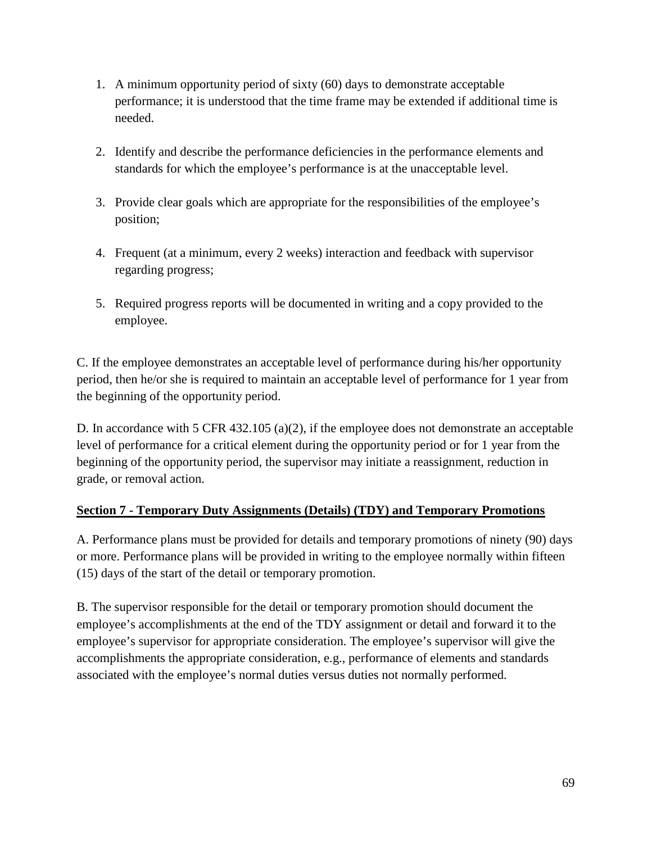- 1. A minimum opportunity period of sixty (60) days to demonstrate acceptable performance; it is understood that the time frame may be extended if additional time is needed.
- 2. Identify and describe the performance deficiencies in the performance elements and standards for which the employee's performance is at the unacceptable level.
- 3. Provide clear goals which are appropriate for the responsibilities of the employee's position;
- 4. Frequent (at a minimum, every 2 weeks) interaction and feedback with supervisor regarding progress;
- 5. Required progress reports will be documented in writing and a copy provided to the employee.

C. If the employee demonstrates an acceptable level of performance during his/her opportunity period, then he/or she is required to maintain an acceptable level of performance for 1 year from the beginning of the opportunity period.

D. In accordance with 5 CFR 432.105 (a)(2), if the employee does not demonstrate an acceptable level of performance for a critical element during the opportunity period or for 1 year from the beginning of the opportunity period, the supervisor may initiate a reassignment, reduction in grade, or removal action.

# **Section 7 - Temporary Duty Assignments (Details) (TDY) and Temporary Promotions**

A. Performance plans must be provided for details and temporary promotions of ninety (90) days or more. Performance plans will be provided in writing to the employee normally within fifteen (15) days of the start of the detail or temporary promotion.

B. The supervisor responsible for the detail or temporary promotion should document the employee's accomplishments at the end of the TDY assignment or detail and forward it to the employee's supervisor for appropriate consideration. The employee's supervisor will give the accomplishments the appropriate consideration, e.g., performance of elements and standards associated with the employee's normal duties versus duties not normally performed.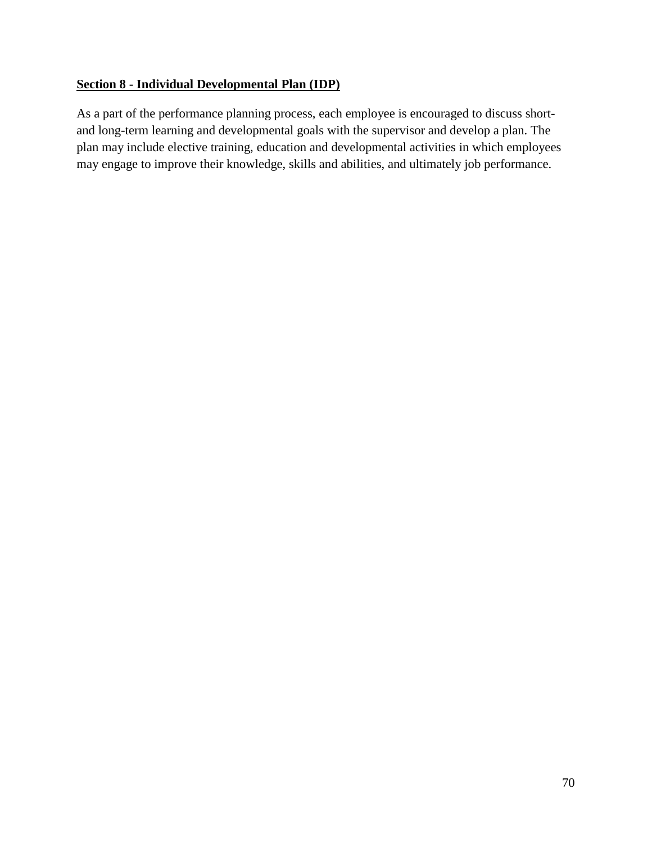# **Section 8 - Individual Developmental Plan (IDP)**

As a part of the performance planning process, each employee is encouraged to discuss shortand long-term learning and developmental goals with the supervisor and develop a plan. The plan may include elective training, education and developmental activities in which employees may engage to improve their knowledge, skills and abilities, and ultimately job performance.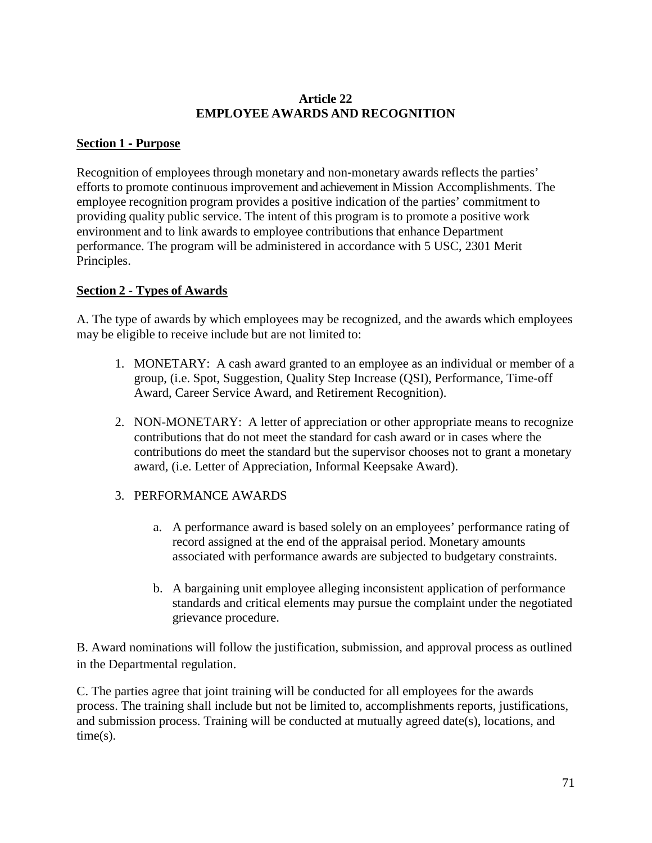#### **Article 22 EMPLOYEE AWARDS AND RECOGNITION**

### **Section 1** ‐ **Purpose**

Recognition of employees through monetary and non-monetary awards reflects the parties' efforts to promote continuous improvement and achievement in Mission Accomplishments. The employee recognition program provides a positive indication of the parties' commitment to providing quality public service. The intent of this program is to promote a positive work environment and to link awards to employee contributions that enhance Department performance. The program will be administered in accordance with 5 USC, 2301 Merit Principles.

### **Section 2 - Types of Awards**

A. The type of awards by which employees may be recognized, and the awards which employees may be eligible to receive include but are not limited to:

- 1. MONETARY: A cash award granted to an employee as an individual or member of a group, (i.e. Spot, Suggestion, Quality Step Increase (QSI), Performance, Time-off Award, Career Service Award, and Retirement Recognition).
- 2. NON-MONETARY: A letter of appreciation or other appropriate means to recognize contributions that do not meet the standard for cash award or in cases where the contributions do meet the standard but the supervisor chooses not to grant a monetary award, (i.e. Letter of Appreciation, Informal Keepsake Award).

# 3. PERFORMANCE AWARDS

- a. A performance award is based solely on an employees' performance rating of record assigned at the end of the appraisal period. Monetary amounts associated with performance awards are subjected to budgetary constraints.
- b. A bargaining unit employee alleging inconsistent application of performance standards and critical elements may pursue the complaint under the negotiated grievance procedure.

B. Award nominations will follow the justification, submission, and approval process as outlined in the Departmental regulation.

C. The parties agree that joint training will be conducted for all employees for the awards process. The training shall include but not be limited to, accomplishments reports, justifications, and submission process. Training will be conducted at mutually agreed date(s), locations, and time(s).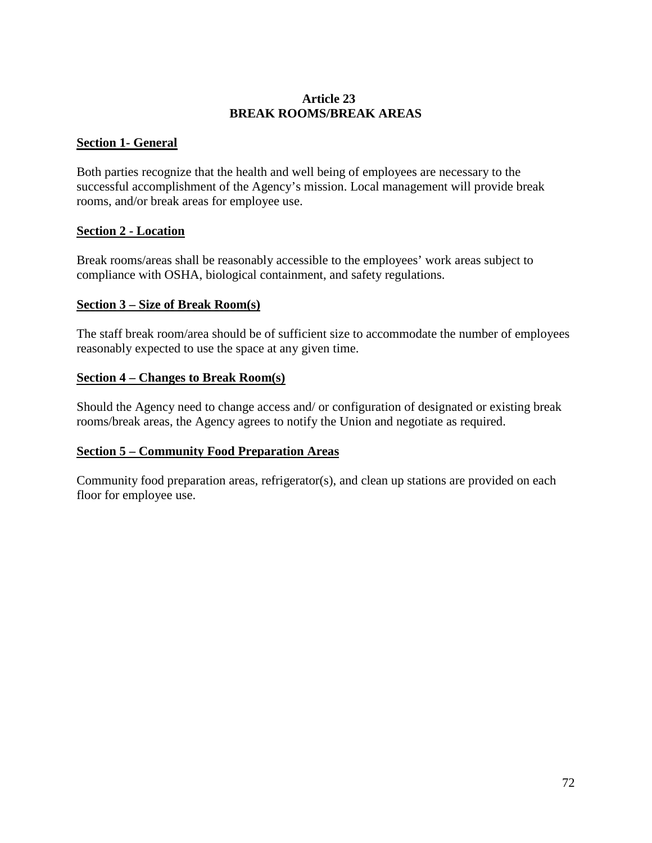#### **Article 23 BREAK ROOMS/BREAK AREAS**

### **Section 1- General**

Both parties recognize that the health and well being of employees are necessary to the successful accomplishment of the Agency's mission. Local management will provide break rooms, and/or break areas for employee use.

#### **Section 2 - Location**

Break rooms/areas shall be reasonably accessible to the employees' work areas subject to compliance with OSHA, biological containment, and safety regulations.

#### **Section 3 – Size of Break Room(s)**

The staff break room/area should be of sufficient size to accommodate the number of employees reasonably expected to use the space at any given time.

#### **Section 4 – Changes to Break Room(s)**

Should the Agency need to change access and/ or configuration of designated or existing break rooms/break areas, the Agency agrees to notify the Union and negotiate as required.

#### **Section 5 – Community Food Preparation Areas**

Community food preparation areas, refrigerator(s), and clean up stations are provided on each floor for employee use.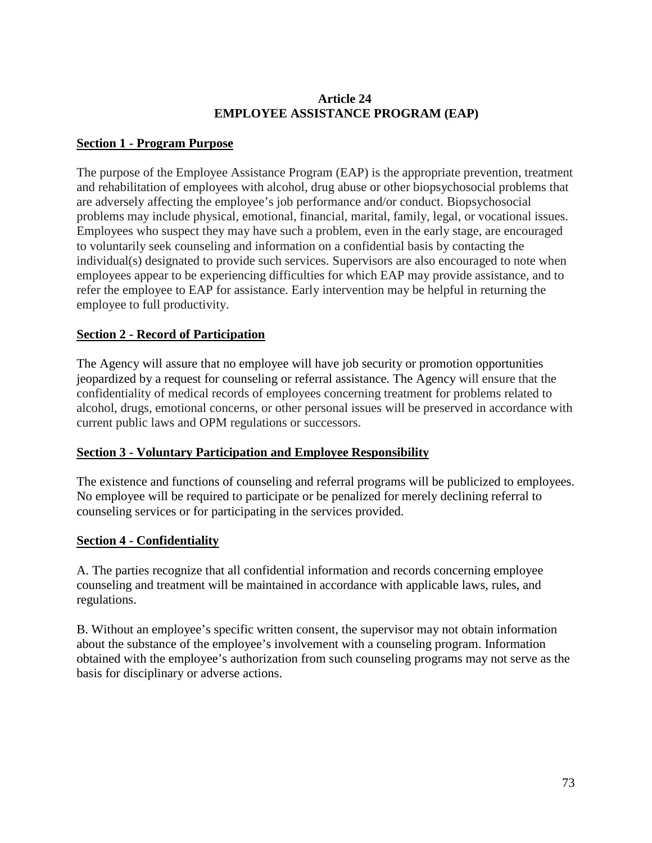## **Article 24 EMPLOYEE ASSISTANCE PROGRAM (EAP)**

# **Section 1 - Program Purpose**

The purpose of the Employee Assistance Program (EAP) is the appropriate prevention, treatment and rehabilitation of employees with alcohol, drug abuse or other biopsychosocial problems that are adversely affecting the employee's job performance and/or conduct. Biopsychosocial problems may include physical, emotional, financial, marital, family, legal, or vocational issues. Employees who suspect they may have such a problem, even in the early stage, are encouraged to voluntarily seek counseling and information on a confidential basis by contacting the individual(s) designated to provide such services. Supervisors are also encouraged to note when employees appear to be experiencing difficulties for which EAP may provide assistance, and to refer the employee to EAP for assistance. Early intervention may be helpful in returning the employee to full productivity.

# **Section 2 - Record of Participation**

The Agency will assure that no employee will have job security or promotion opportunities jeopardized by a request for counseling or referral assistance. The Agency will ensure that the confidentiality of medical records of employees concerning treatment for problems related to alcohol, drugs, emotional concerns, or other personal issues will be preserved in accordance with current public laws and OPM regulations or successors.

## **Section 3 - Voluntary Participation and Employee Responsibility**

The existence and functions of counseling and referral programs will be publicized to employees. No employee will be required to participate or be penalized for merely declining referral to counseling services or for participating in the services provided.

## **Section 4 - Confidentiality**

A. The parties recognize that all confidential information and records concerning employee counseling and treatment will be maintained in accordance with applicable laws, rules, and regulations.

B. Without an employee's specific written consent, the supervisor may not obtain information about the substance of the employee's involvement with a counseling program. Information obtained with the employee's authorization from such counseling programs may not serve as the basis for disciplinary or adverse actions.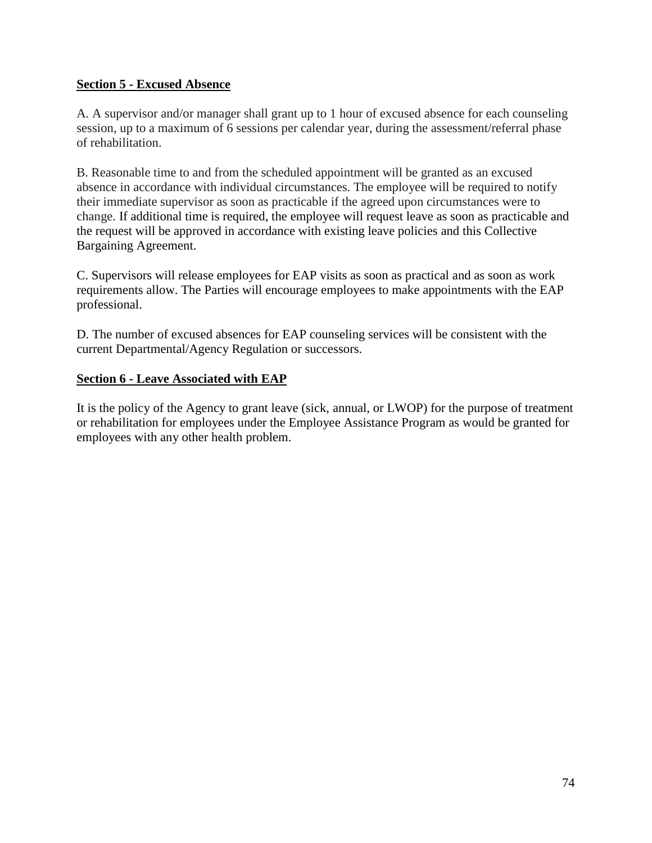### **Section 5 - Excused Absence**

A. A supervisor and/or manager shall grant up to 1 hour of excused absence for each counseling session, up to a maximum of 6 sessions per calendar year, during the assessment/referral phase of rehabilitation.

B. Reasonable time to and from the scheduled appointment will be granted as an excused absence in accordance with individual circumstances. The employee will be required to notify their immediate supervisor as soon as practicable if the agreed upon circumstances were to change. If additional time is required, the employee will request leave as soon as practicable and the request will be approved in accordance with existing leave policies and this Collective Bargaining Agreement.

C. Supervisors will release employees for EAP visits as soon as practical and as soon as work requirements allow. The Parties will encourage employees to make appointments with the EAP professional.

D. The number of excused absences for EAP counseling services will be consistent with the current Departmental/Agency Regulation or successors.

#### **Section 6 - Leave Associated with EAP**

It is the policy of the Agency to grant leave (sick, annual, or LWOP) for the purpose of treatment or rehabilitation for employees under the Employee Assistance Program as would be granted for employees with any other health problem.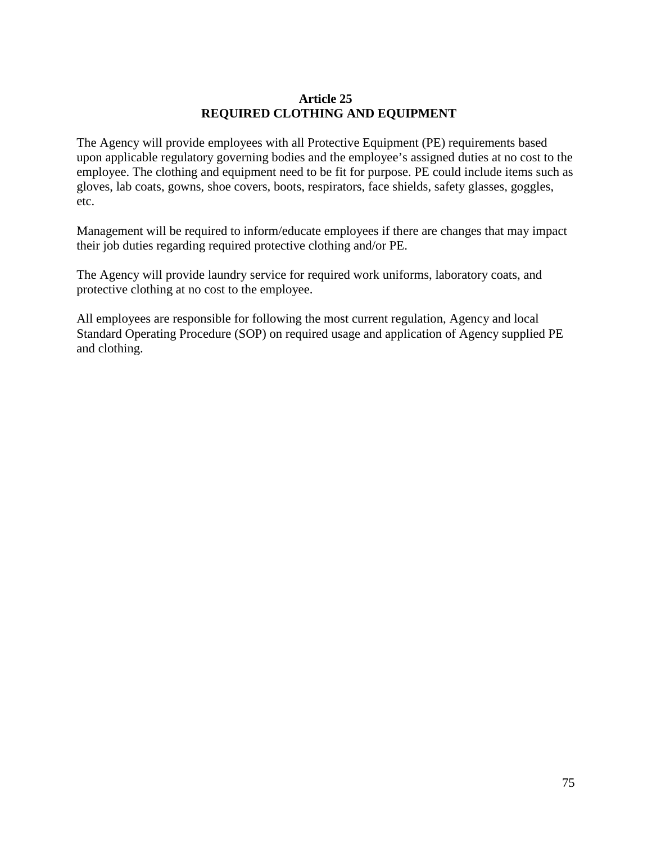#### **Article 25 REQUIRED CLOTHING AND EQUIPMENT**

The Agency will provide employees with all Protective Equipment (PE) requirements based upon applicable regulatory governing bodies and the employee's assigned duties at no cost to the employee. The clothing and equipment need to be fit for purpose. PE could include items such as gloves, lab coats, gowns, shoe covers, boots, respirators, face shields, safety glasses, goggles, etc.

Management will be required to inform/educate employees if there are changes that may impact their job duties regarding required protective clothing and/or PE.

The Agency will provide laundry service for required work uniforms, laboratory coats, and protective clothing at no cost to the employee.

All employees are responsible for following the most current regulation, Agency and local Standard Operating Procedure (SOP) on required usage and application of Agency supplied PE and clothing.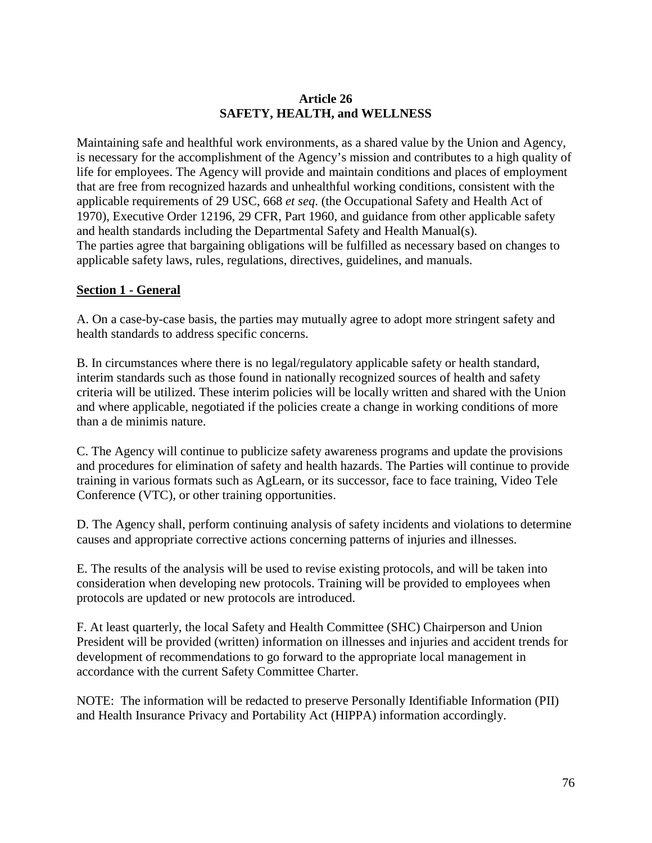# **Article 26 SAFETY, HEALTH, and WELLNESS**

Maintaining safe and healthful work environments, as a shared value by the Union and Agency, is necessary for the accomplishment of the Agency's mission and contributes to a high quality of life for employees. The Agency will provide and maintain conditions and places of employment that are free from recognized hazards and unhealthful working conditions, consistent with the applicable requirements of 29 USC, 668 *et seq*. (the Occupational Safety and Health Act of 1970), Executive Order 12196, 29 CFR, Part 1960, and guidance from other applicable safety and health standards including the Departmental Safety and Health Manual(s). The parties agree that bargaining obligations will be fulfilled as necessary based on changes to applicable safety laws, rules, regulations, directives, guidelines, and manuals.

# **Section 1 - General**

A. On a case-by-case basis, the parties may mutually agree to adopt more stringent safety and health standards to address specific concerns.

B. In circumstances where there is no legal/regulatory applicable safety or health standard, interim standards such as those found in nationally recognized sources of health and safety criteria will be utilized. These interim policies will be locally written and shared with the Union and where applicable, negotiated if the policies create a change in working conditions of more than a de minimis nature.

C. The Agency will continue to publicize safety awareness programs and update the provisions and procedures for elimination of safety and health hazards. The Parties will continue to provide training in various formats such as AgLearn, or its successor, face to face training, Video Tele Conference (VTC), or other training opportunities.

D. The Agency shall, perform continuing analysis of safety incidents and violations to determine causes and appropriate corrective actions concerning patterns of injuries and illnesses.

E. The results of the analysis will be used to revise existing protocols, and will be taken into consideration when developing new protocols. Training will be provided to employees when protocols are updated or new protocols are introduced.

F. At least quarterly, the local Safety and Health Committee (SHC) Chairperson and Union President will be provided (written) information on illnesses and injuries and accident trends for development of recommendations to go forward to the appropriate local management in accordance with the current Safety Committee Charter.

NOTE: The information will be redacted to preserve Personally Identifiable Information (PII) and Health Insurance Privacy and Portability Act (HIPPA) information accordingly.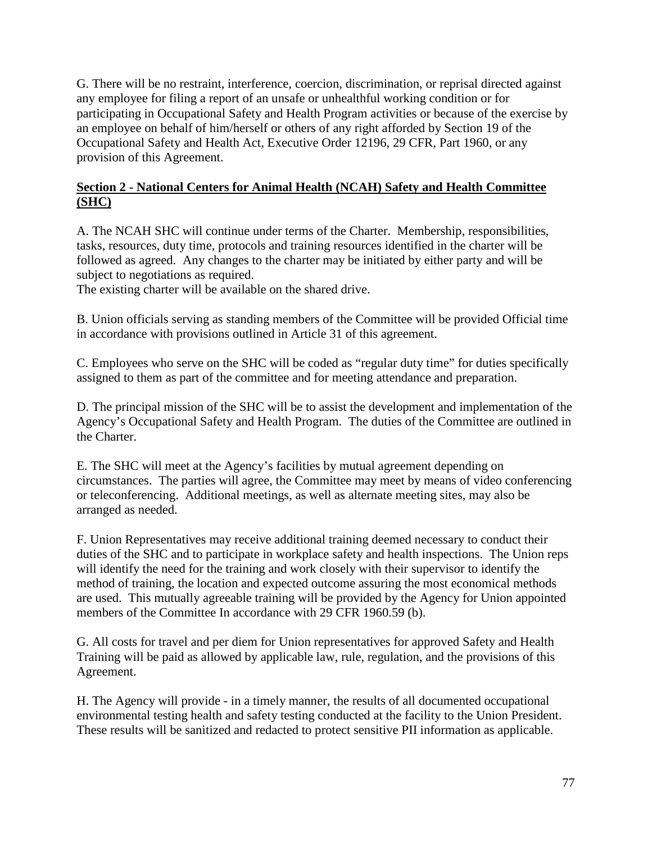G. There will be no restraint, interference, coercion, discrimination, or reprisal directed against any employee for filing a report of an unsafe or unhealthful working condition or for participating in Occupational Safety and Health Program activities or because of the exercise by an employee on behalf of him/herself or others of any right afforded by Section 19 of the Occupational Safety and Health Act, Executive Order 12196, 29 CFR, Part 1960, or any provision of this Agreement.

# **Section 2 - National Centers for Animal Health (NCAH) Safety and Health Committee (SHC)**

A. The NCAH SHC will continue under terms of the Charter. Membership, responsibilities, tasks, resources, duty time, protocols and training resources identified in the charter will be followed as agreed. Any changes to the charter may be initiated by either party and will be subject to negotiations as required.

The existing charter will be available on the shared drive.

B. Union officials serving as standing members of the Committee will be provided Official time in accordance with provisions outlined in Article 31 of this agreement.

C. Employees who serve on the SHC will be coded as "regular duty time" for duties specifically assigned to them as part of the committee and for meeting attendance and preparation.

D. The principal mission of the SHC will be to assist the development and implementation of the Agency's Occupational Safety and Health Program. The duties of the Committee are outlined in the Charter.

E. The SHC will meet at the Agency's facilities by mutual agreement depending on circumstances. The parties will agree, the Committee may meet by means of video conferencing or teleconferencing. Additional meetings, as well as alternate meeting sites, may also be arranged as needed.

F. Union Representatives may receive additional training deemed necessary to conduct their duties of the SHC and to participate in workplace safety and health inspections. The Union reps will identify the need for the training and work closely with their supervisor to identify the method of training, the location and expected outcome assuring the most economical methods are used. This mutually agreeable training will be provided by the Agency for Union appointed members of the Committee In accordance with 29 CFR 1960.59 (b).

G. All costs for travel and per diem for Union representatives for approved Safety and Health Training will be paid as allowed by applicable law, rule, regulation, and the provisions of this Agreement.

H. The Agency will provide - in a timely manner, the results of all documented occupational environmental testing health and safety testing conducted at the facility to the Union President. These results will be sanitized and redacted to protect sensitive PII information as applicable.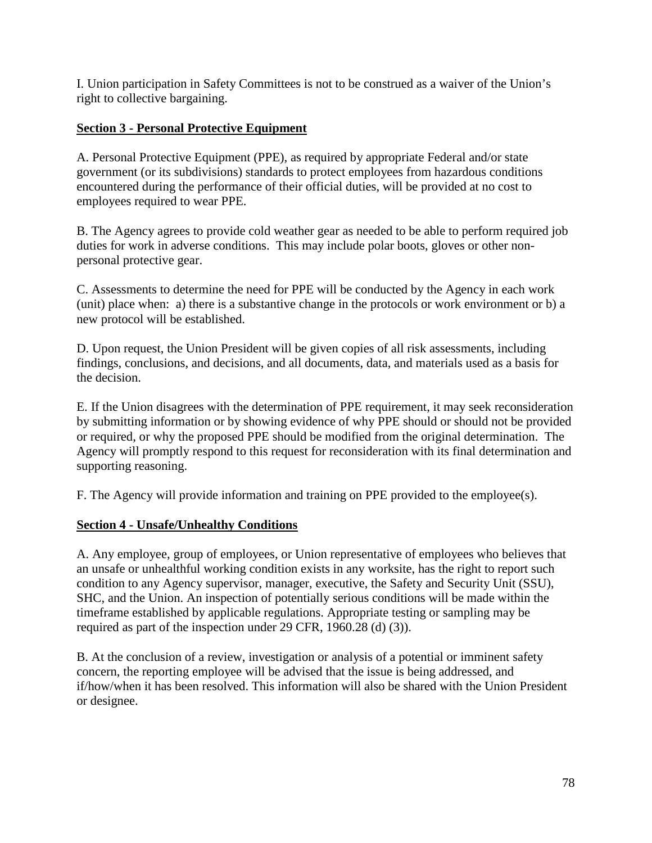I. Union participation in Safety Committees is not to be construed as a waiver of the Union's right to collective bargaining.

# **Section 3 - Personal Protective Equipment**

A. Personal Protective Equipment (PPE), as required by appropriate Federal and/or state government (or its subdivisions) standards to protect employees from hazardous conditions encountered during the performance of their official duties, will be provided at no cost to employees required to wear PPE.

B. The Agency agrees to provide cold weather gear as needed to be able to perform required job duties for work in adverse conditions. This may include polar boots, gloves or other nonpersonal protective gear.

C. Assessments to determine the need for PPE will be conducted by the Agency in each work (unit) place when: a) there is a substantive change in the protocols or work environment or b) a new protocol will be established.

D. Upon request, the Union President will be given copies of all risk assessments, including findings, conclusions, and decisions, and all documents, data, and materials used as a basis for the decision.

E. If the Union disagrees with the determination of PPE requirement, it may seek reconsideration by submitting information or by showing evidence of why PPE should or should not be provided or required, or why the proposed PPE should be modified from the original determination. The Agency will promptly respond to this request for reconsideration with its final determination and supporting reasoning.

F. The Agency will provide information and training on PPE provided to the employee(s).

## **Section 4 - Unsafe/Unhealthy Conditions**

A. Any employee, group of employees, or Union representative of employees who believes that an unsafe or unhealthful working condition exists in any worksite, has the right to report such condition to any Agency supervisor, manager, executive, the Safety and Security Unit (SSU), SHC, and the Union. An inspection of potentially serious conditions will be made within the timeframe established by applicable regulations. Appropriate testing or sampling may be required as part of the inspection under 29 CFR, 1960.28 (d) (3)).

B. At the conclusion of a review, investigation or analysis of a potential or imminent safety concern, the reporting employee will be advised that the issue is being addressed, and if/how/when it has been resolved. This information will also be shared with the Union President or designee.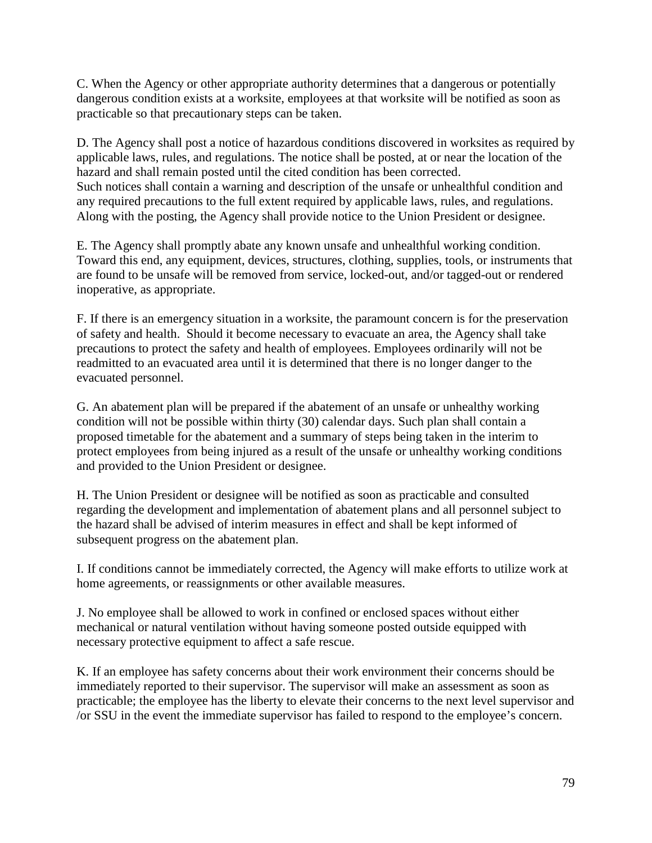C. When the Agency or other appropriate authority determines that a dangerous or potentially dangerous condition exists at a worksite, employees at that worksite will be notified as soon as practicable so that precautionary steps can be taken.

D. The Agency shall post a notice of hazardous conditions discovered in worksites as required by applicable laws, rules, and regulations. The notice shall be posted, at or near the location of the hazard and shall remain posted until the cited condition has been corrected. Such notices shall contain a warning and description of the unsafe or unhealthful condition and any required precautions to the full extent required by applicable laws, rules, and regulations. Along with the posting, the Agency shall provide notice to the Union President or designee.

E. The Agency shall promptly abate any known unsafe and unhealthful working condition. Toward this end, any equipment, devices, structures, clothing, supplies, tools, or instruments that are found to be unsafe will be removed from service, locked-out, and/or tagged-out or rendered inoperative, as appropriate.

F. If there is an emergency situation in a worksite, the paramount concern is for the preservation of safety and health. Should it become necessary to evacuate an area, the Agency shall take precautions to protect the safety and health of employees. Employees ordinarily will not be readmitted to an evacuated area until it is determined that there is no longer danger to the evacuated personnel.

G. An abatement plan will be prepared if the abatement of an unsafe or unhealthy working condition will not be possible within thirty (30) calendar days. Such plan shall contain a proposed timetable for the abatement and a summary of steps being taken in the interim to protect employees from being injured as a result of the unsafe or unhealthy working conditions and provided to the Union President or designee.

H. The Union President or designee will be notified as soon as practicable and consulted regarding the development and implementation of abatement plans and all personnel subject to the hazard shall be advised of interim measures in effect and shall be kept informed of subsequent progress on the abatement plan.

I. If conditions cannot be immediately corrected, the Agency will make efforts to utilize work at home agreements, or reassignments or other available measures.

J. No employee shall be allowed to work in confined or enclosed spaces without either mechanical or natural ventilation without having someone posted outside equipped with necessary protective equipment to affect a safe rescue.

K. If an employee has safety concerns about their work environment their concerns should be immediately reported to their supervisor. The supervisor will make an assessment as soon as practicable; the employee has the liberty to elevate their concerns to the next level supervisor and /or SSU in the event the immediate supervisor has failed to respond to the employee's concern.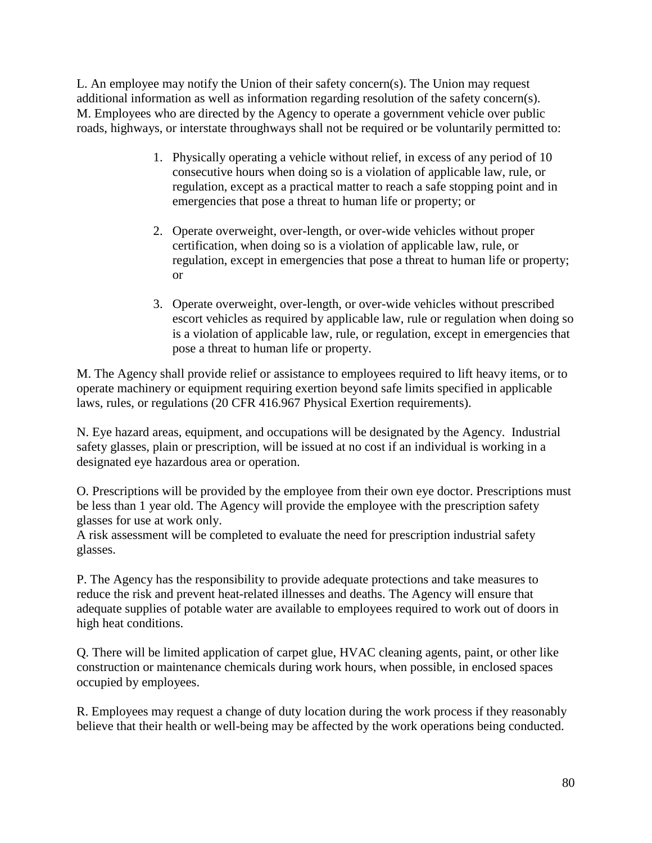L. An employee may notify the Union of their safety concern(s). The Union may request additional information as well as information regarding resolution of the safety concern(s). M. Employees who are directed by the Agency to operate a government vehicle over public roads, highways, or interstate throughways shall not be required or be voluntarily permitted to:

- 1. Physically operating a vehicle without relief, in excess of any period of 10 consecutive hours when doing so is a violation of applicable law, rule, or regulation, except as a practical matter to reach a safe stopping point and in emergencies that pose a threat to human life or property; or
- 2. Operate overweight, over-length, or over-wide vehicles without proper certification, when doing so is a violation of applicable law, rule, or regulation, except in emergencies that pose a threat to human life or property; or
- 3. Operate overweight, over-length, or over-wide vehicles without prescribed escort vehicles as required by applicable law, rule or regulation when doing so is a violation of applicable law, rule, or regulation, except in emergencies that pose a threat to human life or property.

M. The Agency shall provide relief or assistance to employees required to lift heavy items, or to operate machinery or equipment requiring exertion beyond safe limits specified in applicable laws, rules, or regulations (20 CFR 416.967 Physical Exertion requirements).

N. Eye hazard areas, equipment, and occupations will be designated by the Agency. Industrial safety glasses, plain or prescription, will be issued at no cost if an individual is working in a designated eye hazardous area or operation.

O. Prescriptions will be provided by the employee from their own eye doctor. Prescriptions must be less than 1 year old. The Agency will provide the employee with the prescription safety glasses for use at work only.

A risk assessment will be completed to evaluate the need for prescription industrial safety glasses.

P. The Agency has the responsibility to provide adequate protections and take measures to reduce the risk and prevent heat-related illnesses and deaths. The Agency will ensure that adequate supplies of potable water are available to employees required to work out of doors in high heat conditions.

Q. There will be limited application of carpet glue, HVAC cleaning agents, paint, or other like construction or maintenance chemicals during work hours, when possible, in enclosed spaces occupied by employees.

R. Employees may request a change of duty location during the work process if they reasonably believe that their health or well-being may be affected by the work operations being conducted.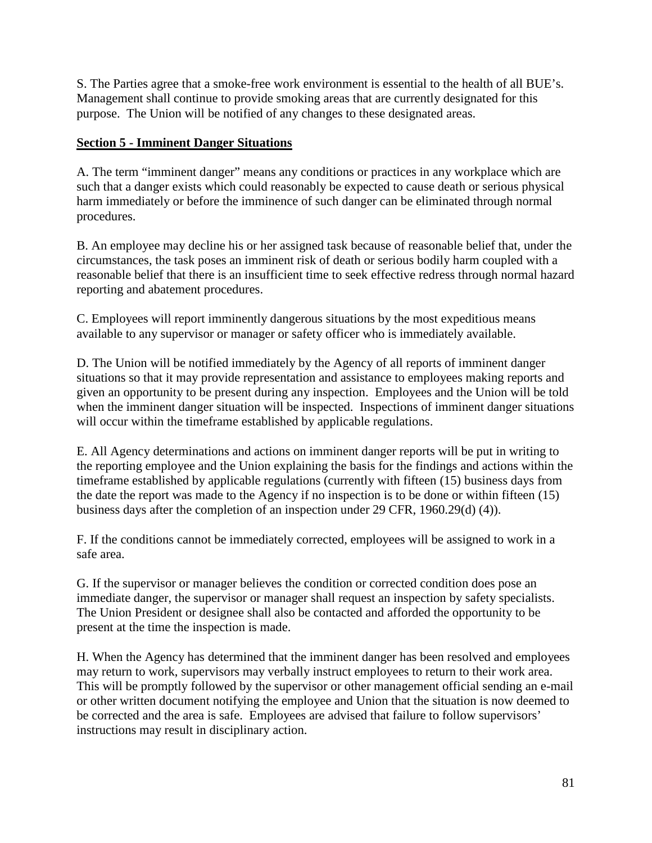S. The Parties agree that a smoke-free work environment is essential to the health of all BUE's. Management shall continue to provide smoking areas that are currently designated for this purpose. The Union will be notified of any changes to these designated areas.

# **Section 5 - Imminent Danger Situations**

A. The term "imminent danger" means any conditions or practices in any workplace which are such that a danger exists which could reasonably be expected to cause death or serious physical harm immediately or before the imminence of such danger can be eliminated through normal procedures.

B. An employee may decline his or her assigned task because of reasonable belief that, under the circumstances, the task poses an imminent risk of death or serious bodily harm coupled with a reasonable belief that there is an insufficient time to seek effective redress through normal hazard reporting and abatement procedures.

C. Employees will report imminently dangerous situations by the most expeditious means available to any supervisor or manager or safety officer who is immediately available.

D. The Union will be notified immediately by the Agency of all reports of imminent danger situations so that it may provide representation and assistance to employees making reports and given an opportunity to be present during any inspection. Employees and the Union will be told when the imminent danger situation will be inspected. Inspections of imminent danger situations will occur within the timeframe established by applicable regulations.

E. All Agency determinations and actions on imminent danger reports will be put in writing to the reporting employee and the Union explaining the basis for the findings and actions within the timeframe established by applicable regulations (currently with fifteen (15) business days from the date the report was made to the Agency if no inspection is to be done or within fifteen (15) business days after the completion of an inspection under 29 CFR, 1960.29(d) (4)).

F. If the conditions cannot be immediately corrected, employees will be assigned to work in a safe area.

G. If the supervisor or manager believes the condition or corrected condition does pose an immediate danger, the supervisor or manager shall request an inspection by safety specialists. The Union President or designee shall also be contacted and afforded the opportunity to be present at the time the inspection is made.

H. When the Agency has determined that the imminent danger has been resolved and employees may return to work, supervisors may verbally instruct employees to return to their work area. This will be promptly followed by the supervisor or other management official sending an e-mail or other written document notifying the employee and Union that the situation is now deemed to be corrected and the area is safe. Employees are advised that failure to follow supervisors' instructions may result in disciplinary action.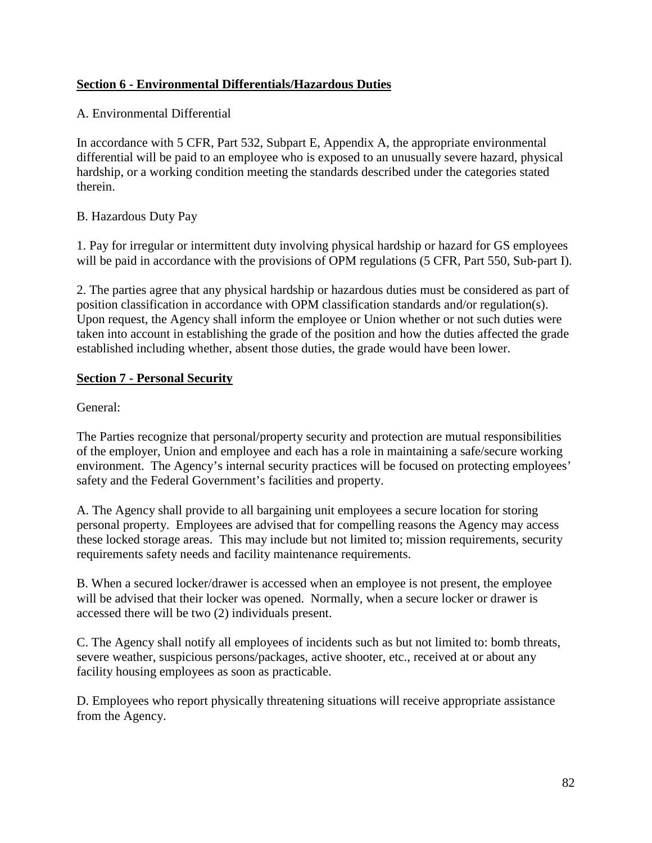# **Section 6 - Environmental Differentials/Hazardous Duties**

## A. Environmental Differential

In accordance with 5 CFR, Part 532, Subpart E, Appendix A, the appropriate environmental differential will be paid to an employee who is exposed to an unusually severe hazard, physical hardship, or a working condition meeting the standards described under the categories stated therein.

## B. Hazardous Duty Pay

1. Pay for irregular or intermittent duty involving physical hardship or hazard for GS employees will be paid in accordance with the provisions of OPM regulations (5 CFR, Part 550, Sub-part I).

2. The parties agree that any physical hardship or hazardous duties must be considered as part of position classification in accordance with OPM classification standards and/or regulation(s). Upon request, the Agency shall inform the employee or Union whether or not such duties were taken into account in establishing the grade of the position and how the duties affected the grade established including whether, absent those duties, the grade would have been lower.

# **Section 7 - Personal Security**

General:

The Parties recognize that personal/property security and protection are mutual responsibilities of the employer, Union and employee and each has a role in maintaining a safe/secure working environment. The Agency's internal security practices will be focused on protecting employees' safety and the Federal Government's facilities and property.

A. The Agency shall provide to all bargaining unit employees a secure location for storing personal property. Employees are advised that for compelling reasons the Agency may access these locked storage areas. This may include but not limited to; mission requirements, security requirements safety needs and facility maintenance requirements.

B. When a secured locker/drawer is accessed when an employee is not present, the employee will be advised that their locker was opened. Normally, when a secure locker or drawer is accessed there will be two (2) individuals present.

C. The Agency shall notify all employees of incidents such as but not limited to: bomb threats, severe weather, suspicious persons/packages, active shooter, etc., received at or about any facility housing employees as soon as practicable.

D. Employees who report physically threatening situations will receive appropriate assistance from the Agency.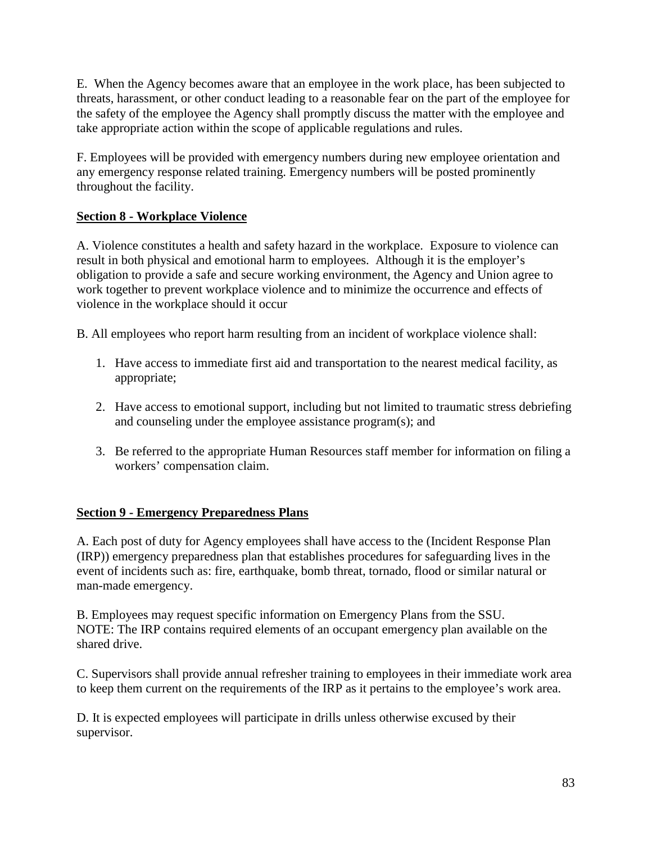E. When the Agency becomes aware that an employee in the work place, has been subjected to threats, harassment, or other conduct leading to a reasonable fear on the part of the employee for the safety of the employee the Agency shall promptly discuss the matter with the employee and take appropriate action within the scope of applicable regulations and rules.

F. Employees will be provided with emergency numbers during new employee orientation and any emergency response related training. Emergency numbers will be posted prominently throughout the facility.

# **Section 8 - Workplace Violence**

A. Violence constitutes a health and safety hazard in the workplace. Exposure to violence can result in both physical and emotional harm to employees. Although it is the employer's obligation to provide a safe and secure working environment, the Agency and Union agree to work together to prevent workplace violence and to minimize the occurrence and effects of violence in the workplace should it occur

B. All employees who report harm resulting from an incident of workplace violence shall:

- 1. Have access to immediate first aid and transportation to the nearest medical facility, as appropriate;
- 2. Have access to emotional support, including but not limited to traumatic stress debriefing and counseling under the employee assistance program(s); and
- 3. Be referred to the appropriate Human Resources staff member for information on filing a workers' compensation claim.

# **Section 9 - Emergency Preparedness Plans**

A. Each post of duty for Agency employees shall have access to the (Incident Response Plan (IRP)) emergency preparedness plan that establishes procedures for safeguarding lives in the event of incidents such as: fire, earthquake, bomb threat, tornado, flood or similar natural or man-made emergency.

B. Employees may request specific information on Emergency Plans from the SSU. NOTE: The IRP contains required elements of an occupant emergency plan available on the shared drive.

C. Supervisors shall provide annual refresher training to employees in their immediate work area to keep them current on the requirements of the IRP as it pertains to the employee's work area.

D. It is expected employees will participate in drills unless otherwise excused by their supervisor.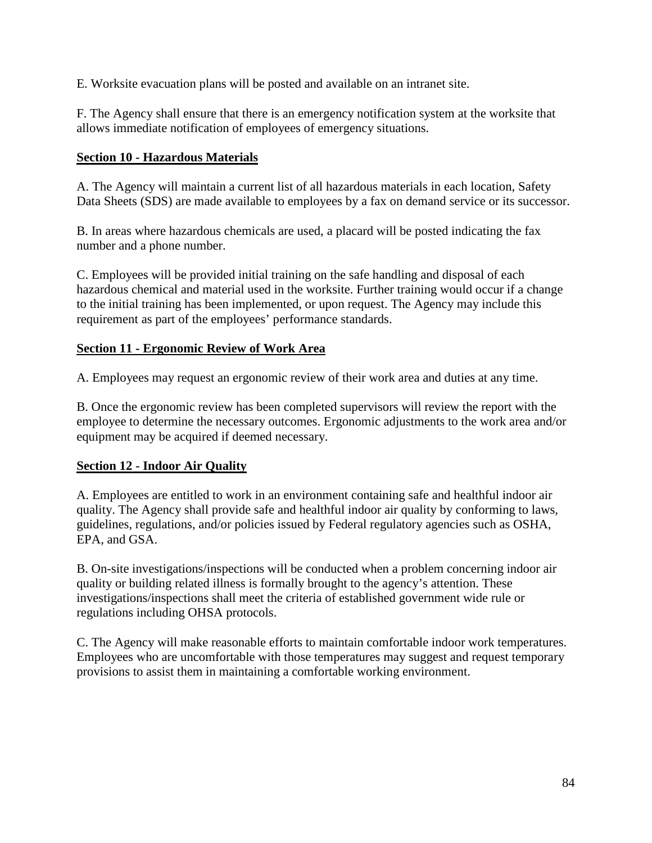E. Worksite evacuation plans will be posted and available on an intranet site.

F. The Agency shall ensure that there is an emergency notification system at the worksite that allows immediate notification of employees of emergency situations.

#### **Section 10 - Hazardous Materials**

A. The Agency will maintain a current list of all hazardous materials in each location, Safety Data Sheets (SDS) are made available to employees by a fax on demand service or its successor.

B. In areas where hazardous chemicals are used, a placard will be posted indicating the fax number and a phone number.

C. Employees will be provided initial training on the safe handling and disposal of each hazardous chemical and material used in the worksite. Further training would occur if a change to the initial training has been implemented, or upon request. The Agency may include this requirement as part of the employees' performance standards.

#### **Section 11 - Ergonomic Review of Work Area**

A. Employees may request an ergonomic review of their work area and duties at any time.

B. Once the ergonomic review has been completed supervisors will review the report with the employee to determine the necessary outcomes. Ergonomic adjustments to the work area and/or equipment may be acquired if deemed necessary.

#### **Section 12 - Indoor Air Quality**

A. Employees are entitled to work in an environment containing safe and healthful indoor air quality. The Agency shall provide safe and healthful indoor air quality by conforming to laws, guidelines, regulations, and/or policies issued by Federal regulatory agencies such as OSHA, EPA, and GSA.

B. On-site investigations/inspections will be conducted when a problem concerning indoor air quality or building related illness is formally brought to the agency's attention. These investigations/inspections shall meet the criteria of established government wide rule or regulations including OHSA protocols.

C. The Agency will make reasonable efforts to maintain comfortable indoor work temperatures. Employees who are uncomfortable with those temperatures may suggest and request temporary provisions to assist them in maintaining a comfortable working environment.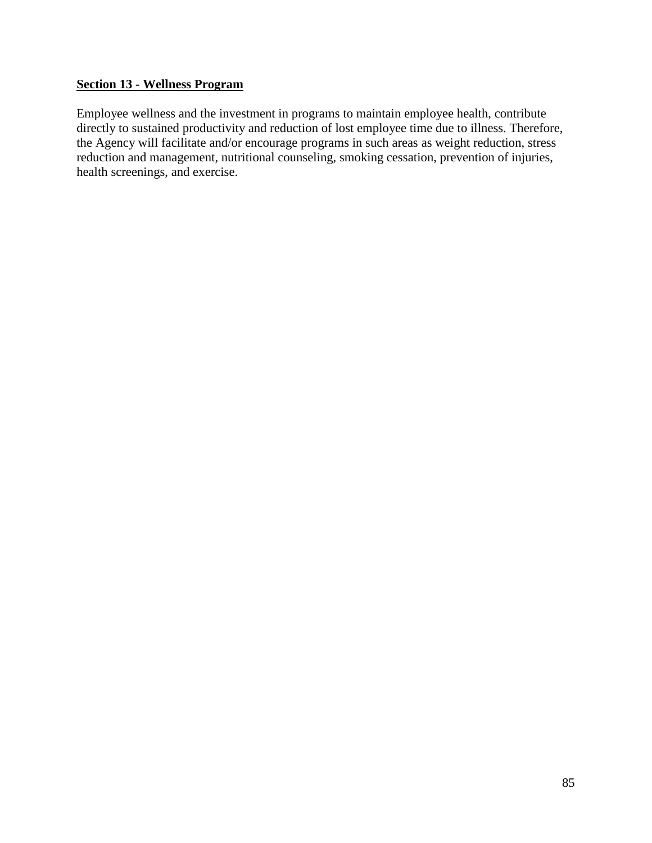### **Section 13 - Wellness Program**

Employee wellness and the investment in programs to maintain employee health, contribute directly to sustained productivity and reduction of lost employee time due to illness. Therefore, the Agency will facilitate and/or encourage programs in such areas as weight reduction, stress reduction and management, nutritional counseling, smoking cessation, prevention of injuries, health screenings, and exercise.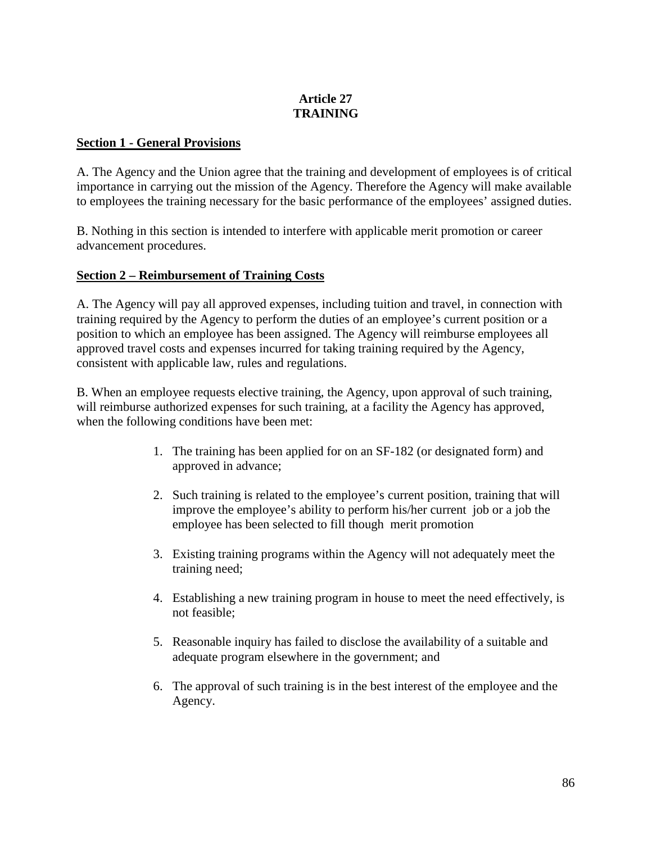# **Article 27 TRAINING**

#### **Section 1 - General Provisions**

A. The Agency and the Union agree that the training and development of employees is of critical importance in carrying out the mission of the Agency. Therefore the Agency will make available to employees the training necessary for the basic performance of the employees' assigned duties.

B. Nothing in this section is intended to interfere with applicable merit promotion or career advancement procedures.

#### **Section 2 – Reimbursement of Training Costs**

A. The Agency will pay all approved expenses, including tuition and travel, in connection with training required by the Agency to perform the duties of an employee's current position or a position to which an employee has been assigned. The Agency will reimburse employees all approved travel costs and expenses incurred for taking training required by the Agency, consistent with applicable law, rules and regulations.

B. When an employee requests elective training, the Agency, upon approval of such training, will reimburse authorized expenses for such training, at a facility the Agency has approved, when the following conditions have been met:

- 1. The training has been applied for on an SF-182 (or designated form) and approved in advance;
- 2. Such training is related to the employee's current position, training that will improve the employee's ability to perform his/her current job or a job the employee has been selected to fill though merit promotion
- 3. Existing training programs within the Agency will not adequately meet the training need;
- 4. Establishing a new training program in house to meet the need effectively, is not feasible;
- 5. Reasonable inquiry has failed to disclose the availability of a suitable and adequate program elsewhere in the government; and
- 6. The approval of such training is in the best interest of the employee and the Agency.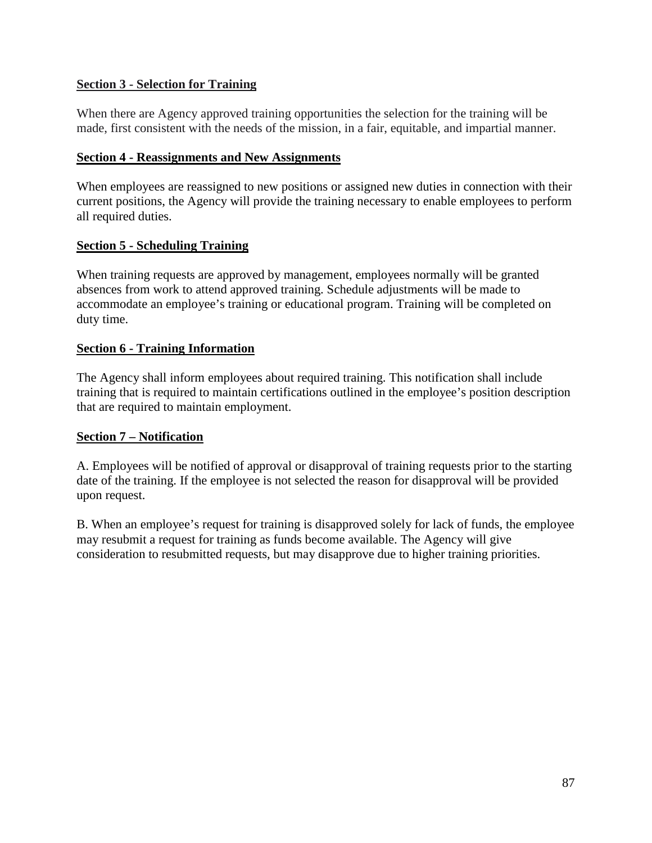## **Section 3 - Selection for Training**

When there are Agency approved training opportunities the selection for the training will be made, first consistent with the needs of the mission, in a fair, equitable, and impartial manner.

#### **Section 4 - Reassignments and New Assignments**

When employees are reassigned to new positions or assigned new duties in connection with their current positions, the Agency will provide the training necessary to enable employees to perform all required duties.

## **Section 5 - Scheduling Training**

When training requests are approved by management, employees normally will be granted absences from work to attend approved training. Schedule adjustments will be made to accommodate an employee's training or educational program. Training will be completed on duty time.

#### **Section 6 - Training Information**

The Agency shall inform employees about required training. This notification shall include training that is required to maintain certifications outlined in the employee's position description that are required to maintain employment.

## **Section 7 – Notification**

A. Employees will be notified of approval or disapproval of training requests prior to the starting date of the training. If the employee is not selected the reason for disapproval will be provided upon request.

B. When an employee's request for training is disapproved solely for lack of funds, the employee may resubmit a request for training as funds become available. The Agency will give consideration to resubmitted requests, but may disapprove due to higher training priorities.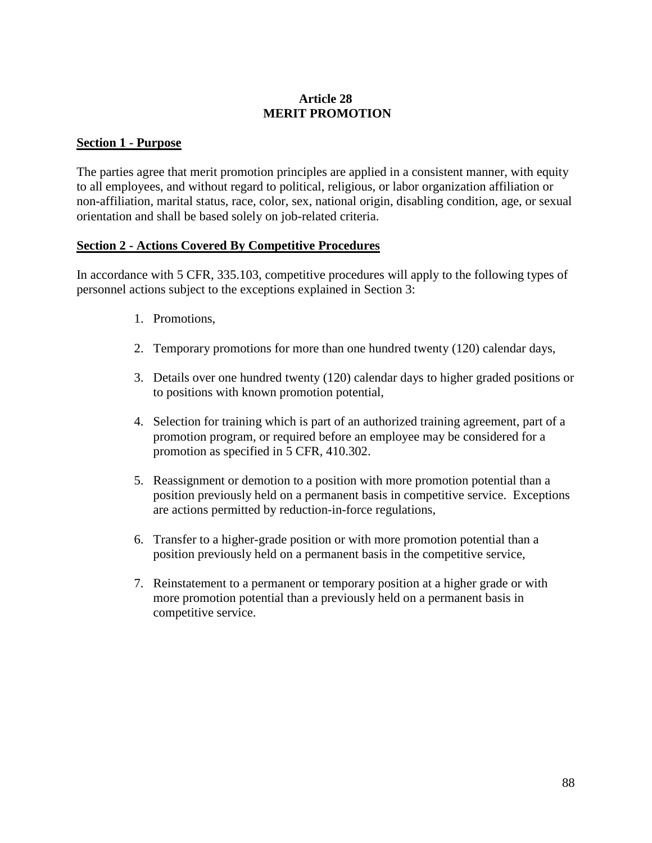## **Article 28 MERIT PROMOTION**

#### **Section 1 - Purpose**

The parties agree that merit promotion principles are applied in a consistent manner, with equity to all employees, and without regard to political, religious, or labor organization affiliation or non-affiliation, marital status, race, color, sex, national origin, disabling condition, age, or sexual orientation and shall be based solely on job-related criteria.

#### **Section 2 - Actions Covered By Competitive Procedures**

In accordance with 5 CFR, 335.103, competitive procedures will apply to the following types of personnel actions subject to the exceptions explained in Section 3:

- 1. Promotions,
- 2. Temporary promotions for more than one hundred twenty (120) calendar days,
- 3. Details over one hundred twenty (120) calendar days to higher graded positions or to positions with known promotion potential,
- 4. Selection for training which is part of an authorized training agreement, part of a promotion program, or required before an employee may be considered for a promotion as specified in 5 CFR, 410.302.
- 5. Reassignment or demotion to a position with more promotion potential than a position previously held on a permanent basis in competitive service. Exceptions are actions permitted by reduction-in-force regulations,
- 6. Transfer to a higher-grade position or with more promotion potential than a position previously held on a permanent basis in the competitive service,
- 7. Reinstatement to a permanent or temporary position at a higher grade or with more promotion potential than a previously held on a permanent basis in competitive service.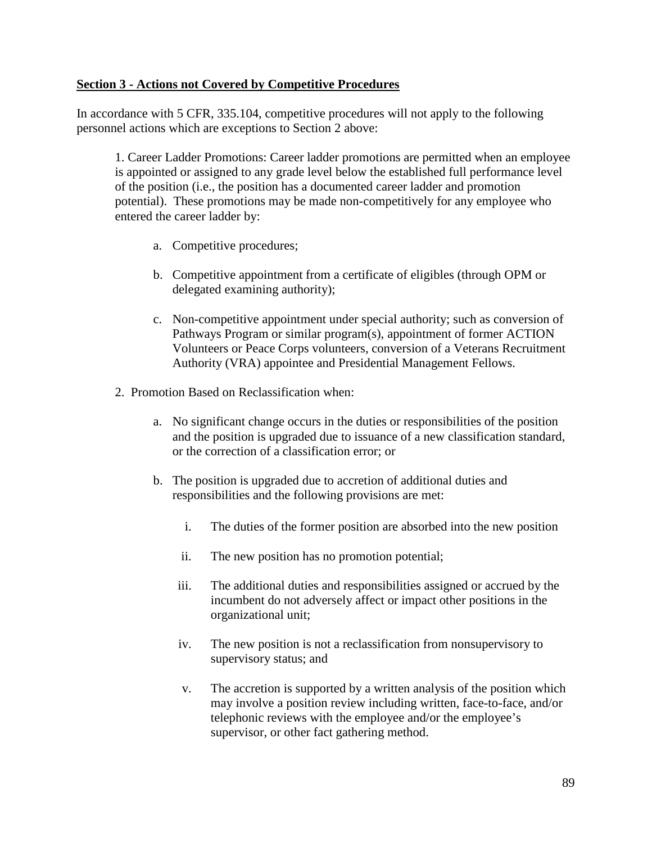#### **Section 3 - Actions not Covered by Competitive Procedures**

In accordance with 5 CFR, 335.104, competitive procedures will not apply to the following personnel actions which are exceptions to Section 2 above:

1. Career Ladder Promotions: Career ladder promotions are permitted when an employee is appointed or assigned to any grade level below the established full performance level of the position (i.e., the position has a documented career ladder and promotion potential). These promotions may be made non-competitively for any employee who entered the career ladder by:

- a. Competitive procedures;
- b. Competitive appointment from a certificate of eligibles (through OPM or delegated examining authority);
- c. Non-competitive appointment under special authority; such as conversion of Pathways Program or similar program(s), appointment of former ACTION Volunteers or Peace Corps volunteers, conversion of a Veterans Recruitment Authority (VRA) appointee and Presidential Management Fellows.
- 2. Promotion Based on Reclassification when:
	- a. No significant change occurs in the duties or responsibilities of the position and the position is upgraded due to issuance of a new classification standard, or the correction of a classification error; or
	- b. The position is upgraded due to accretion of additional duties and responsibilities and the following provisions are met:
		- i. The duties of the former position are absorbed into the new position
		- ii. The new position has no promotion potential;
		- iii. The additional duties and responsibilities assigned or accrued by the incumbent do not adversely affect or impact other positions in the organizational unit;
		- iv. The new position is not a reclassification from nonsupervisory to supervisory status; and
		- v. The accretion is supported by a written analysis of the position which may involve a position review including written, face-to-face, and/or telephonic reviews with the employee and/or the employee's supervisor, or other fact gathering method.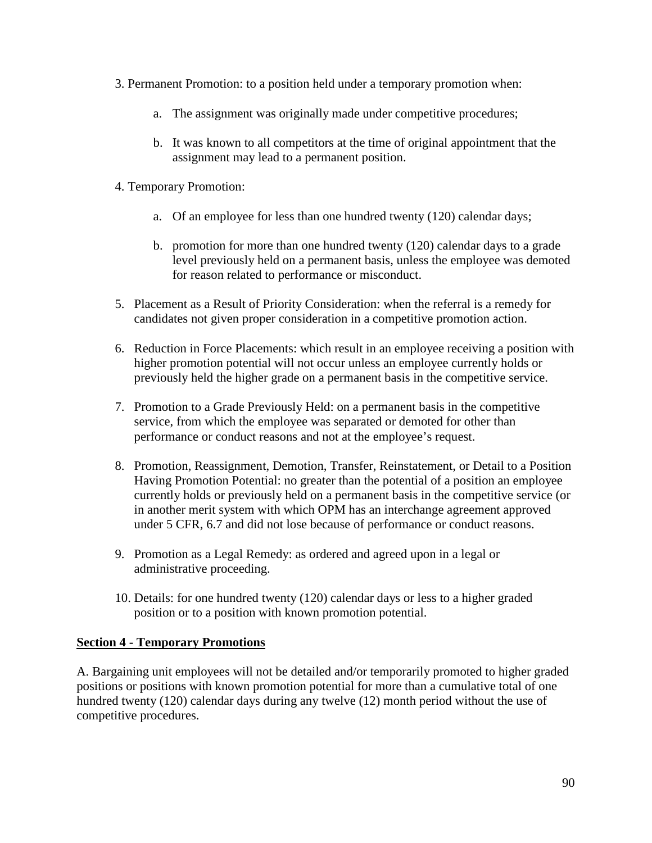- 3. Permanent Promotion: to a position held under a temporary promotion when:
	- a. The assignment was originally made under competitive procedures;
	- b. It was known to all competitors at the time of original appointment that the assignment may lead to a permanent position.
- 4. Temporary Promotion:
	- a. Of an employee for less than one hundred twenty (120) calendar days;
	- b. promotion for more than one hundred twenty (120) calendar days to a grade level previously held on a permanent basis, unless the employee was demoted for reason related to performance or misconduct.
- 5. Placement as a Result of Priority Consideration: when the referral is a remedy for candidates not given proper consideration in a competitive promotion action.
- 6. Reduction in Force Placements: which result in an employee receiving a position with higher promotion potential will not occur unless an employee currently holds or previously held the higher grade on a permanent basis in the competitive service.
- 7. Promotion to a Grade Previously Held: on a permanent basis in the competitive service, from which the employee was separated or demoted for other than performance or conduct reasons and not at the employee's request.
- 8. Promotion, Reassignment, Demotion, Transfer, Reinstatement, or Detail to a Position Having Promotion Potential: no greater than the potential of a position an employee currently holds or previously held on a permanent basis in the competitive service (or in another merit system with which OPM has an interchange agreement approved under 5 CFR, 6.7 and did not lose because of performance or conduct reasons.
- 9. Promotion as a Legal Remedy: as ordered and agreed upon in a legal or administrative proceeding.
- 10. Details: for one hundred twenty (120) calendar days or less to a higher graded position or to a position with known promotion potential.

## **Section 4 - Temporary Promotions**

A. Bargaining unit employees will not be detailed and/or temporarily promoted to higher graded positions or positions with known promotion potential for more than a cumulative total of one hundred twenty (120) calendar days during any twelve (12) month period without the use of competitive procedures.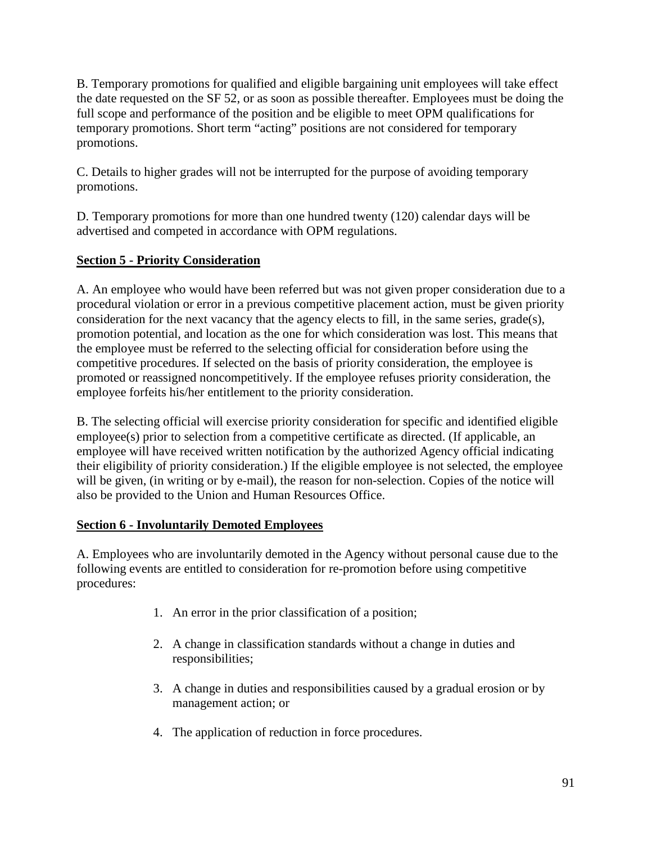B. Temporary promotions for qualified and eligible bargaining unit employees will take effect the date requested on the SF 52, or as soon as possible thereafter. Employees must be doing the full scope and performance of the position and be eligible to meet OPM qualifications for temporary promotions. Short term "acting" positions are not considered for temporary promotions.

C. Details to higher grades will not be interrupted for the purpose of avoiding temporary promotions.

D. Temporary promotions for more than one hundred twenty (120) calendar days will be advertised and competed in accordance with OPM regulations.

# **Section 5 - Priority Consideration**

A. An employee who would have been referred but was not given proper consideration due to a procedural violation or error in a previous competitive placement action, must be given priority consideration for the next vacancy that the agency elects to fill, in the same series, grade(s), promotion potential, and location as the one for which consideration was lost. This means that the employee must be referred to the selecting official for consideration before using the competitive procedures. If selected on the basis of priority consideration, the employee is promoted or reassigned noncompetitively. If the employee refuses priority consideration, the employee forfeits his/her entitlement to the priority consideration.

B. The selecting official will exercise priority consideration for specific and identified eligible employee(s) prior to selection from a competitive certificate as directed. (If applicable, an employee will have received written notification by the authorized Agency official indicating their eligibility of priority consideration.) If the eligible employee is not selected, the employee will be given, (in writing or by e-mail), the reason for non-selection. Copies of the notice will also be provided to the Union and Human Resources Office.

# **Section 6 - Involuntarily Demoted Employees**

A. Employees who are involuntarily demoted in the Agency without personal cause due to the following events are entitled to consideration for re-promotion before using competitive procedures:

- 1. An error in the prior classification of a position;
- 2. A change in classification standards without a change in duties and responsibilities;
- 3. A change in duties and responsibilities caused by a gradual erosion or by management action; or
- 4. The application of reduction in force procedures.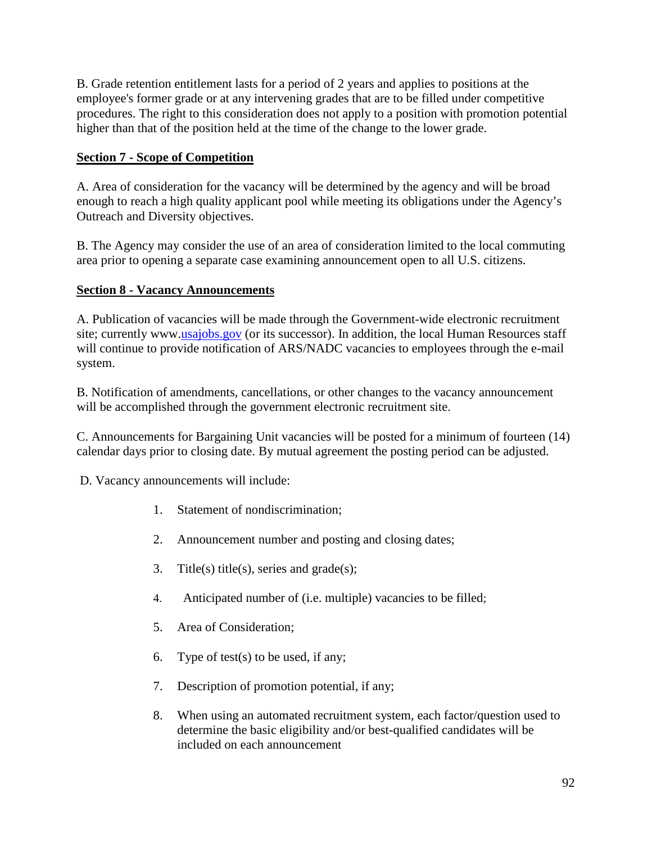B. Grade retention entitlement lasts for a period of 2 years and applies to positions at the employee's former grade or at any intervening grades that are to be filled under competitive procedures. The right to this consideration does not apply to a position with promotion potential higher than that of the position held at the time of the change to the lower grade.

# **Section 7 - Scope of Competition**

A. Area of consideration for the vacancy will be determined by the agency and will be broad enough to reach a high quality applicant pool while meeting its obligations under the Agency's Outreach and Diversity objectives.

B. The Agency may consider the use of an area of consideration limited to the local commuting area prior to opening a separate case examining announcement open to all U.S. citizens.

# **Section 8 - Vacancy Announcements**

A. Publication of vacancies will be made through the Government-wide electronic recruitment site; currently www[.usajobs.gov](mailto:usajobs@opm.gov) (or its successor). In addition, the local Human Resources staff will continue to provide notification of ARS/NADC vacancies to employees through the e-mail system.

B. Notification of amendments, cancellations, or other changes to the vacancy announcement will be accomplished through the government electronic recruitment site.

C. Announcements for Bargaining Unit vacancies will be posted for a minimum of fourteen (14) calendar days prior to closing date. By mutual agreement the posting period can be adjusted.

D. Vacancy announcements will include:

- 1. Statement of nondiscrimination;
- 2. Announcement number and posting and closing dates;
- 3. Title(s) title(s), series and grade(s);
- 4. Anticipated number of (i.e. multiple) vacancies to be filled;
- 5. Area of Consideration;
- 6. Type of test(s) to be used, if any;
- 7. Description of promotion potential, if any;
- 8. When using an automated recruitment system, each factor/question used to determine the basic eligibility and/or best-qualified candidates will be included on each announcement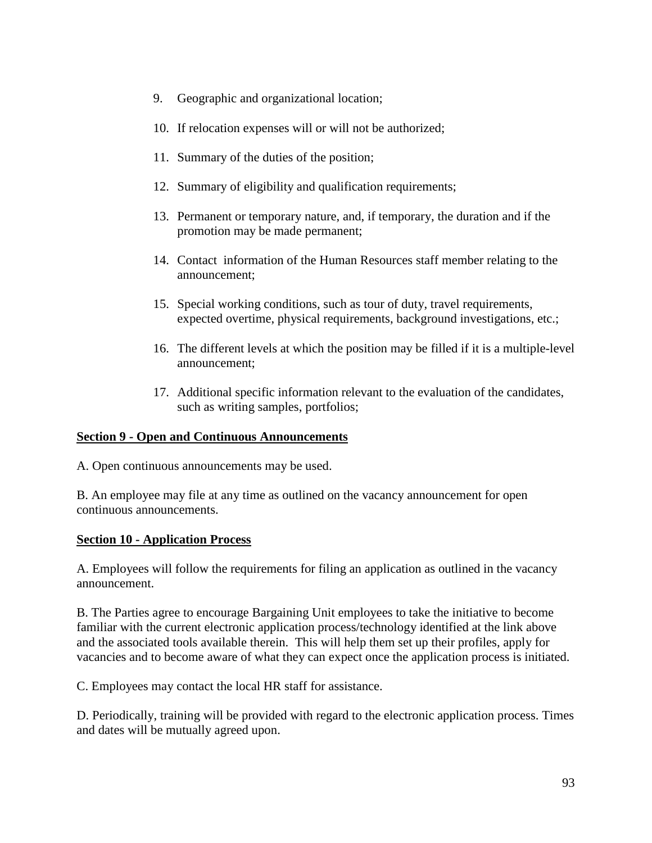- 9. Geographic and organizational location;
- 10. If relocation expenses will or will not be authorized;
- 11. Summary of the duties of the position;
- 12. Summary of eligibility and qualification requirements;
- 13. Permanent or temporary nature, and, if temporary, the duration and if the promotion may be made permanent;
- 14. Contact information of the Human Resources staff member relating to the announcement;
- 15. Special working conditions, such as tour of duty, travel requirements, expected overtime, physical requirements, background investigations, etc.;
- 16. The different levels at which the position may be filled if it is a multiple-level announcement;
- 17. Additional specific information relevant to the evaluation of the candidates, such as writing samples, portfolios;

#### **Section 9 - Open and Continuous Announcements**

A. Open continuous announcements may be used.

B. An employee may file at any time as outlined on the vacancy announcement for open continuous announcements.

#### **Section 10 - Application Process**

A. Employees will follow the requirements for filing an application as outlined in the vacancy announcement.

B. The Parties agree to encourage Bargaining Unit employees to take the initiative to become familiar with the current electronic application process/technology identified at the link above and the associated tools available therein. This will help them set up their profiles, apply for vacancies and to become aware of what they can expect once the application process is initiated.

C. Employees may contact the local HR staff for assistance.

D. Periodically, training will be provided with regard to the electronic application process. Times and dates will be mutually agreed upon.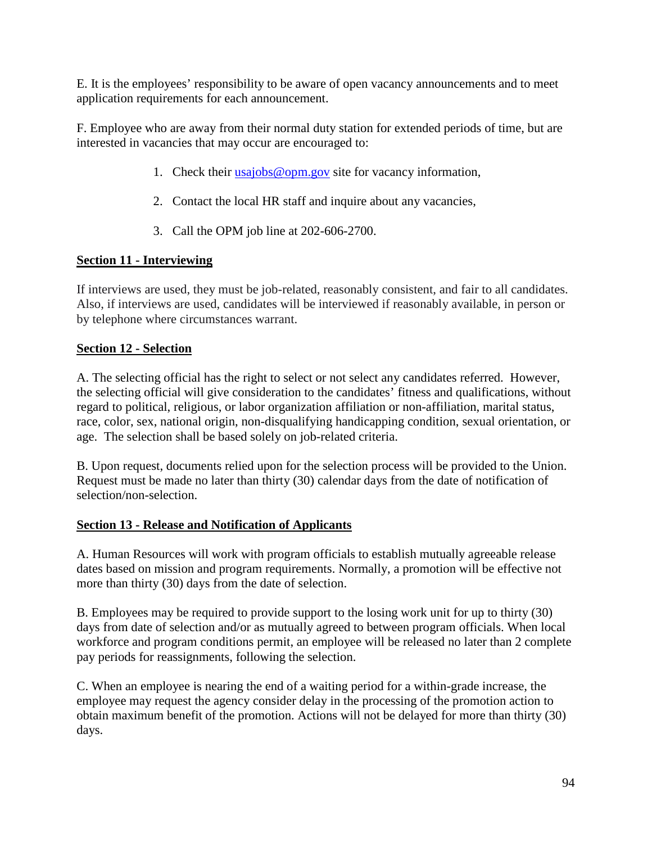E. It is the employees' responsibility to be aware of open vacancy announcements and to meet application requirements for each announcement.

F. Employee who are away from their normal duty station for extended periods of time, but are interested in vacancies that may occur are encouraged to:

- 1. Check their [usajobs@opm.gov](mailto:usajobs@opm.gov) site for vacancy information,
- 2. Contact the local HR staff and inquire about any vacancies,
- 3. Call the OPM job line at 202-606-2700.

# **Section 11 - Interviewing**

If interviews are used, they must be job-related, reasonably consistent, and fair to all candidates. Also, if interviews are used, candidates will be interviewed if reasonably available, in person or by telephone where circumstances warrant.

# **Section 12 - Selection**

A. The selecting official has the right to select or not select any candidates referred. However, the selecting official will give consideration to the candidates' fitness and qualifications, without regard to political, religious, or labor organization affiliation or non-affiliation, marital status, race, color, sex, national origin, non-disqualifying handicapping condition, sexual orientation, or age. The selection shall be based solely on job-related criteria.

B. Upon request, documents relied upon for the selection process will be provided to the Union. Request must be made no later than thirty (30) calendar days from the date of notification of selection/non-selection.

# **Section 13 - Release and Notification of Applicants**

A. Human Resources will work with program officials to establish mutually agreeable release dates based on mission and program requirements. Normally, a promotion will be effective not more than thirty (30) days from the date of selection.

B. Employees may be required to provide support to the losing work unit for up to thirty (30) days from date of selection and/or as mutually agreed to between program officials. When local workforce and program conditions permit, an employee will be released no later than 2 complete pay periods for reassignments, following the selection.

C. When an employee is nearing the end of a waiting period for a within-grade increase, the employee may request the agency consider delay in the processing of the promotion action to obtain maximum benefit of the promotion. Actions will not be delayed for more than thirty (30) days.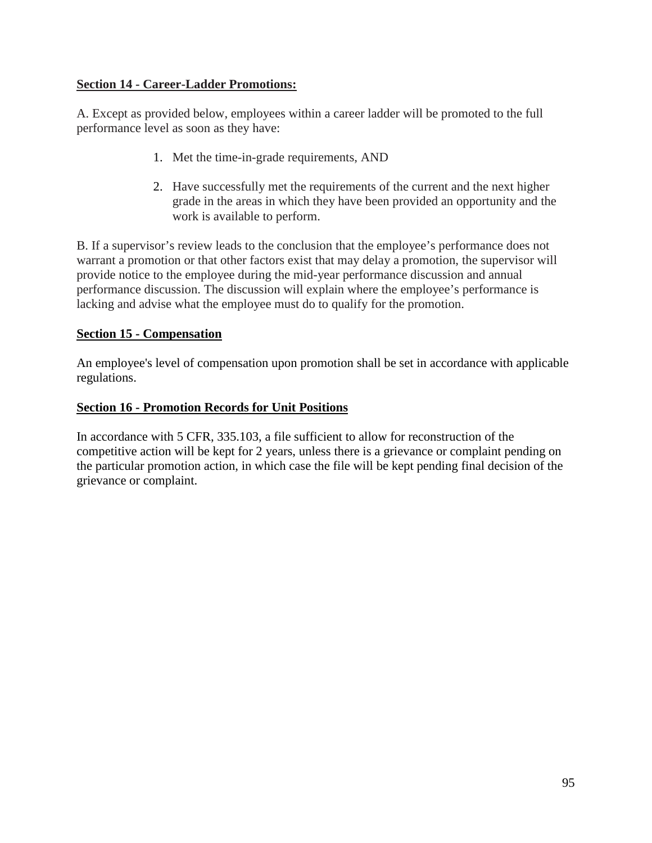# **Section 14 - Career-Ladder Promotions:**

A. Except as provided below, employees within a career ladder will be promoted to the full performance level as soon as they have:

- 1. Met the time-in-grade requirements, AND
- 2. Have successfully met the requirements of the current and the next higher grade in the areas in which they have been provided an opportunity and the work is available to perform.

B. If a supervisor's review leads to the conclusion that the employee's performance does not warrant a promotion or that other factors exist that may delay a promotion, the supervisor will provide notice to the employee during the mid-year performance discussion and annual performance discussion. The discussion will explain where the employee's performance is lacking and advise what the employee must do to qualify for the promotion.

# **Section 15 - Compensation**

An employee's level of compensation upon promotion shall be set in accordance with applicable regulations.

# **Section 16 - Promotion Records for Unit Positions**

In accordance with 5 CFR, 335.103, a file sufficient to allow for reconstruction of the competitive action will be kept for 2 years, unless there is a grievance or complaint pending on the particular promotion action, in which case the file will be kept pending final decision of the grievance or complaint.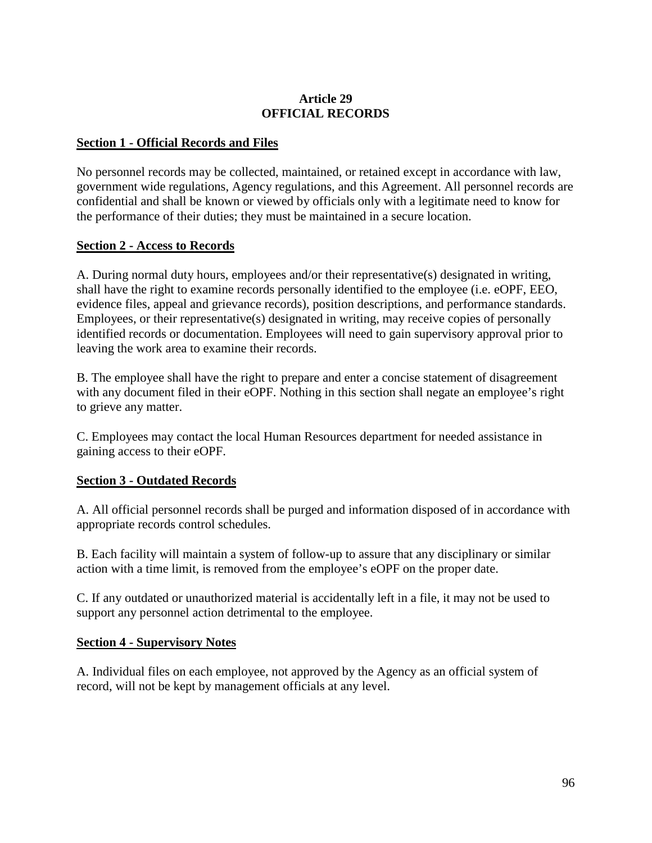### **Article 29 OFFICIAL RECORDS**

#### **Section 1 - Official Records and Files**

No personnel records may be collected, maintained, or retained except in accordance with law, government wide regulations, Agency regulations, and this Agreement. All personnel records are confidential and shall be known or viewed by officials only with a legitimate need to know for the performance of their duties; they must be maintained in a secure location.

## **Section 2 - Access to Records**

A. During normal duty hours, employees and/or their representative(s) designated in writing, shall have the right to examine records personally identified to the employee (i.e. eOPF, EEO, evidence files, appeal and grievance records), position descriptions, and performance standards. Employees, or their representative(s) designated in writing, may receive copies of personally identified records or documentation. Employees will need to gain supervisory approval prior to leaving the work area to examine their records.

B. The employee shall have the right to prepare and enter a concise statement of disagreement with any document filed in their eOPF. Nothing in this section shall negate an employee's right to grieve any matter.

C. Employees may contact the local Human Resources department for needed assistance in gaining access to their eOPF.

## **Section 3 - Outdated Records**

A. All official personnel records shall be purged and information disposed of in accordance with appropriate records control schedules.

B. Each facility will maintain a system of follow-up to assure that any disciplinary or similar action with a time limit, is removed from the employee's eOPF on the proper date.

C. If any outdated or unauthorized material is accidentally left in a file, it may not be used to support any personnel action detrimental to the employee.

#### **Section 4 - Supervisory Notes**

A. Individual files on each employee, not approved by the Agency as an official system of record, will not be kept by management officials at any level.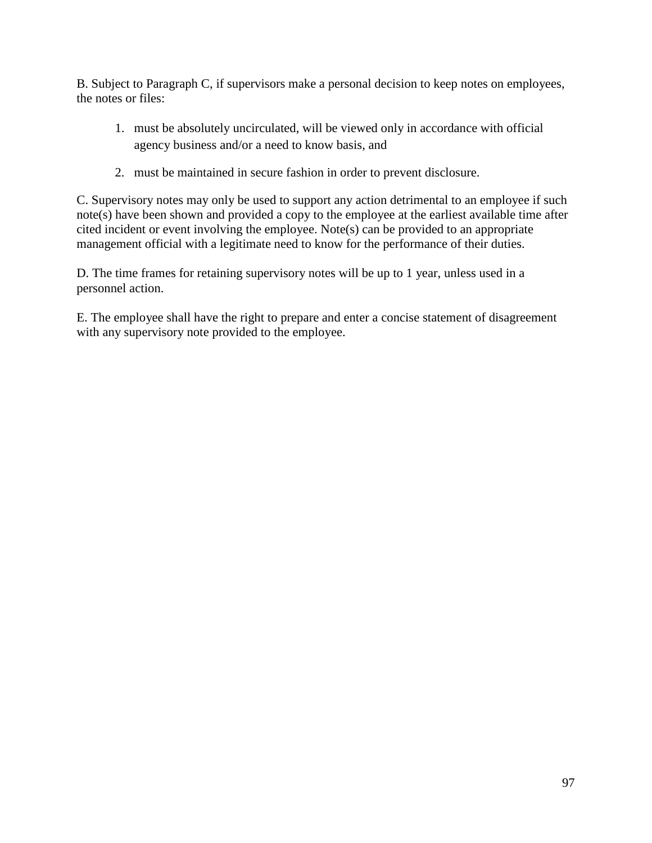B. Subject to Paragraph C, if supervisors make a personal decision to keep notes on employees, the notes or files:

- 1. must be absolutely uncirculated, will be viewed only in accordance with official agency business and/or a need to know basis, and
- 2. must be maintained in secure fashion in order to prevent disclosure.

C. Supervisory notes may only be used to support any action detrimental to an employee if such note(s) have been shown and provided a copy to the employee at the earliest available time after cited incident or event involving the employee. Note(s) can be provided to an appropriate management official with a legitimate need to know for the performance of their duties.

D. The time frames for retaining supervisory notes will be up to 1 year, unless used in a personnel action.

E. The employee shall have the right to prepare and enter a concise statement of disagreement with any supervisory note provided to the employee.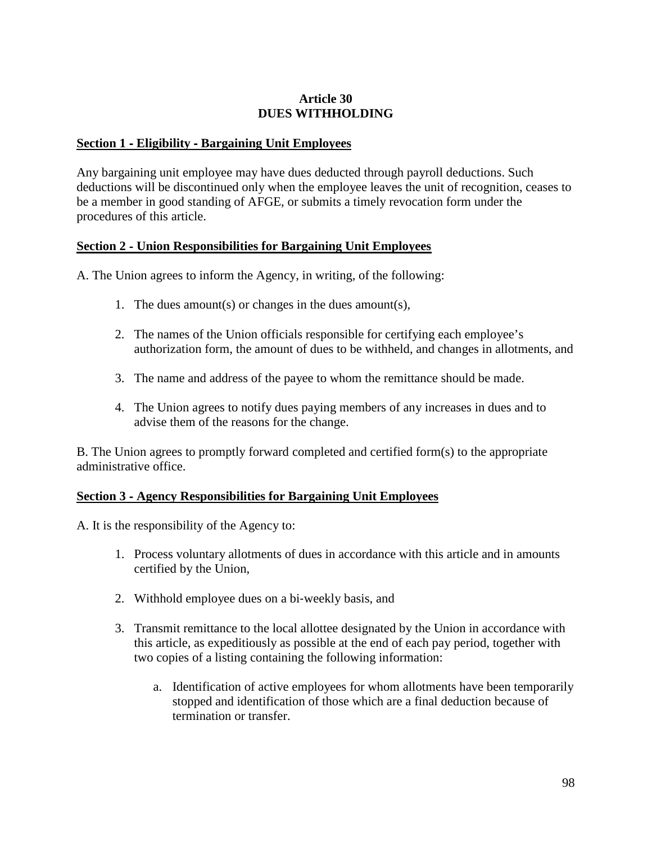#### **Article 30 DUES WITHHOLDING**

#### **Section 1** ‐ **Eligibility** ‐ **Bargaining Unit Employees**

Any bargaining unit employee may have dues deducted through payroll deductions. Such deductions will be discontinued only when the employee leaves the unit of recognition, ceases to be a member in good standing of AFGE, or submits a timely revocation form under the procedures of this article.

#### **Section 2** ‐ **Union Responsibilities for Bargaining Unit Employees**

A. The Union agrees to inform the Agency, in writing, of the following:

- 1. The dues amount(s) or changes in the dues amount(s),
- 2. The names of the Union officials responsible for certifying each employee's authorization form, the amount of dues to be withheld, and changes in allotments, and
- 3. The name and address of the payee to whom the remittance should be made.
- 4. The Union agrees to notify dues paying members of any increases in dues and to advise them of the reasons for the change.

B. The Union agrees to promptly forward completed and certified form(s) to the appropriate administrative office.

## **Section 3** ‐ **Agency Responsibilities for Bargaining Unit Employees**

A. It is the responsibility of the Agency to:

- 1. Process voluntary allotments of dues in accordance with this article and in amounts certified by the Union,
- 2. Withhold employee dues on a bi‐weekly basis, and
- 3. Transmit remittance to the local allottee designated by the Union in accordance with this article, as expeditiously as possible at the end of each pay period, together with two copies of a listing containing the following information:
	- a. Identification of active employees for whom allotments have been temporarily stopped and identification of those which are a final deduction because of termination or transfer.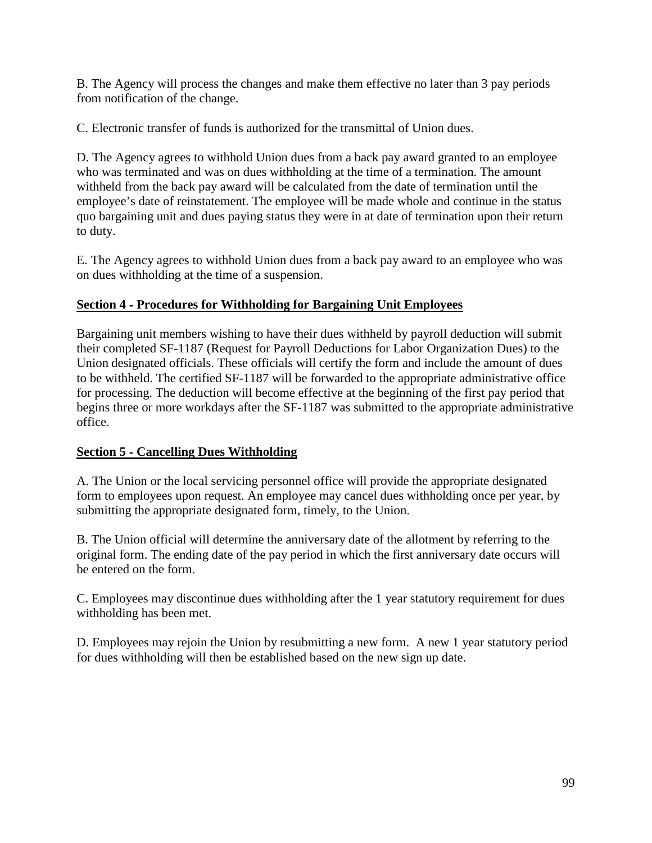B. The Agency will process the changes and make them effective no later than 3 pay periods from notification of the change.

C. Electronic transfer of funds is authorized for the transmittal of Union dues.

D. The Agency agrees to withhold Union dues from a back pay award granted to an employee who was terminated and was on dues withholding at the time of a termination. The amount withheld from the back pay award will be calculated from the date of termination until the employee's date of reinstatement. The employee will be made whole and continue in the status quo bargaining unit and dues paying status they were in at date of termination upon their return to duty.

E. The Agency agrees to withhold Union dues from a back pay award to an employee who was on dues withholding at the time of a suspension.

# **Section 4** ‐ **Procedures for Withholding for Bargaining Unit Employees**

Bargaining unit members wishing to have their dues withheld by payroll deduction will submit their completed SF-1187 (Request for Payroll Deductions for Labor Organization Dues) to the Union designated officials. These officials will certify the form and include the amount of dues to be withheld. The certified SF-1187 will be forwarded to the appropriate administrative office for processing. The deduction will become effective at the beginning of the first pay period that begins three or more workdays after the SF-1187 was submitted to the appropriate administrative office.

# **Section 5** ‐ **Cancelling Dues Withholding**

A. The Union or the local servicing personnel office will provide the appropriate designated form to employees upon request. An employee may cancel dues withholding once per year, by submitting the appropriate designated form, timely, to the Union.

B. The Union official will determine the anniversary date of the allotment by referring to the original form. The ending date of the pay period in which the first anniversary date occurs will be entered on the form.

C. Employees may discontinue dues withholding after the 1 year statutory requirement for dues withholding has been met.

D. Employees may rejoin the Union by resubmitting a new form. A new 1 year statutory period for dues withholding will then be established based on the new sign up date.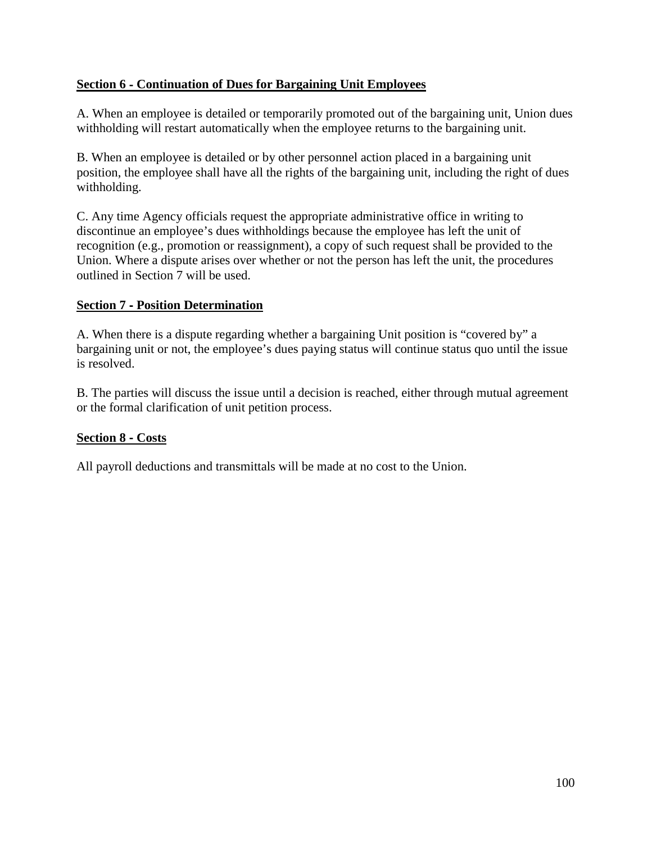# **Section 6** ‐ **Continuation of Dues for Bargaining Unit Employees**

A. When an employee is detailed or temporarily promoted out of the bargaining unit, Union dues withholding will restart automatically when the employee returns to the bargaining unit.

B. When an employee is detailed or by other personnel action placed in a bargaining unit position, the employee shall have all the rights of the bargaining unit, including the right of dues withholding.

C. Any time Agency officials request the appropriate administrative office in writing to discontinue an employee's dues withholdings because the employee has left the unit of recognition (e.g., promotion or reassignment), a copy of such request shall be provided to the Union. Where a dispute arises over whether or not the person has left the unit, the procedures outlined in Section 7 will be used.

## **Section 7** ‐ **Position Determination**

A. When there is a dispute regarding whether a bargaining Unit position is "covered by" a bargaining unit or not, the employee's dues paying status will continue status quo until the issue is resolved.

B. The parties will discuss the issue until a decision is reached, either through mutual agreement or the formal clarification of unit petition process.

## **Section 8** ‐ **Costs**

All payroll deductions and transmittals will be made at no cost to the Union.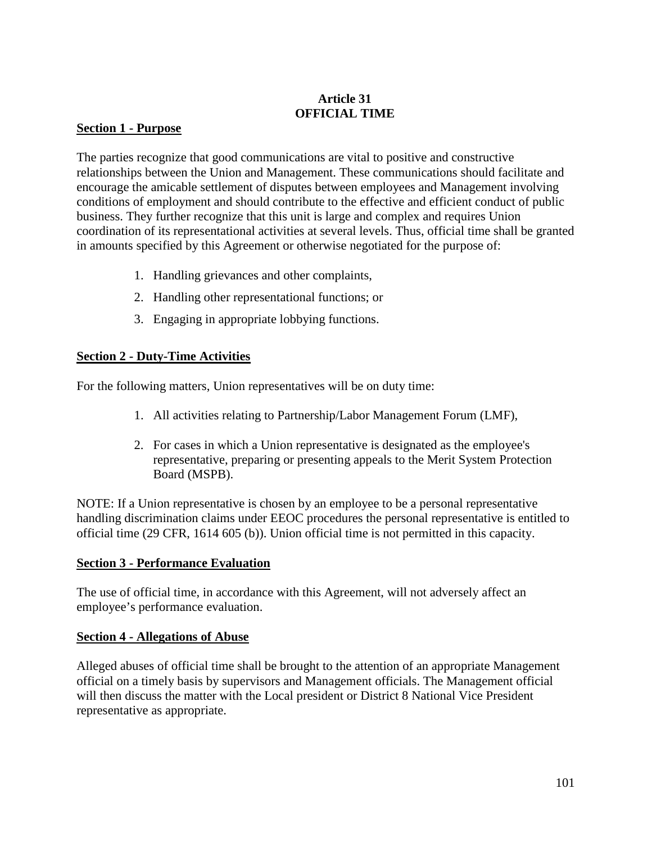# **Article 31 OFFICIAL TIME**

#### **Section 1 - Purpose**

The parties recognize that good communications are vital to positive and constructive relationships between the Union and Management. These communications should facilitate and encourage the amicable settlement of disputes between employees and Management involving conditions of employment and should contribute to the effective and efficient conduct of public business. They further recognize that this unit is large and complex and requires Union coordination of its representational activities at several levels. Thus, official time shall be granted in amounts specified by this Agreement or otherwise negotiated for the purpose of:

- 1. Handling grievances and other complaints,
- 2. Handling other representational functions; or
- 3. Engaging in appropriate lobbying functions.

# **Section 2 - Duty-Time Activities**

For the following matters, Union representatives will be on duty time:

- 1. All activities relating to Partnership/Labor Management Forum (LMF),
- 2. For cases in which a Union representative is designated as the employee's representative, preparing or presenting appeals to the Merit System Protection Board (MSPB).

NOTE: If a Union representative is chosen by an employee to be a personal representative handling discrimination claims under EEOC procedures the personal representative is entitled to official time (29 CFR, 1614 605 (b)). Union official time is not permitted in this capacity.

#### **Section 3 - Performance Evaluation**

The use of official time, in accordance with this Agreement, will not adversely affect an employee's performance evaluation.

#### **Section 4 - Allegations of Abuse**

Alleged abuses of official time shall be brought to the attention of an appropriate Management official on a timely basis by supervisors and Management officials. The Management official will then discuss the matter with the Local president or District 8 National Vice President representative as appropriate.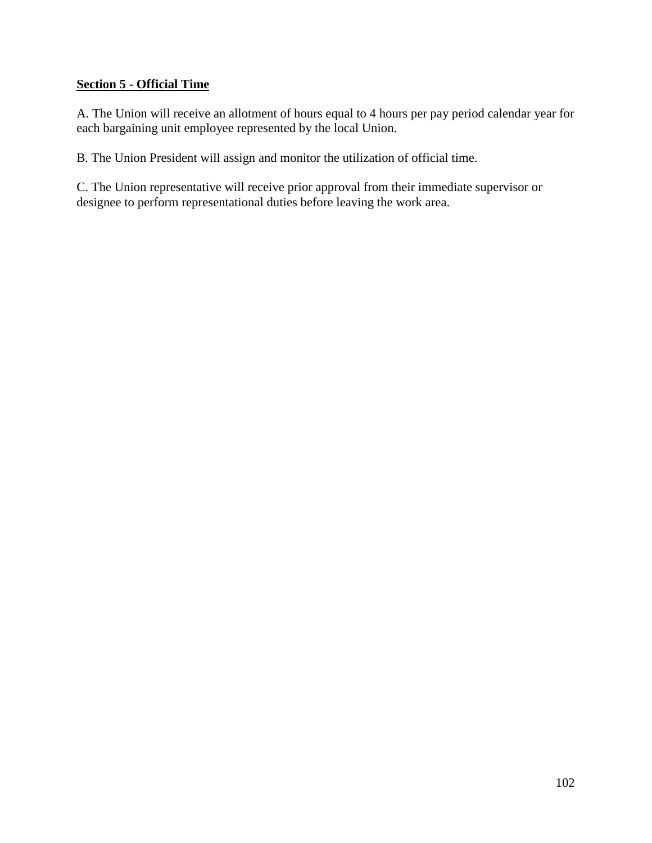# **Section 5 - Official Time**

A. The Union will receive an allotment of hours equal to 4 hours per pay period calendar year for each bargaining unit employee represented by the local Union.

B. The Union President will assign and monitor the utilization of official time.

C. The Union representative will receive prior approval from their immediate supervisor or designee to perform representational duties before leaving the work area.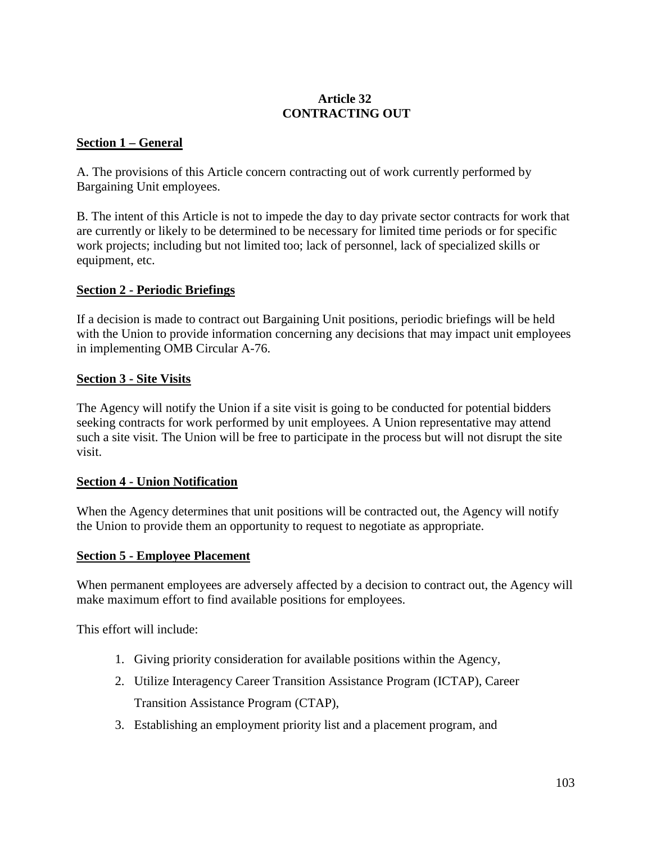# **Article 32 CONTRACTING OUT**

#### **Section 1 – General**

A. The provisions of this Article concern contracting out of work currently performed by Bargaining Unit employees.

B. The intent of this Article is not to impede the day to day private sector contracts for work that are currently or likely to be determined to be necessary for limited time periods or for specific work projects; including but not limited too; lack of personnel, lack of specialized skills or equipment, etc.

#### **Section 2 - Periodic Briefings**

If a decision is made to contract out Bargaining Unit positions, periodic briefings will be held with the Union to provide information concerning any decisions that may impact unit employees in implementing OMB Circular A-76.

#### **Section 3 - Site Visits**

The Agency will notify the Union if a site visit is going to be conducted for potential bidders seeking contracts for work performed by unit employees. A Union representative may attend such a site visit. The Union will be free to participate in the process but will not disrupt the site visit.

#### **Section 4 - Union Notification**

When the Agency determines that unit positions will be contracted out, the Agency will notify the Union to provide them an opportunity to request to negotiate as appropriate.

#### **Section 5 - Employee Placement**

When permanent employees are adversely affected by a decision to contract out, the Agency will make maximum effort to find available positions for employees.

This effort will include:

- 1. Giving priority consideration for available positions within the Agency,
- 2. Utilize Interagency Career Transition Assistance Program (ICTAP), Career Transition Assistance Program (CTAP),
- 3. Establishing an employment priority list and a placement program, and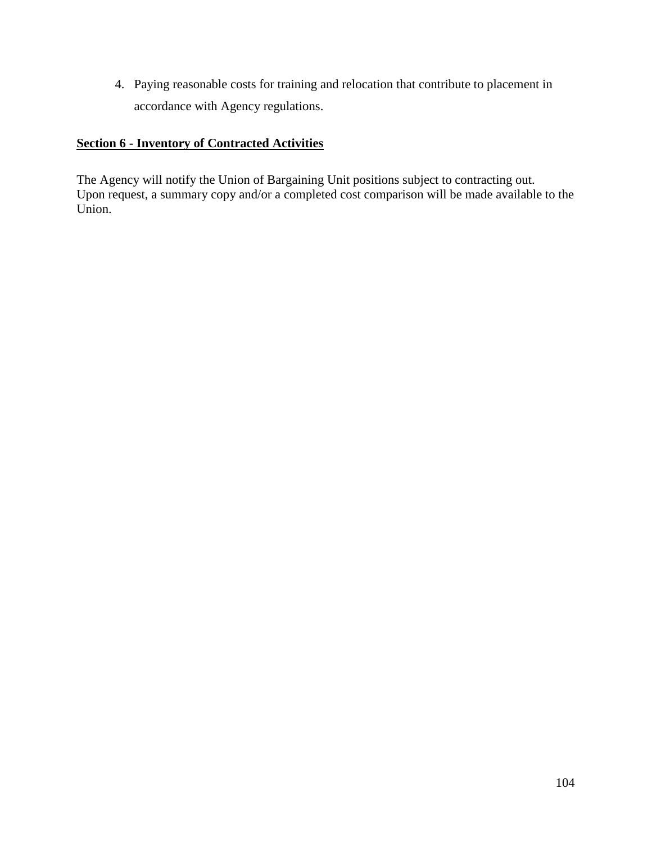4. Paying reasonable costs for training and relocation that contribute to placement in accordance with Agency regulations.

# **Section 6 - Inventory of Contracted Activities**

The Agency will notify the Union of Bargaining Unit positions subject to contracting out. Upon request, a summary copy and/or a completed cost comparison will be made available to the Union.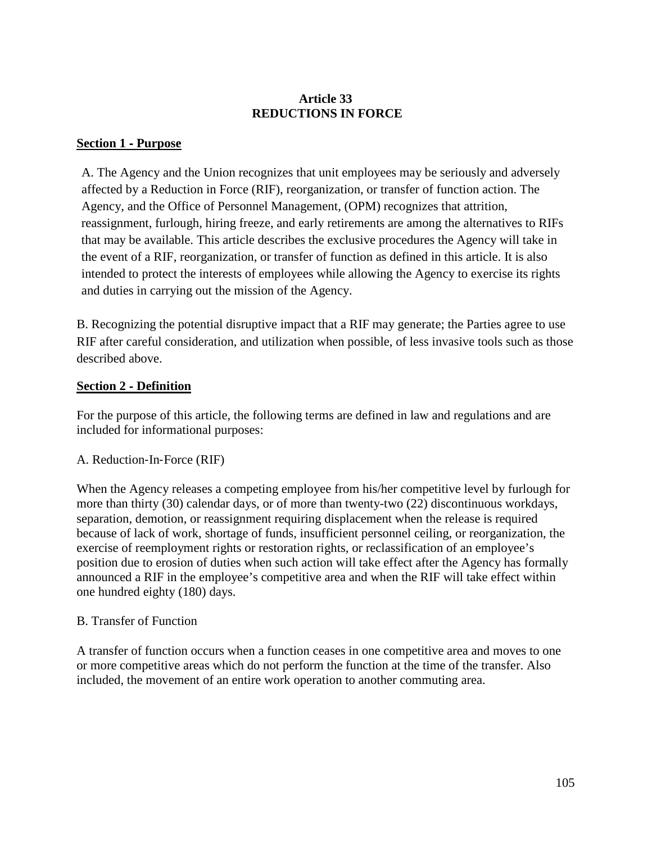# **Article 33 REDUCTIONS IN FORCE**

# **Section 1** ‐ **Purpose**

A. The Agency and the Union recognizes that unit employees may be seriously and adversely affected by a Reduction in Force (RIF), reorganization, or transfer of function action. The Agency, and the Office of Personnel Management, (OPM) recognizes that attrition, reassignment, furlough, hiring freeze, and early retirements are among the alternatives to RIFs that may be available. This article describes the exclusive procedures the Agency will take in the event of a RIF, reorganization, or transfer of function as defined in this article. It is also intended to protect the interests of employees while allowing the Agency to exercise its rights and duties in carrying out the mission of the Agency.

B. Recognizing the potential disruptive impact that a RIF may generate; the Parties agree to use RIF after careful consideration, and utilization when possible, of less invasive tools such as those described above.

# **Section 2** ‐ **Definition**

For the purpose of this article, the following terms are defined in law and regulations and are included for informational purposes:

## A. Reduction‐In‐Force (RIF)

When the Agency releases a competing employee from his/her competitive level by furlough for more than thirty (30) calendar days, or of more than twenty-two (22) discontinuous workdays, separation, demotion, or reassignment requiring displacement when the release is required because of lack of work, shortage of funds, insufficient personnel ceiling, or reorganization, the exercise of reemployment rights or restoration rights, or reclassification of an employee's position due to erosion of duties when such action will take effect after the Agency has formally announced a RIF in the employee's competitive area and when the RIF will take effect within one hundred eighty (180) days.

## B. Transfer of Function

A transfer of function occurs when a function ceases in one competitive area and moves to one or more competitive areas which do not perform the function at the time of the transfer. Also included, the movement of an entire work operation to another commuting area.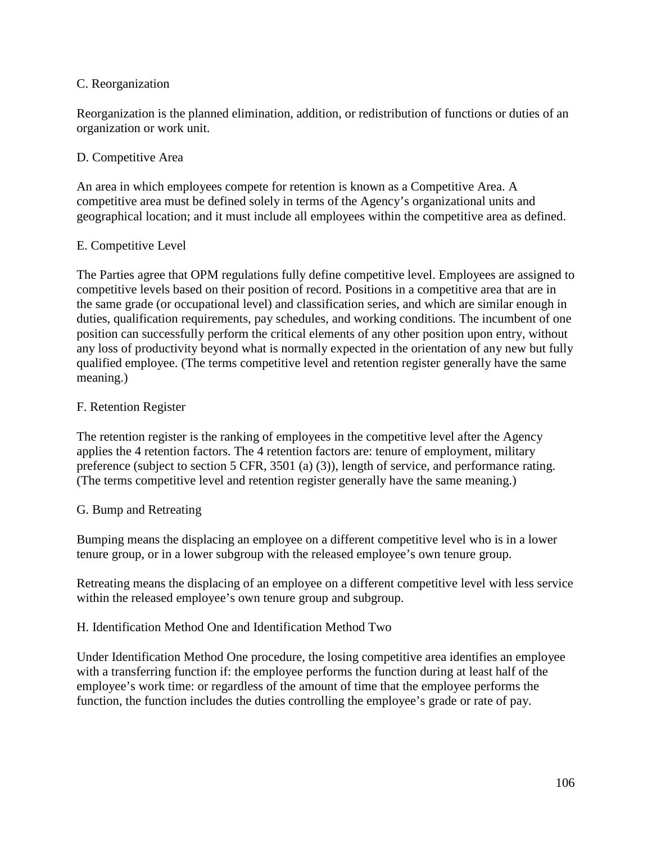#### C. Reorganization

Reorganization is the planned elimination, addition, or redistribution of functions or duties of an organization or work unit.

#### D. Competitive Area

An area in which employees compete for retention is known as a Competitive Area. A competitive area must be defined solely in terms of the Agency's organizational units and geographical location; and it must include all employees within the competitive area as defined.

#### E. Competitive Level

The Parties agree that OPM regulations fully define competitive level. Employees are assigned to competitive levels based on their position of record. Positions in a competitive area that are in the same grade (or occupational level) and classification series, and which are similar enough in duties, qualification requirements, pay schedules, and working conditions. The incumbent of one position can successfully perform the critical elements of any other position upon entry, without any loss of productivity beyond what is normally expected in the orientation of any new but fully qualified employee. (The terms competitive level and retention register generally have the same meaning.)

#### F. Retention Register

The retention register is the ranking of employees in the competitive level after the Agency applies the 4 retention factors. The 4 retention factors are: tenure of employment, military preference (subject to section 5 CFR, 3501 (a) (3)), length of service, and performance rating. (The terms competitive level and retention register generally have the same meaning.)

#### G. Bump and Retreating

Bumping means the displacing an employee on a different competitive level who is in a lower tenure group, or in a lower subgroup with the released employee's own tenure group.

Retreating means the displacing of an employee on a different competitive level with less service within the released employee's own tenure group and subgroup.

#### H. Identification Method One and Identification Method Two

Under Identification Method One procedure, the losing competitive area identifies an employee with a transferring function if: the employee performs the function during at least half of the employee's work time: or regardless of the amount of time that the employee performs the function, the function includes the duties controlling the employee's grade or rate of pay.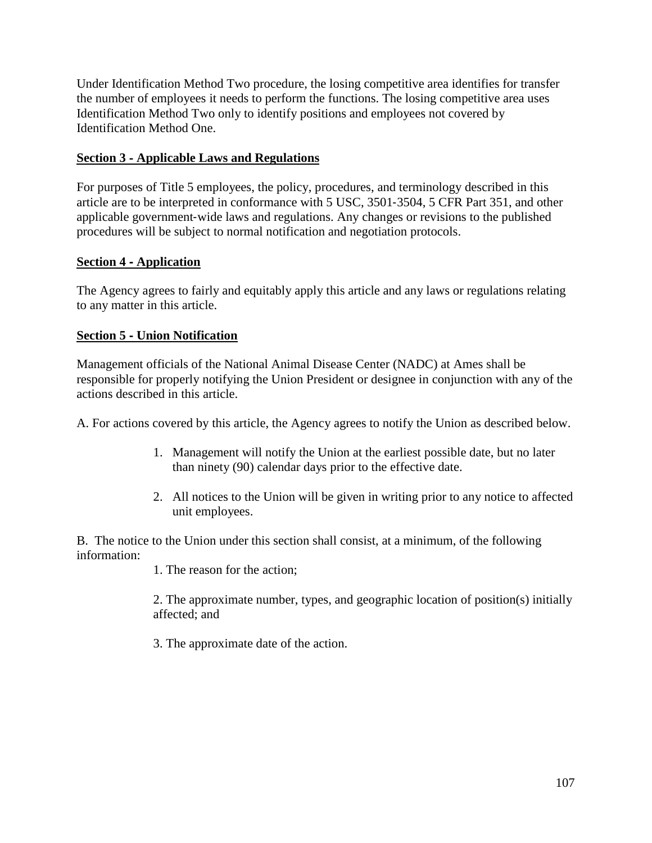Under Identification Method Two procedure, the losing competitive area identifies for transfer the number of employees it needs to perform the functions. The losing competitive area uses Identification Method Two only to identify positions and employees not covered by Identification Method One.

# **Section 3** ‐ **Applicable Laws and Regulations**

For purposes of Title 5 employees, the policy, procedures, and terminology described in this article are to be interpreted in conformance with 5 USC, 3501‐3504, 5 CFR Part 351, and other applicable government‐wide laws and regulations. Any changes or revisions to the published procedures will be subject to normal notification and negotiation protocols.

## **Section 4** ‐ **Application**

The Agency agrees to fairly and equitably apply this article and any laws or regulations relating to any matter in this article.

# **Section 5** ‐ **Union Notification**

Management officials of the National Animal Disease Center (NADC) at Ames shall be responsible for properly notifying the Union President or designee in conjunction with any of the actions described in this article.

A. For actions covered by this article, the Agency agrees to notify the Union as described below.

- 1. Management will notify the Union at the earliest possible date, but no later than ninety (90) calendar days prior to the effective date.
- 2. All notices to the Union will be given in writing prior to any notice to affected unit employees.

B. The notice to the Union under this section shall consist, at a minimum, of the following information:

1. The reason for the action;

2. The approximate number, types, and geographic location of position(s) initially affected; and

3. The approximate date of the action.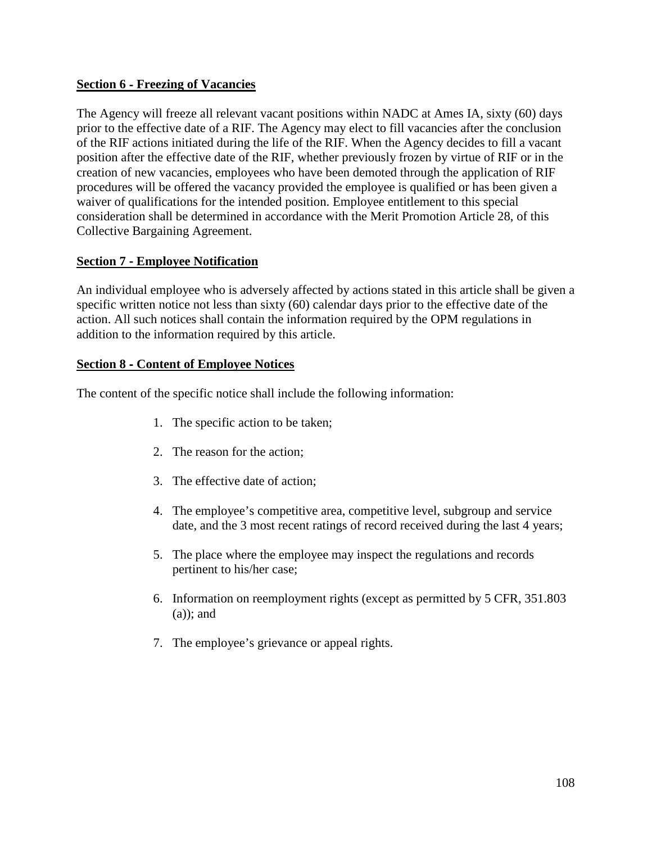### **Section 6** ‐ **Freezing of Vacancies**

The Agency will freeze all relevant vacant positions within NADC at Ames IA, sixty (60) days prior to the effective date of a RIF. The Agency may elect to fill vacancies after the conclusion of the RIF actions initiated during the life of the RIF. When the Agency decides to fill a vacant position after the effective date of the RIF, whether previously frozen by virtue of RIF or in the creation of new vacancies, employees who have been demoted through the application of RIF procedures will be offered the vacancy provided the employee is qualified or has been given a waiver of qualifications for the intended position. Employee entitlement to this special consideration shall be determined in accordance with the Merit Promotion Article 28, of this Collective Bargaining Agreement.

## **Section 7** ‐ **Employee Notification**

An individual employee who is adversely affected by actions stated in this article shall be given a specific written notice not less than sixty (60) calendar days prior to the effective date of the action. All such notices shall contain the information required by the OPM regulations in addition to the information required by this article.

#### **Section 8** ‐ **Content of Employee Notices**

The content of the specific notice shall include the following information:

- 1. The specific action to be taken;
- 2. The reason for the action;
- 3. The effective date of action;
- 4. The employee's competitive area, competitive level, subgroup and service date, and the 3 most recent ratings of record received during the last 4 years;
- 5. The place where the employee may inspect the regulations and records pertinent to his/her case;
- 6. Information on reemployment rights (except as permitted by 5 CFR, 351.803 (a)); and
- 7. The employee's grievance or appeal rights.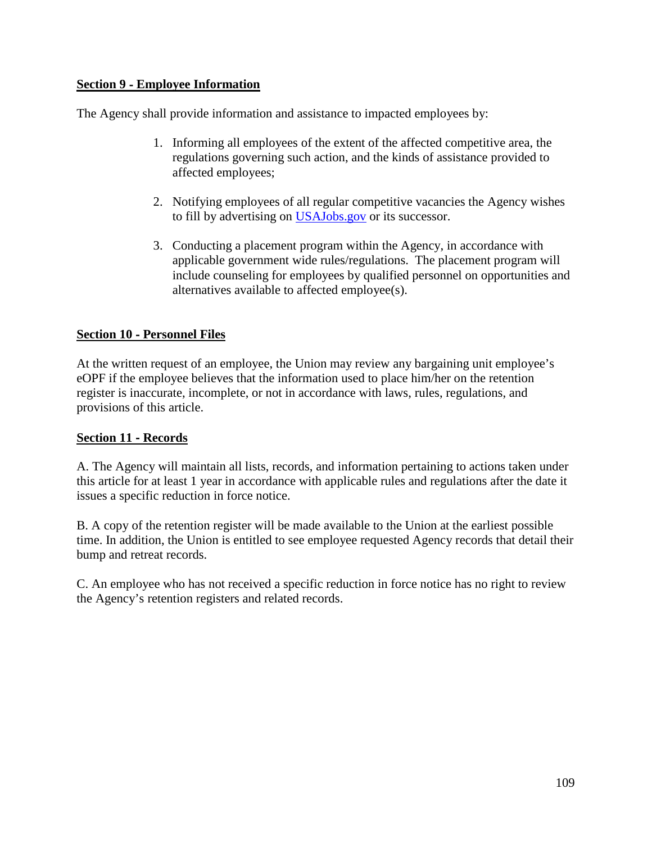## **Section 9** ‐ **Employee Information**

The Agency shall provide information and assistance to impacted employees by:

- 1. Informing all employees of the extent of the affected competitive area, the regulations governing such action, and the kinds of assistance provided to affected employees;
- 2. Notifying employees of all regular competitive vacancies the Agency wishes to fill by advertising on [USAJobs.gov](mailto:USAJobs@opm.gov) or its successor.
- 3. Conducting a placement program within the Agency, in accordance with applicable government wide rules/regulations. The placement program will include counseling for employees by qualified personnel on opportunities and alternatives available to affected employee(s).

# **Section 10** ‐ **Personnel Files**

At the written request of an employee, the Union may review any bargaining unit employee's eOPF if the employee believes that the information used to place him/her on the retention register is inaccurate, incomplete, or not in accordance with laws, rules, regulations, and provisions of this article.

## **Section 11** ‐ **Records**

A. The Agency will maintain all lists, records, and information pertaining to actions taken under this article for at least 1 year in accordance with applicable rules and regulations after the date it issues a specific reduction in force notice.

B. A copy of the retention register will be made available to the Union at the earliest possible time. In addition, the Union is entitled to see employee requested Agency records that detail their bump and retreat records.

C. An employee who has not received a specific reduction in force notice has no right to review the Agency's retention registers and related records.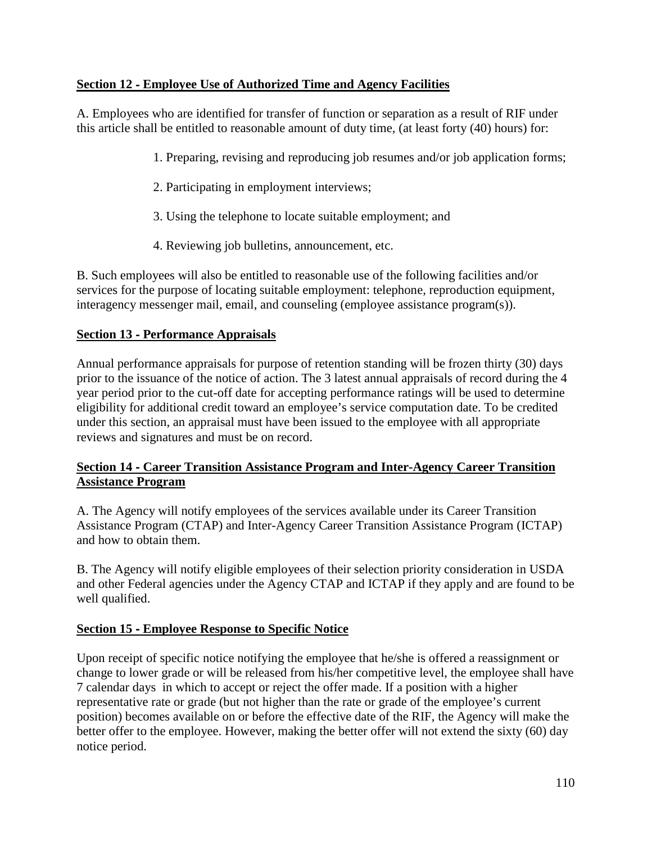# **Section 12** ‐ **Employee Use of Authorized Time and Agency Facilities**

A. Employees who are identified for transfer of function or separation as a result of RIF under this article shall be entitled to reasonable amount of duty time, (at least forty (40) hours) for:

- 1. Preparing, revising and reproducing job resumes and/or job application forms;
- 2. Participating in employment interviews;
- 3. Using the telephone to locate suitable employment; and
- 4. Reviewing job bulletins, announcement, etc.

B. Such employees will also be entitled to reasonable use of the following facilities and/or services for the purpose of locating suitable employment: telephone, reproduction equipment, interagency messenger mail, email, and counseling (employee assistance program(s)).

# **Section 13** ‐ **Performance Appraisals**

Annual performance appraisals for purpose of retention standing will be frozen thirty (30) days prior to the issuance of the notice of action. The 3 latest annual appraisals of record during the 4 year period prior to the cut-off date for accepting performance ratings will be used to determine eligibility for additional credit toward an employee's service computation date. To be credited under this section, an appraisal must have been issued to the employee with all appropriate reviews and signatures and must be on record.

## **Section 14** ‐ **Career Transition Assistance Program and Inter-Agency Career Transition Assistance Program**

A. The Agency will notify employees of the services available under its Career Transition Assistance Program (CTAP) and Inter-Agency Career Transition Assistance Program (ICTAP) and how to obtain them.

B. The Agency will notify eligible employees of their selection priority consideration in USDA and other Federal agencies under the Agency CTAP and ICTAP if they apply and are found to be well qualified.

## **Section 15** ‐ **Employee Response to Specific Notice**

Upon receipt of specific notice notifying the employee that he/she is offered a reassignment or change to lower grade or will be released from his/her competitive level, the employee shall have 7 calendar days in which to accept or reject the offer made. If a position with a higher representative rate or grade (but not higher than the rate or grade of the employee's current position) becomes available on or before the effective date of the RIF, the Agency will make the better offer to the employee. However, making the better offer will not extend the sixty (60) day notice period.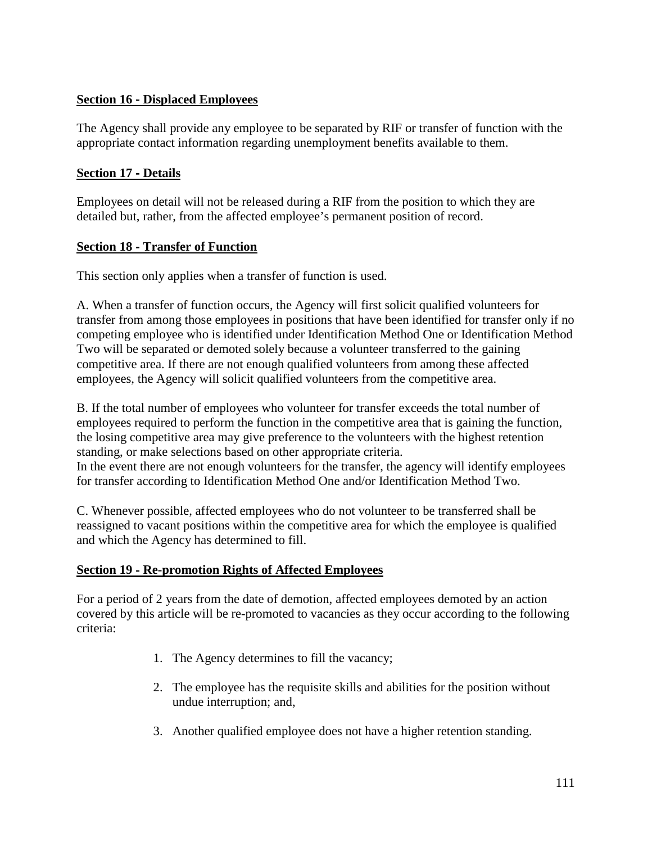## **Section 16** ‐ **Displaced Employees**

The Agency shall provide any employee to be separated by RIF or transfer of function with the appropriate contact information regarding unemployment benefits available to them.

## **Section 17** ‐ **Details**

Employees on detail will not be released during a RIF from the position to which they are detailed but, rather, from the affected employee's permanent position of record.

#### **Section 18** ‐ **Transfer of Function**

This section only applies when a transfer of function is used.

A. When a transfer of function occurs, the Agency will first solicit qualified volunteers for transfer from among those employees in positions that have been identified for transfer only if no competing employee who is identified under Identification Method One or Identification Method Two will be separated or demoted solely because a volunteer transferred to the gaining competitive area. If there are not enough qualified volunteers from among these affected employees, the Agency will solicit qualified volunteers from the competitive area.

B. If the total number of employees who volunteer for transfer exceeds the total number of employees required to perform the function in the competitive area that is gaining the function, the losing competitive area may give preference to the volunteers with the highest retention standing, or make selections based on other appropriate criteria.

In the event there are not enough volunteers for the transfer, the agency will identify employees for transfer according to Identification Method One and/or Identification Method Two.

C. Whenever possible, affected employees who do not volunteer to be transferred shall be reassigned to vacant positions within the competitive area for which the employee is qualified and which the Agency has determined to fill.

## **Section 19** ‐ **Re-promotion Rights of Affected Employees**

For a period of 2 years from the date of demotion, affected employees demoted by an action covered by this article will be re-promoted to vacancies as they occur according to the following criteria:

- 1. The Agency determines to fill the vacancy;
- 2. The employee has the requisite skills and abilities for the position without undue interruption; and,
- 3. Another qualified employee does not have a higher retention standing.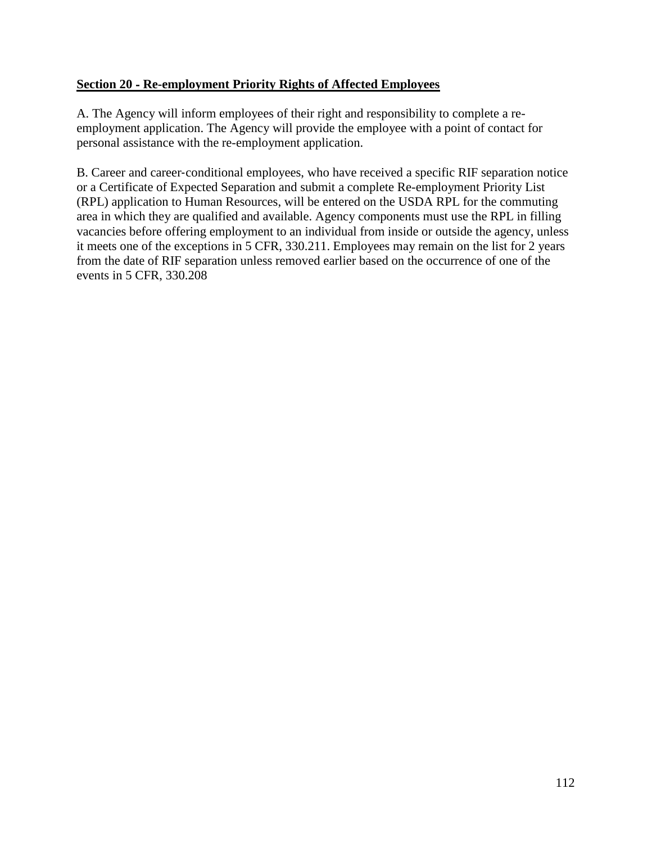## **Section 20** ‐ **Re-employment Priority Rights of Affected Employees**

A. The Agency will inform employees of their right and responsibility to complete a reemployment application. The Agency will provide the employee with a point of contact for personal assistance with the re-employment application.

B. Career and career-conditional employees, who have received a specific RIF separation notice or a Certificate of Expected Separation and submit a complete Re-employment Priority List (RPL) application to Human Resources, will be entered on the USDA RPL for the commuting area in which they are qualified and available. Agency components must use the RPL in filling vacancies before offering employment to an individual from inside or outside the agency, unless it meets one of the exceptions in 5 CFR, 330.211. Employees may remain on the list for 2 years from the date of RIF separation unless removed earlier based on the occurrence of one of the events in 5 CFR, 330.208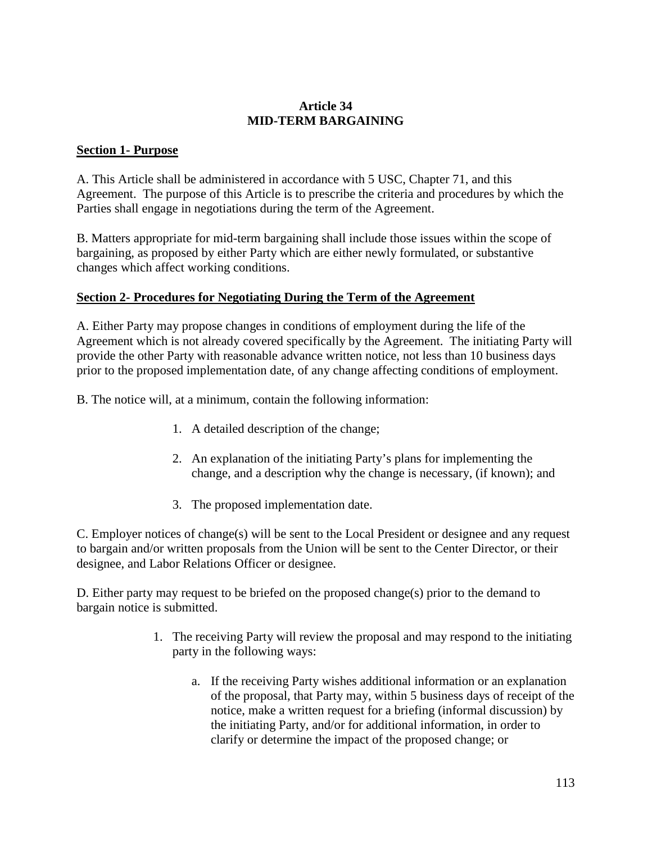## **Article 34 MID-TERM BARGAINING**

### **Section 1- Purpose**

A. This Article shall be administered in accordance with 5 USC, Chapter 71, and this Agreement. The purpose of this Article is to prescribe the criteria and procedures by which the Parties shall engage in negotiations during the term of the Agreement.

B. Matters appropriate for mid-term bargaining shall include those issues within the scope of bargaining, as proposed by either Party which are either newly formulated, or substantive changes which affect working conditions.

#### **Section 2- Procedures for Negotiating During the Term of the Agreement**

A. Either Party may propose changes in conditions of employment during the life of the Agreement which is not already covered specifically by the Agreement. The initiating Party will provide the other Party with reasonable advance written notice, not less than 10 business days prior to the proposed implementation date, of any change affecting conditions of employment.

B. The notice will, at a minimum, contain the following information:

- 1. A detailed description of the change;
- 2. An explanation of the initiating Party's plans for implementing the change, and a description why the change is necessary, (if known); and
- 3. The proposed implementation date.

C. Employer notices of change(s) will be sent to the Local President or designee and any request to bargain and/or written proposals from the Union will be sent to the Center Director, or their designee, and Labor Relations Officer or designee.

D. Either party may request to be briefed on the proposed change(s) prior to the demand to bargain notice is submitted.

- 1. The receiving Party will review the proposal and may respond to the initiating party in the following ways:
	- a. If the receiving Party wishes additional information or an explanation of the proposal, that Party may, within 5 business days of receipt of the notice, make a written request for a briefing (informal discussion) by the initiating Party, and/or for additional information, in order to clarify or determine the impact of the proposed change; or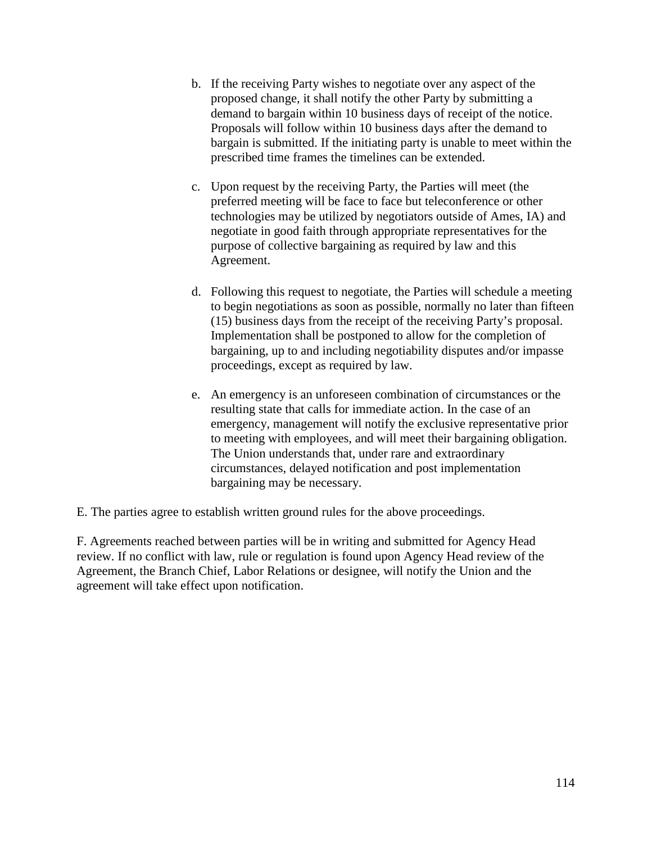- b. If the receiving Party wishes to negotiate over any aspect of the proposed change, it shall notify the other Party by submitting a demand to bargain within 10 business days of receipt of the notice. Proposals will follow within 10 business days after the demand to bargain is submitted. If the initiating party is unable to meet within the prescribed time frames the timelines can be extended.
- c. Upon request by the receiving Party, the Parties will meet (the preferred meeting will be face to face but teleconference or other technologies may be utilized by negotiators outside of Ames, IA) and negotiate in good faith through appropriate representatives for the purpose of collective bargaining as required by law and this Agreement.
- d. Following this request to negotiate, the Parties will schedule a meeting to begin negotiations as soon as possible, normally no later than fifteen (15) business days from the receipt of the receiving Party's proposal. Implementation shall be postponed to allow for the completion of bargaining, up to and including negotiability disputes and/or impasse proceedings, except as required by law.
- e. An emergency is an unforeseen combination of circumstances or the resulting state that calls for immediate action. In the case of an emergency, management will notify the exclusive representative prior to meeting with employees, and will meet their bargaining obligation. The Union understands that, under rare and extraordinary circumstances, delayed notification and post implementation bargaining may be necessary.

E. The parties agree to establish written ground rules for the above proceedings.

F. Agreements reached between parties will be in writing and submitted for Agency Head review. If no conflict with law, rule or regulation is found upon Agency Head review of the Agreement, the Branch Chief, Labor Relations or designee, will notify the Union and the agreement will take effect upon notification.